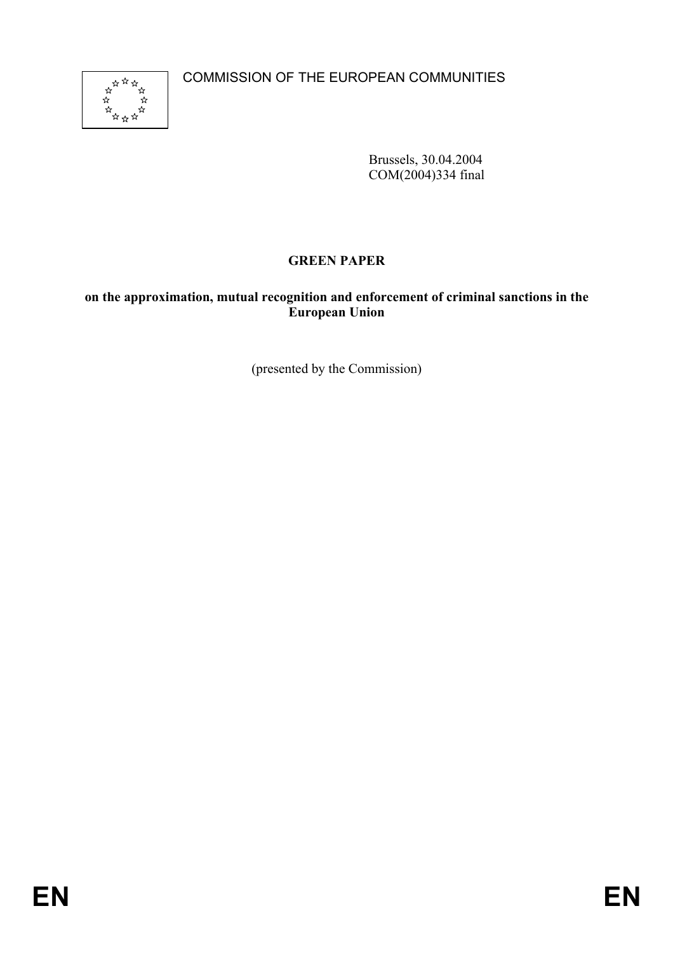COMMISSION OF THE EUROPEAN COMMUNITIES



Brussels, 30.04.2004 COM(2004)334 final

# **GREEN PAPER**

## **on the approximation, mutual recognition and enforcement of criminal sanctions in the European Union**

(presented by the Commission)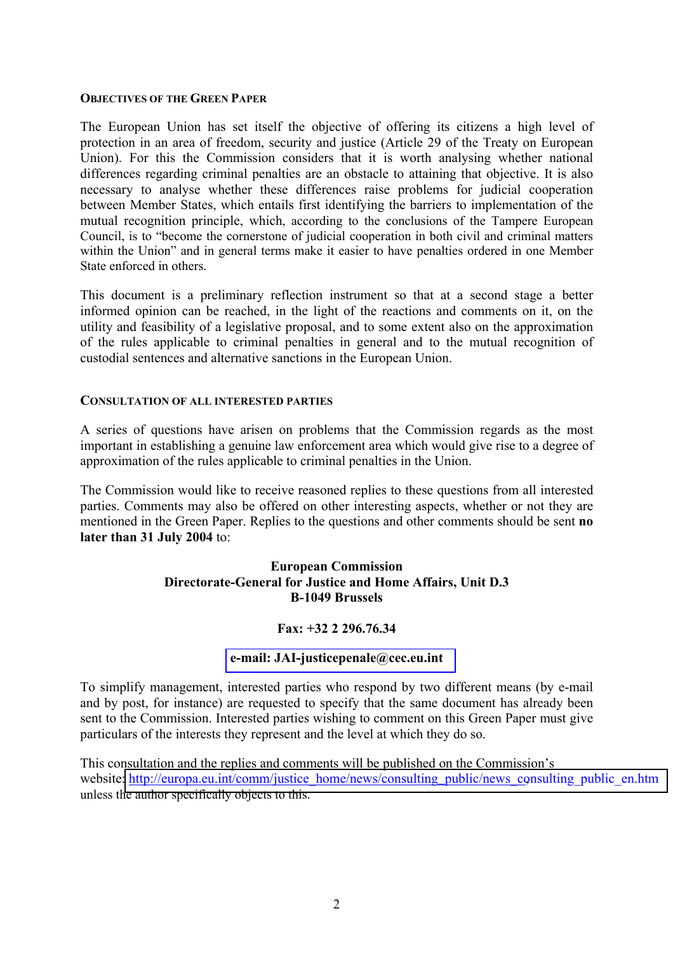#### **OBJECTIVES OF THE GREEN PAPER**

The European Union has set itself the objective of offering its citizens a high level of protection in an area of freedom, security and justice (Article 29 of the Treaty on European Union). For this the Commission considers that it is worth analysing whether national differences regarding criminal penalties are an obstacle to attaining that objective. It is also necessary to analyse whether these differences raise problems for judicial cooperation between Member States, which entails first identifying the barriers to implementation of the mutual recognition principle, which, according to the conclusions of the Tampere European Council, is to "become the cornerstone of judicial cooperation in both civil and criminal matters within the Union" and in general terms make it easier to have penalties ordered in one Member State enforced in others.

This document is a preliminary reflection instrument so that at a second stage a better informed opinion can be reached, in the light of the reactions and comments on it, on the utility and feasibility of a legislative proposal, and to some extent also on the approximation of the rules applicable to criminal penalties in general and to the mutual recognition of custodial sentences and alternative sanctions in the European Union.

#### **CONSULTATION OF ALL INTERESTED PARTIES**

A series of questions have arisen on problems that the Commission regards as the most important in establishing a genuine law enforcement area which would give rise to a degree of approximation of the rules applicable to criminal penalties in the Union.

The Commission would like to receive reasoned replies to these questions from all interested parties. Comments may also be offered on other interesting aspects, whether or not they are mentioned in the Green Paper. Replies to the questions and other comments should be sent **no later than 31 July 2004** to:

#### **European Commission Directorate-General for Justice and Home Affairs, Unit D.3 B-1049 Brussels**

#### **Fax: +32 2 296.76.34**

#### **[e-mail: JAI-justicepenale@cec.eu.int](mailto:JAI-justicepenale@cec.eu.int)**

To simplify management, interested parties who respond by two different means (by e-mail and by post, for instance) are requested to specify that the same document has already been sent to the Commission. Interested parties wishing to comment on this Green Paper must give particulars of the interests they represent and the level at which they do so.

This consultation and the replies and comments will be published on the Commission's website: [http://europa.eu.int/comm/justice\\_home/](http://europa.eu.int/comm/justice_home/news/consulting_public/news_consulting_public_en.htm)news/consulting\_public/news\_consulting\_public\_en.htm unless the author specifically objects to this.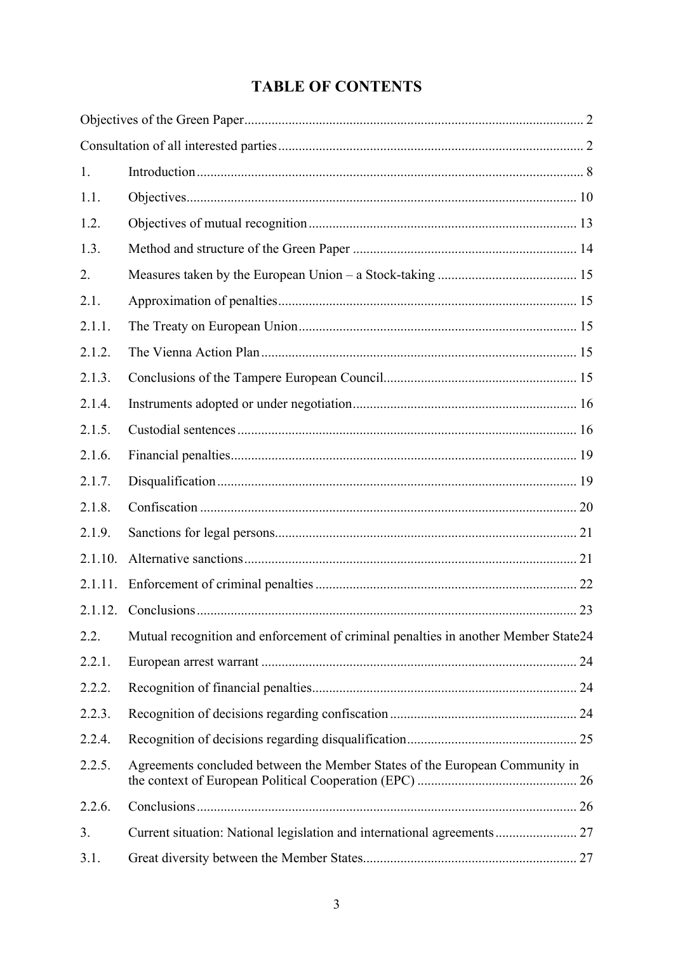# **TABLE OF CONTENTS**

| 1.      |                                                                                    |  |
|---------|------------------------------------------------------------------------------------|--|
| 1.1.    |                                                                                    |  |
| 1.2.    |                                                                                    |  |
| 1.3.    |                                                                                    |  |
| 2.      |                                                                                    |  |
| 2.1.    |                                                                                    |  |
| 2.1.1.  |                                                                                    |  |
| 2.1.2.  |                                                                                    |  |
| 2.1.3.  |                                                                                    |  |
| 2.1.4.  |                                                                                    |  |
| 2.1.5.  |                                                                                    |  |
| 2.1.6.  |                                                                                    |  |
| 2.1.7.  |                                                                                    |  |
| 2.1.8.  |                                                                                    |  |
| 2.1.9.  |                                                                                    |  |
| 2.1.10. |                                                                                    |  |
| 2.1.11. |                                                                                    |  |
|         |                                                                                    |  |
| 2.2.    | Mutual recognition and enforcement of criminal penalties in another Member State24 |  |
| 2.2.1.  |                                                                                    |  |
| 2.2.2.  |                                                                                    |  |
| 2.2.3.  |                                                                                    |  |
| 2.2.4.  |                                                                                    |  |
| 2.2.5.  | Agreements concluded between the Member States of the European Community in        |  |
| 2.2.6.  |                                                                                    |  |
| 3.      | Current situation: National legislation and international agreements 27            |  |
| 3.1.    |                                                                                    |  |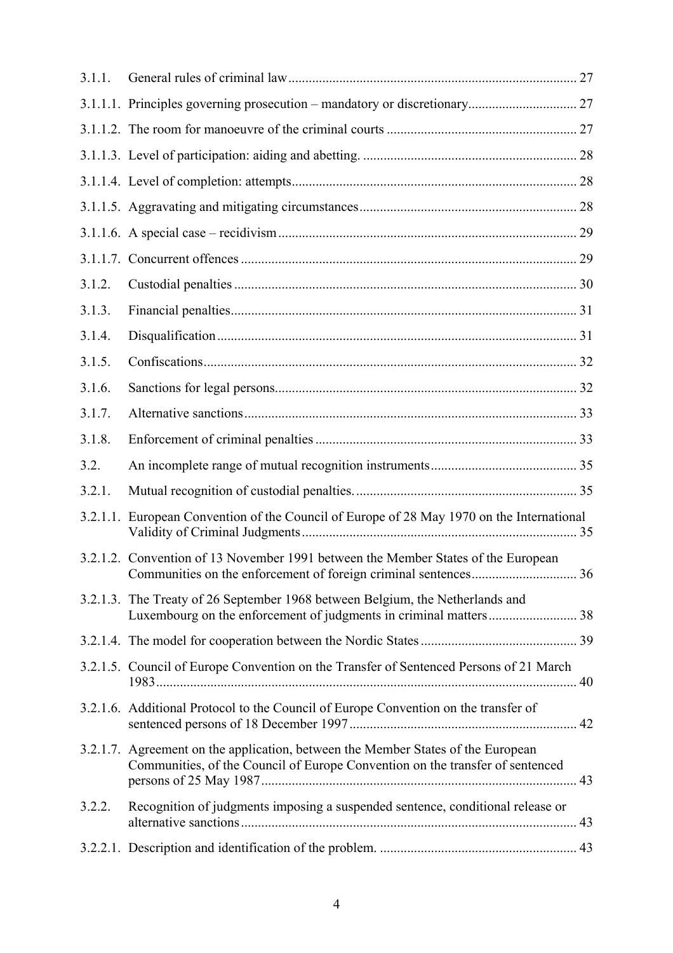| 3.1.1. |                                                                                                                                                                   |  |
|--------|-------------------------------------------------------------------------------------------------------------------------------------------------------------------|--|
|        |                                                                                                                                                                   |  |
|        |                                                                                                                                                                   |  |
|        |                                                                                                                                                                   |  |
|        |                                                                                                                                                                   |  |
|        |                                                                                                                                                                   |  |
|        |                                                                                                                                                                   |  |
|        |                                                                                                                                                                   |  |
| 3.1.2. |                                                                                                                                                                   |  |
| 3.1.3. |                                                                                                                                                                   |  |
| 3.1.4. |                                                                                                                                                                   |  |
| 3.1.5. |                                                                                                                                                                   |  |
| 3.1.6. |                                                                                                                                                                   |  |
| 3.1.7. |                                                                                                                                                                   |  |
| 3.1.8. |                                                                                                                                                                   |  |
| 3.2.   |                                                                                                                                                                   |  |
| 3.2.1. |                                                                                                                                                                   |  |
|        | 3.2.1.1. European Convention of the Council of Europe of 28 May 1970 on the International                                                                         |  |
|        | 3.2.1.2. Convention of 13 November 1991 between the Member States of the European                                                                                 |  |
|        | 3.2.1.3. The Treaty of 26 September 1968 between Belgium, the Netherlands and                                                                                     |  |
|        |                                                                                                                                                                   |  |
|        | 3.2.1.5. Council of Europe Convention on the Transfer of Sentenced Persons of 21 March                                                                            |  |
|        | 3.2.1.6. Additional Protocol to the Council of Europe Convention on the transfer of                                                                               |  |
|        | 3.2.1.7. Agreement on the application, between the Member States of the European<br>Communities, of the Council of Europe Convention on the transfer of sentenced |  |
| 3.2.2. | Recognition of judgments imposing a suspended sentence, conditional release or                                                                                    |  |
|        |                                                                                                                                                                   |  |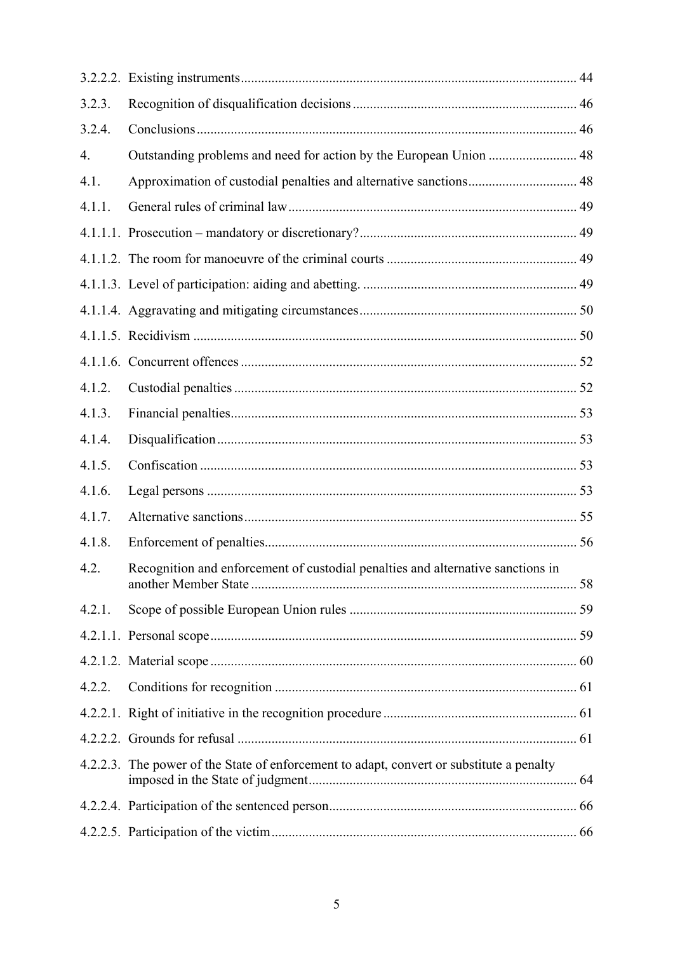| 3.2.3. |                                                                                          |  |
|--------|------------------------------------------------------------------------------------------|--|
| 3.2.4. |                                                                                          |  |
| 4.     |                                                                                          |  |
| 4.1.   | Approximation of custodial penalties and alternative sanctions 48                        |  |
| 4.1.1. |                                                                                          |  |
|        |                                                                                          |  |
|        |                                                                                          |  |
|        |                                                                                          |  |
|        |                                                                                          |  |
|        |                                                                                          |  |
|        |                                                                                          |  |
| 4.1.2. |                                                                                          |  |
| 4.1.3. |                                                                                          |  |
| 4.1.4. |                                                                                          |  |
| 4.1.5. |                                                                                          |  |
| 4.1.6. |                                                                                          |  |
| 4.1.7. |                                                                                          |  |
| 4.1.8. |                                                                                          |  |
| 4.2.   | Recognition and enforcement of custodial penalties and alternative sanctions in          |  |
| 4.2.1. |                                                                                          |  |
|        |                                                                                          |  |
|        |                                                                                          |  |
| 4.2.2. |                                                                                          |  |
|        |                                                                                          |  |
|        |                                                                                          |  |
|        | 4.2.2.3. The power of the State of enforcement to adapt, convert or substitute a penalty |  |
|        |                                                                                          |  |
|        |                                                                                          |  |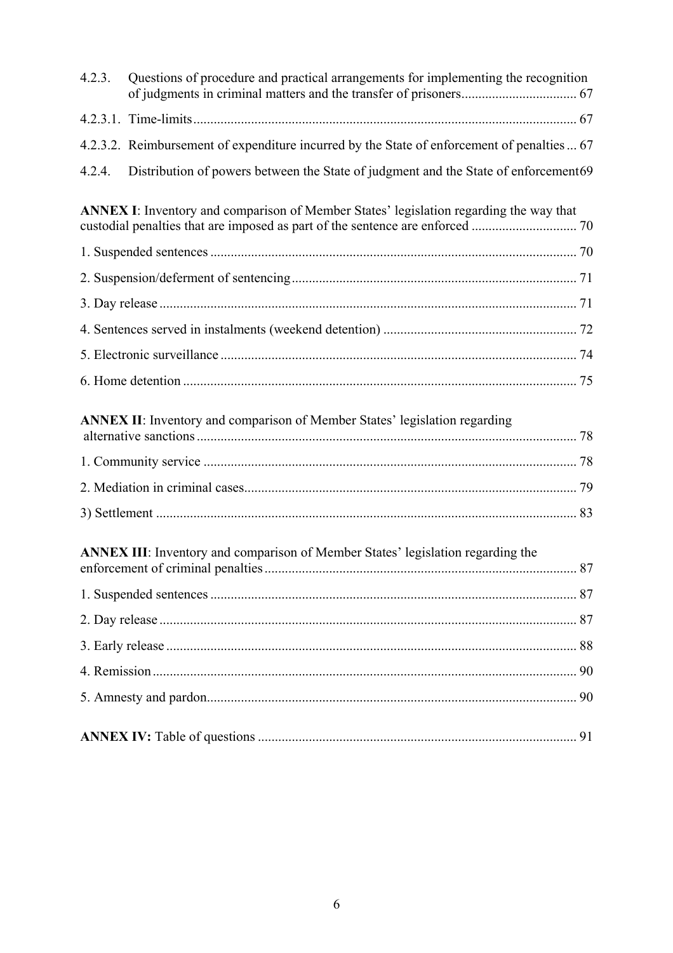| 4.2.3. | Questions of procedure and practical arrangements for implementing the recognition            |    |
|--------|-----------------------------------------------------------------------------------------------|----|
|        |                                                                                               |    |
|        | 4.2.3.2. Reimbursement of expenditure incurred by the State of enforcement of penalties  67   |    |
| 4.2.4. | Distribution of powers between the State of judgment and the State of enforcement69           |    |
|        | <b>ANNEX I:</b> Inventory and comparison of Member States' legislation regarding the way that |    |
|        |                                                                                               |    |
|        |                                                                                               |    |
|        |                                                                                               |    |
|        |                                                                                               |    |
|        |                                                                                               |    |
|        |                                                                                               |    |
|        | ANNEX II: Inventory and comparison of Member States' legislation regarding                    |    |
|        |                                                                                               |    |
|        |                                                                                               |    |
|        |                                                                                               |    |
|        | <b>ANNEX III:</b> Inventory and comparison of Member States' legislation regarding the        | 87 |
|        |                                                                                               |    |
|        |                                                                                               |    |
|        |                                                                                               |    |
|        |                                                                                               |    |
|        |                                                                                               |    |
|        |                                                                                               | 91 |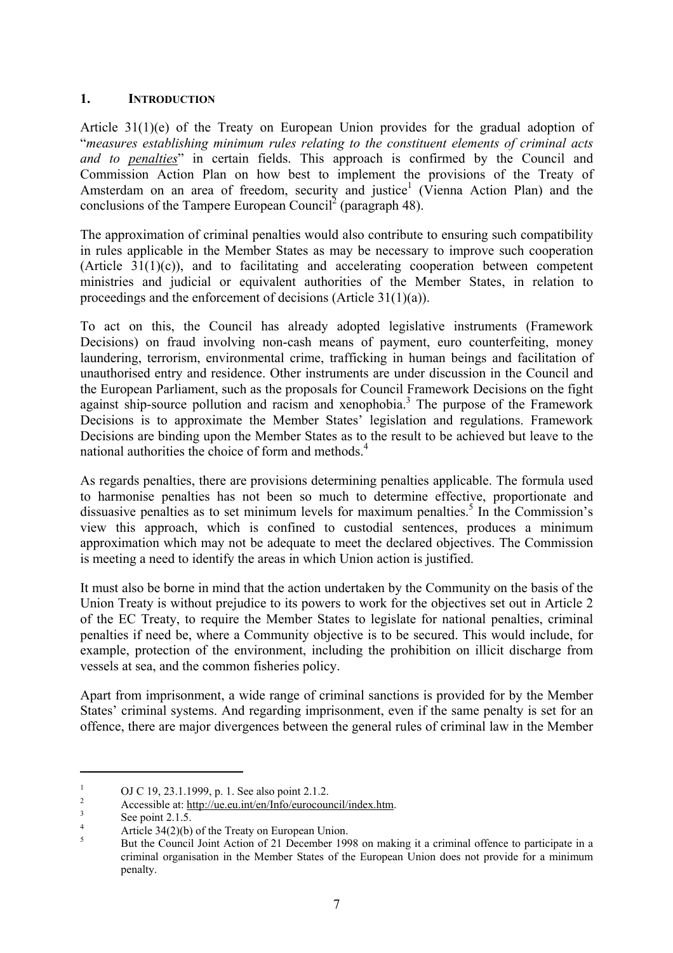#### **1. INTRODUCTION**

Article 31(1)(e) of the Treaty on European Union provides for the gradual adoption of "*measures establishing minimum rules relating to the constituent elements of criminal acts*  and to <u>penalties</u>" in certain fields. This approach is confirmed by the Council and Commission Action Plan on how best to implement the provisions of the Treaty of Amsterdam on an area of freedom, security and justice<sup>1</sup> (Vienna Action Plan) and the conclusions of the Tampere European Council<sup>2</sup> (paragraph 48).

The approximation of criminal penalties would also contribute to ensuring such compatibility in rules applicable in the Member States as may be necessary to improve such cooperation  $(Article 31(1)(c))$ , and to facilitating and accelerating cooperation between competent ministries and judicial or equivalent authorities of the Member States, in relation to proceedings and the enforcement of decisions (Article 31(1)(a)).

To act on this, the Council has already adopted legislative instruments (Framework Decisions) on fraud involving non-cash means of payment, euro counterfeiting, money laundering, terrorism, environmental crime, trafficking in human beings and facilitation of unauthorised entry and residence. Other instruments are under discussion in the Council and the European Parliament, such as the proposals for Council Framework Decisions on the fight against ship-source pollution and racism and xenophobia.<sup>3</sup> The purpose of the Framework Decisions is to approximate the Member States' legislation and regulations. Framework Decisions are binding upon the Member States as to the result to be achieved but leave to the national authorities the choice of form and methods.<sup>4</sup>

As regards penalties, there are provisions determining penalties applicable. The formula used to harmonise penalties has not been so much to determine effective, proportionate and dissuasive penalties as to set minimum levels for maximum penalties.<sup>5</sup> In the Commission's view this approach, which is confined to custodial sentences, produces a minimum approximation which may not be adequate to meet the declared objectives. The Commission is meeting a need to identify the areas in which Union action is justified.

It must also be borne in mind that the action undertaken by the Community on the basis of the Union Treaty is without prejudice to its powers to work for the objectives set out in Article 2 of the EC Treaty, to require the Member States to legislate for national penalties, criminal penalties if need be, where a Community objective is to be secured. This would include, for example, protection of the environment, including the prohibition on illicit discharge from vessels at sea, and the common fisheries policy.

Apart from imprisonment, a wide range of criminal sanctions is provided for by the Member States' criminal systems. And regarding imprisonment, even if the same penalty is set for an offence, there are major divergences between the general rules of criminal law in the Member

<sup>&</sup>lt;sup>1</sup> OJ C 19, 23.1.1999, p. 1. See also point 2.1.2.<br>
<sup>2</sup> Accessible at: http://ue.eu.int/en/Info/eurocouncil/index.htm.<br>
<sup>3</sup> See point 2.1.5.<br>
Article 34(2)(b) of the Treaty on European Union.<br>
<sup>5</sup> But the Council Joint A criminal organisation in the Member States of the European Union does not provide for a minimum penalty.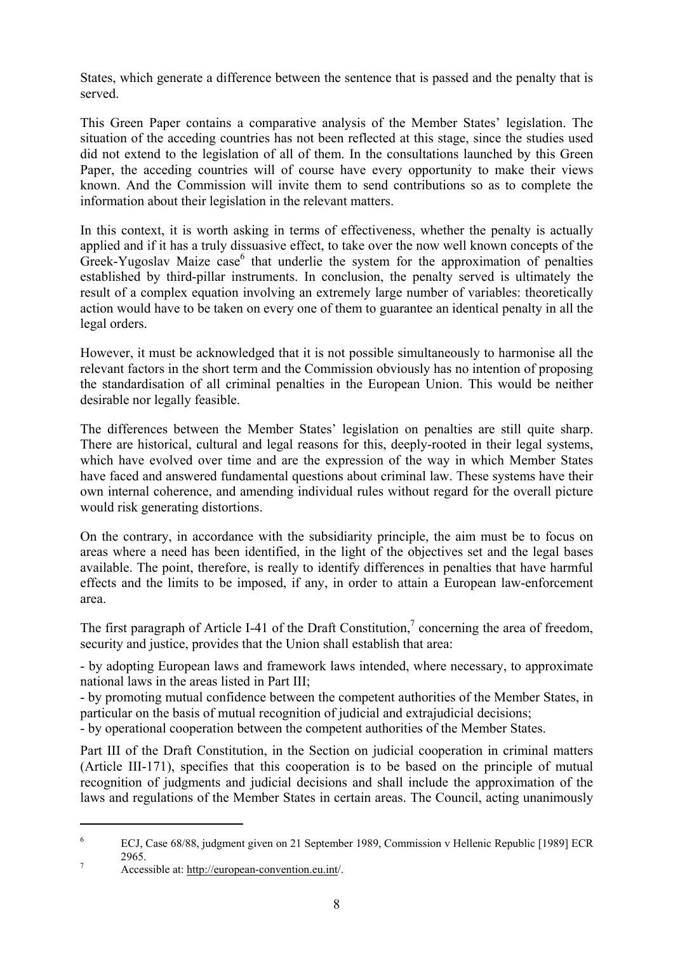States, which generate a difference between the sentence that is passed and the penalty that is served.

This Green Paper contains a comparative analysis of the Member States' legislation. The situation of the acceding countries has not been reflected at this stage, since the studies used did not extend to the legislation of all of them. In the consultations launched by this Green Paper, the acceding countries will of course have every opportunity to make their views known. And the Commission will invite them to send contributions so as to complete the information about their legislation in the relevant matters.

In this context, it is worth asking in terms of effectiveness, whether the penalty is actually applied and if it has a truly dissuasive effect, to take over the now well known concepts of the  $Greek-Yugoslav$  Maize  $case<sup>6</sup>$  that underlie the system for the approximation of penalties established by third-pillar instruments. In conclusion, the penalty served is ultimately the result of a complex equation involving an extremely large number of variables: theoretically action would have to be taken on every one of them to guarantee an identical penalty in all the legal orders.

However, it must be acknowledged that it is not possible simultaneously to harmonise all the relevant factors in the short term and the Commission obviously has no intention of proposing the standardisation of all criminal penalties in the European Union. This would be neither desirable nor legally feasible.

The differences between the Member States' legislation on penalties are still quite sharp. There are historical, cultural and legal reasons for this, deeply-rooted in their legal systems, which have evolved over time and are the expression of the way in which Member States have faced and answered fundamental questions about criminal law. These systems have their own internal coherence, and amending individual rules without regard for the overall picture would risk generating distortions.

On the contrary, in accordance with the subsidiarity principle, the aim must be to focus on areas where a need has been identified, in the light of the objectives set and the legal bases available. The point, therefore, is really to identify differences in penalties that have harmful effects and the limits to be imposed, if any, in order to attain a European law-enforcement area.

The first paragraph of Article I-41 of the Draft Constitution,<sup>7</sup> concerning the area of freedom, security and justice, provides that the Union shall establish that area:

- by adopting European laws and framework laws intended, where necessary, to approximate national laws in the areas listed in Part III;

- by promoting mutual confidence between the competent authorities of the Member States, in particular on the basis of mutual recognition of judicial and extrajudicial decisions;

- by operational cooperation between the competent authorities of the Member States.

Part III of the Draft Constitution, in the Section on judicial cooperation in criminal matters (Article III-171), specifies that this cooperation is to be based on the principle of mutual recognition of judgments and judicial decisions and shall include the approximation of the laws and regulations of the Member States in certain areas. The Council, acting unanimously

<sup>6</sup> ECJ, Case 68/88, judgment given on 21 September 1989, Commission v Hellenic Republic [1989] ECR 2965.<br>Accessible at: http://european-convention.eu.int/.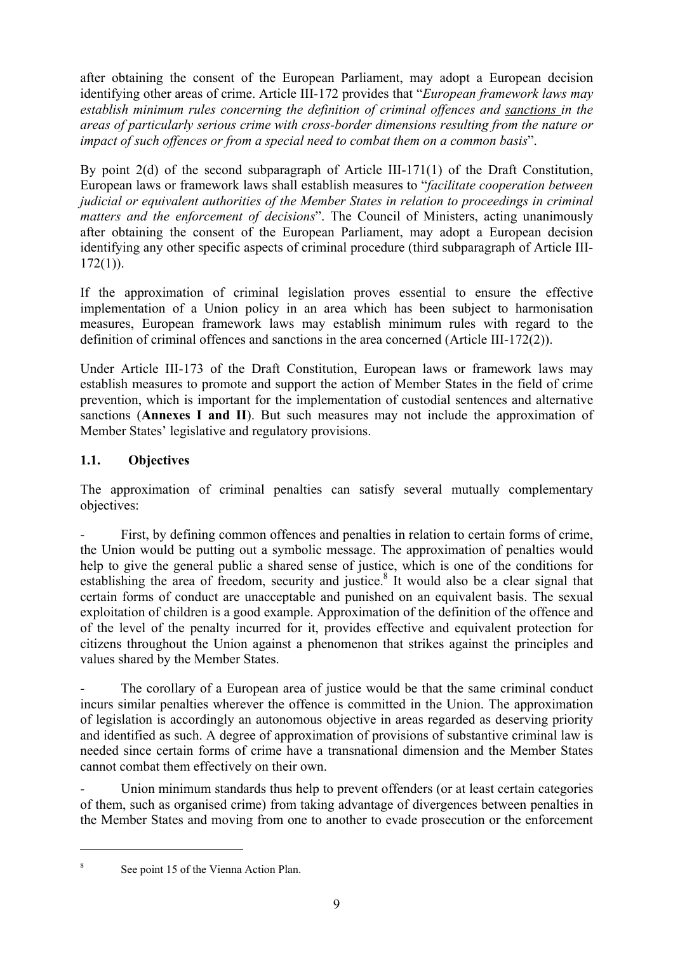after obtaining the consent of the European Parliament, may adopt a European decision identifying other areas of crime. Article III-172 provides that "*European framework laws may establish minimum rules concerning the definition of criminal offences and sanctions in the areas of particularly serious crime with cross-border dimensions resulting from the nature or impact of such offences or from a special need to combat them on a common basis*".

By point 2(d) of the second subparagraph of Article III-171(1) of the Draft Constitution, European laws or framework laws shall establish measures to "*facilitate cooperation between judicial or equivalent authorities of the Member States in relation to proceedings in criminal matters and the enforcement of decisions*". The Council of Ministers, acting unanimously after obtaining the consent of the European Parliament, may adopt a European decision identifying any other specific aspects of criminal procedure (third subparagraph of Article III- $172(1)$ ).

If the approximation of criminal legislation proves essential to ensure the effective implementation of a Union policy in an area which has been subject to harmonisation measures, European framework laws may establish minimum rules with regard to the definition of criminal offences and sanctions in the area concerned (Article III-172(2)).

Under Article III-173 of the Draft Constitution, European laws or framework laws may establish measures to promote and support the action of Member States in the field of crime prevention, which is important for the implementation of custodial sentences and alternative sanctions (**Annexes I and II**). But such measures may not include the approximation of Member States' legislative and regulatory provisions.

# **1.1. Objectives**

The approximation of criminal penalties can satisfy several mutually complementary objectives:

First, by defining common offences and penalties in relation to certain forms of crime, the Union would be putting out a symbolic message. The approximation of penalties would help to give the general public a shared sense of justice, which is one of the conditions for establishing the area of freedom, security and justice.<sup>8</sup> It would also be a clear signal that certain forms of conduct are unacceptable and punished on an equivalent basis. The sexual exploitation of children is a good example. Approximation of the definition of the offence and of the level of the penalty incurred for it, provides effective and equivalent protection for citizens throughout the Union against a phenomenon that strikes against the principles and values shared by the Member States.

The corollary of a European area of justice would be that the same criminal conduct incurs similar penalties wherever the offence is committed in the Union. The approximation of legislation is accordingly an autonomous objective in areas regarded as deserving priority and identified as such. A degree of approximation of provisions of substantive criminal law is needed since certain forms of crime have a transnational dimension and the Member States cannot combat them effectively on their own.

Union minimum standards thus help to prevent offenders (or at least certain categories of them, such as organised crime) from taking advantage of divergences between penalties in the Member States and moving from one to another to evade prosecution or the enforcement

<sup>8</sup> See point 15 of the Vienna Action Plan.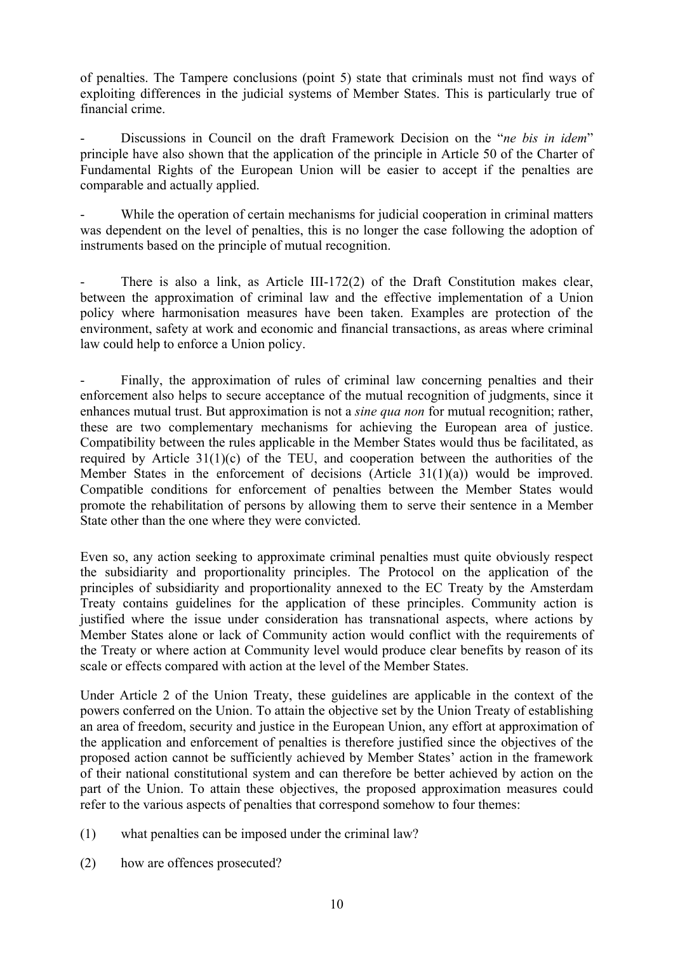of penalties. The Tampere conclusions (point 5) state that criminals must not find ways of exploiting differences in the judicial systems of Member States. This is particularly true of financial crime.

- Discussions in Council on the draft Framework Decision on the "*ne bis in idem*" principle have also shown that the application of the principle in Article 50 of the Charter of Fundamental Rights of the European Union will be easier to accept if the penalties are comparable and actually applied.

While the operation of certain mechanisms for judicial cooperation in criminal matters was dependent on the level of penalties, this is no longer the case following the adoption of instruments based on the principle of mutual recognition.

There is also a link, as Article III-172(2) of the Draft Constitution makes clear, between the approximation of criminal law and the effective implementation of a Union policy where harmonisation measures have been taken. Examples are protection of the environment, safety at work and economic and financial transactions, as areas where criminal law could help to enforce a Union policy.

Finally, the approximation of rules of criminal law concerning penalties and their enforcement also helps to secure acceptance of the mutual recognition of judgments, since it enhances mutual trust. But approximation is not a *sine qua non* for mutual recognition; rather, these are two complementary mechanisms for achieving the European area of justice. Compatibility between the rules applicable in the Member States would thus be facilitated, as required by Article  $31(1)(c)$  of the TEU, and cooperation between the authorities of the Member States in the enforcement of decisions (Article 31(1)(a)) would be improved. Compatible conditions for enforcement of penalties between the Member States would promote the rehabilitation of persons by allowing them to serve their sentence in a Member State other than the one where they were convicted.

Even so, any action seeking to approximate criminal penalties must quite obviously respect the subsidiarity and proportionality principles. The Protocol on the application of the principles of subsidiarity and proportionality annexed to the EC Treaty by the Amsterdam Treaty contains guidelines for the application of these principles. Community action is justified where the issue under consideration has transnational aspects, where actions by Member States alone or lack of Community action would conflict with the requirements of the Treaty or where action at Community level would produce clear benefits by reason of its scale or effects compared with action at the level of the Member States.

Under Article 2 of the Union Treaty, these guidelines are applicable in the context of the powers conferred on the Union. To attain the objective set by the Union Treaty of establishing an area of freedom, security and justice in the European Union, any effort at approximation of the application and enforcement of penalties is therefore justified since the objectives of the proposed action cannot be sufficiently achieved by Member States' action in the framework of their national constitutional system and can therefore be better achieved by action on the part of the Union. To attain these objectives, the proposed approximation measures could refer to the various aspects of penalties that correspond somehow to four themes:

- (1) what penalties can be imposed under the criminal law?
- (2) how are offences prosecuted?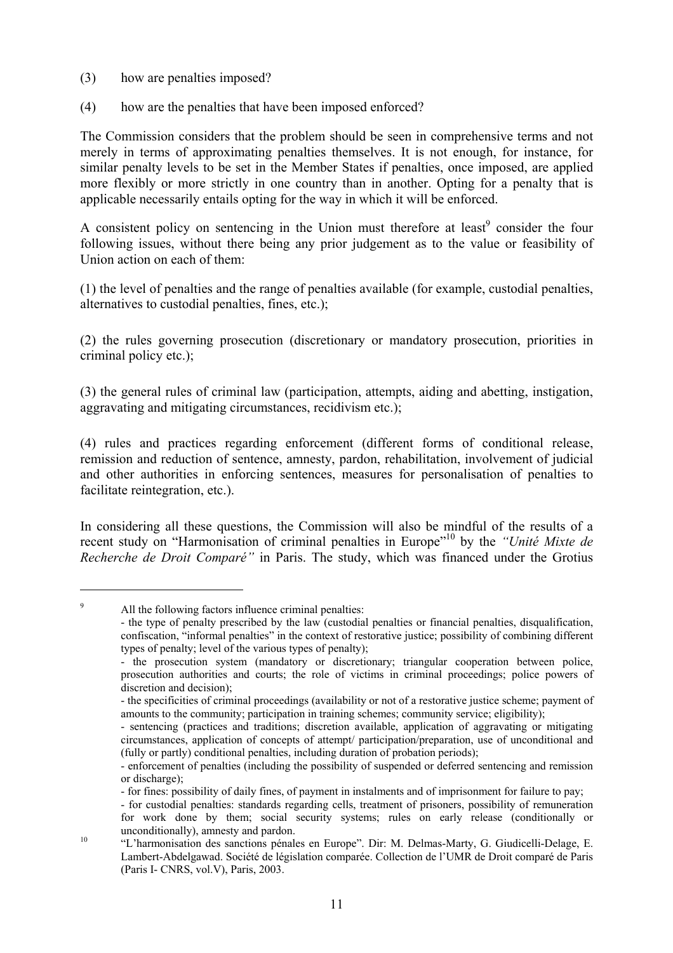- (3) how are penalties imposed?
- (4) how are the penalties that have been imposed enforced?

The Commission considers that the problem should be seen in comprehensive terms and not merely in terms of approximating penalties themselves. It is not enough, for instance, for similar penalty levels to be set in the Member States if penalties, once imposed, are applied more flexibly or more strictly in one country than in another. Opting for a penalty that is applicable necessarily entails opting for the way in which it will be enforced.

A consistent policy on sentencing in the Union must therefore at least<sup>9</sup> consider the four following issues, without there being any prior judgement as to the value or feasibility of Union action on each of them:

(1) the level of penalties and the range of penalties available (for example, custodial penalties, alternatives to custodial penalties, fines, etc.);

(2) the rules governing prosecution (discretionary or mandatory prosecution, priorities in criminal policy etc.);

(3) the general rules of criminal law (participation, attempts, aiding and abetting, instigation, aggravating and mitigating circumstances, recidivism etc.);

(4) rules and practices regarding enforcement (different forms of conditional release, remission and reduction of sentence, amnesty, pardon, rehabilitation, involvement of judicial and other authorities in enforcing sentences, measures for personalisation of penalties to facilitate reintegration, etc.).

In considering all these questions, the Commission will also be mindful of the results of a recent study on "Harmonisation of criminal penalties in Europe"10 by the *"Unité Mixte de Recherche de Droit Comparé"* in Paris. The study, which was financed under the Grotius

9 All the following factors influence criminal penalties:

 <sup>-</sup> the type of penalty prescribed by the law (custodial penalties or financial penalties, disqualification, confiscation, "informal penalties" in the context of restorative justice; possibility of combining different types of penalty; level of the various types of penalty);

<sup>-</sup> the prosecution system (mandatory or discretionary; triangular cooperation between police, prosecution authorities and courts; the role of victims in criminal proceedings; police powers of discretion and decision);

 <sup>-</sup> the specificities of criminal proceedings (availability or not of a restorative justice scheme; payment of amounts to the community; participation in training schemes; community service; eligibility);

 <sup>-</sup> sentencing (practices and traditions; discretion available, application of aggravating or mitigating circumstances, application of concepts of attempt/ participation/preparation, use of unconditional and (fully or partly) conditional penalties, including duration of probation periods);

 <sup>-</sup> enforcement of penalties (including the possibility of suspended or deferred sentencing and remission or discharge);

 <sup>-</sup> for fines: possibility of daily fines, of payment in instalments and of imprisonment for failure to pay;

 <sup>-</sup> for custodial penalties: standards regarding cells, treatment of prisoners, possibility of remuneration for work done by them; social security systems; rules on early release (conditionally or unconditionally), amnesty and pardon.<br>
"L'harmonisation des sanctions pénales en Europe". Dir: M. Delmas-Marty, G. Giudicelli-Delage, E.

Lambert-Abdelgawad. Société de législation comparée. Collection de l'UMR de Droit comparé de Paris (Paris I- CNRS, vol.V), Paris, 2003.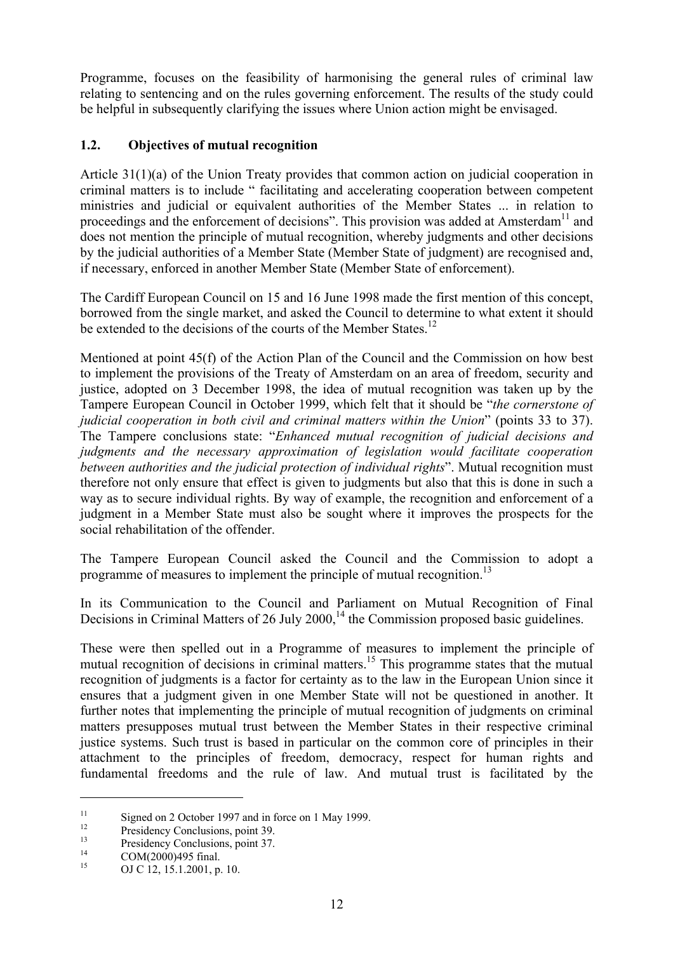Programme, focuses on the feasibility of harmonising the general rules of criminal law relating to sentencing and on the rules governing enforcement. The results of the study could be helpful in subsequently clarifying the issues where Union action might be envisaged.

## **1.2. Objectives of mutual recognition**

Article 31(1)(a) of the Union Treaty provides that common action on judicial cooperation in criminal matters is to include " facilitating and accelerating cooperation between competent ministries and judicial or equivalent authorities of the Member States ... in relation to proceedings and the enforcement of decisions". This provision was added at Amsterdam<sup>11</sup> and does not mention the principle of mutual recognition, whereby judgments and other decisions by the judicial authorities of a Member State (Member State of judgment) are recognised and, if necessary, enforced in another Member State (Member State of enforcement).

The Cardiff European Council on 15 and 16 June 1998 made the first mention of this concept, borrowed from the single market, and asked the Council to determine to what extent it should be extended to the decisions of the courts of the Member States.<sup>12</sup>

Mentioned at point 45(f) of the Action Plan of the Council and the Commission on how best to implement the provisions of the Treaty of Amsterdam on an area of freedom, security and justice, adopted on 3 December 1998, the idea of mutual recognition was taken up by the Tampere European Council in October 1999, which felt that it should be "*the cornerstone of judicial cooperation in both civil and criminal matters within the Union*" (points 33 to 37). The Tampere conclusions state: "*Enhanced mutual recognition of judicial decisions and judgments and the necessary approximation of legislation would facilitate cooperation between authorities and the judicial protection of individual rights*". Mutual recognition must therefore not only ensure that effect is given to judgments but also that this is done in such a way as to secure individual rights. By way of example, the recognition and enforcement of a judgment in a Member State must also be sought where it improves the prospects for the social rehabilitation of the offender.

The Tampere European Council asked the Council and the Commission to adopt a programme of measures to implement the principle of mutual recognition.<sup>13</sup>

In its Communication to the Council and Parliament on Mutual Recognition of Final Decisions in Criminal Matters of 26 July 2000,  $14$  the Commission proposed basic guidelines.

These were then spelled out in a Programme of measures to implement the principle of mutual recognition of decisions in criminal matters.<sup>15</sup> This programme states that the mutual recognition of judgments is a factor for certainty as to the law in the European Union since it ensures that a judgment given in one Member State will not be questioned in another. It further notes that implementing the principle of mutual recognition of judgments on criminal matters presupposes mutual trust between the Member States in their respective criminal justice systems. Such trust is based in particular on the common core of principles in their attachment to the principles of freedom, democracy, respect for human rights and fundamental freedoms and the rule of law. And mutual trust is facilitated by the

<sup>&</sup>lt;sup>11</sup> Signed on 2 October 1997 and in force on 1 May 1999.<br>
<sup>12</sup> Presidency Conclusions, point 39.<br>
<sup>14</sup> COM(2000)495 final.<br>
OJ C 12, 15.1.2001, p. 10.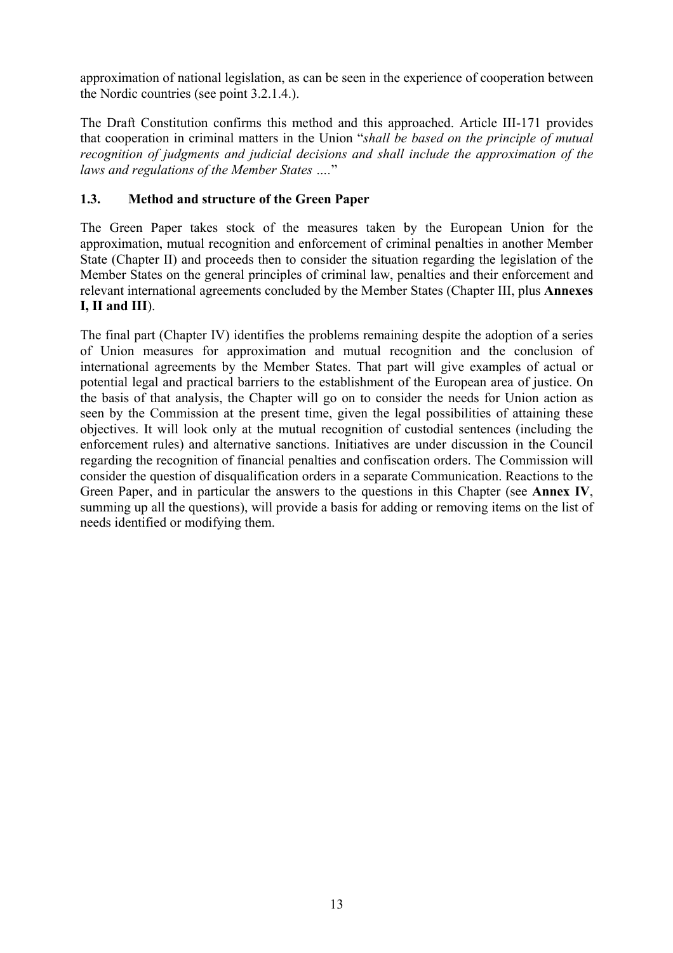approximation of national legislation, as can be seen in the experience of cooperation between the Nordic countries (see point 3.2.1.4.).

The Draft Constitution confirms this method and this approached. Article III-171 provides that cooperation in criminal matters in the Union "*shall be based on the principle of mutual recognition of judgments and judicial decisions and shall include the approximation of the laws and regulations of the Member States ….*"

## **1.3. Method and structure of the Green Paper**

The Green Paper takes stock of the measures taken by the European Union for the approximation, mutual recognition and enforcement of criminal penalties in another Member State (Chapter II) and proceeds then to consider the situation regarding the legislation of the Member States on the general principles of criminal law, penalties and their enforcement and relevant international agreements concluded by the Member States (Chapter III, plus **Annexes I, II and III**).

The final part (Chapter IV) identifies the problems remaining despite the adoption of a series of Union measures for approximation and mutual recognition and the conclusion of international agreements by the Member States. That part will give examples of actual or potential legal and practical barriers to the establishment of the European area of justice. On the basis of that analysis, the Chapter will go on to consider the needs for Union action as seen by the Commission at the present time, given the legal possibilities of attaining these objectives. It will look only at the mutual recognition of custodial sentences (including the enforcement rules) and alternative sanctions. Initiatives are under discussion in the Council regarding the recognition of financial penalties and confiscation orders. The Commission will consider the question of disqualification orders in a separate Communication. Reactions to the Green Paper, and in particular the answers to the questions in this Chapter (see **Annex IV**, summing up all the questions), will provide a basis for adding or removing items on the list of needs identified or modifying them.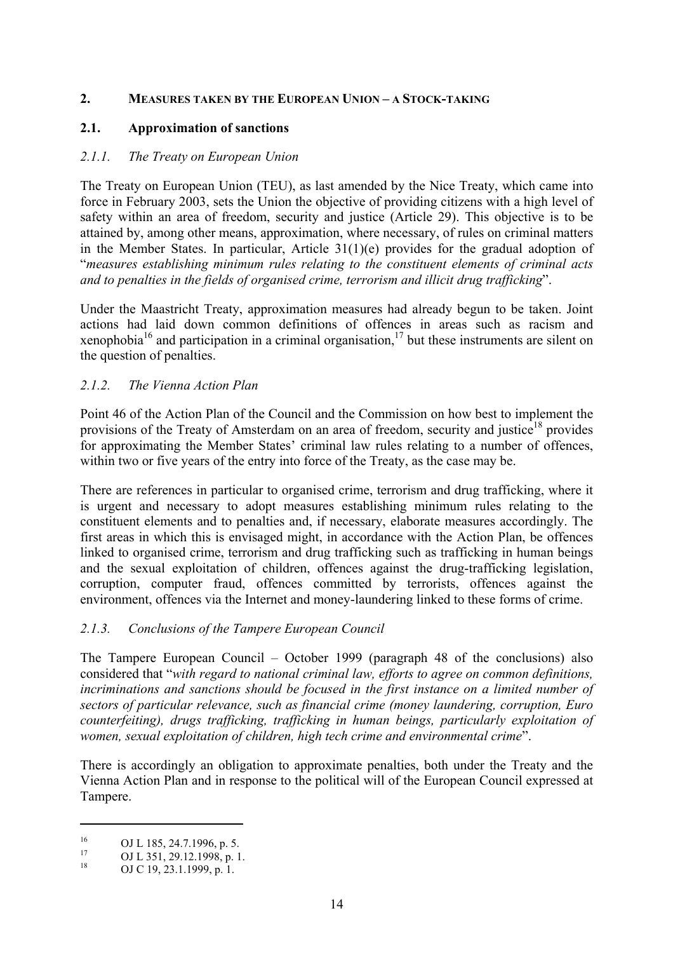#### **2. MEASURES TAKEN BY THE EUROPEAN UNION – A STOCK-TAKING**

#### **2.1. Approximation of sanctions**

## *2.1.1. The Treaty on European Union*

The Treaty on European Union (TEU), as last amended by the Nice Treaty, which came into force in February 2003, sets the Union the objective of providing citizens with a high level of safety within an area of freedom, security and justice (Article 29). This objective is to be attained by, among other means, approximation, where necessary, of rules on criminal matters in the Member States. In particular, Article 31(1)(e) provides for the gradual adoption of "*measures establishing minimum rules relating to the constituent elements of criminal acts and to penalties in the fields of organised crime, terrorism and illicit drug trafficking*".

Under the Maastricht Treaty, approximation measures had already begun to be taken. Joint actions had laid down common definitions of offences in areas such as racism and xenophobia<sup>16</sup> and participation in a criminal organisation,<sup>17</sup> but these instruments are silent on the question of penalties.

## *2.1.2. The Vienna Action Plan*

Point 46 of the Action Plan of the Council and the Commission on how best to implement the provisions of the Treaty of Amsterdam on an area of freedom, security and justice<sup>18</sup> provides for approximating the Member States' criminal law rules relating to a number of offences, within two or five years of the entry into force of the Treaty, as the case may be.

There are references in particular to organised crime, terrorism and drug trafficking, where it is urgent and necessary to adopt measures establishing minimum rules relating to the constituent elements and to penalties and, if necessary, elaborate measures accordingly. The first areas in which this is envisaged might, in accordance with the Action Plan, be offences linked to organised crime, terrorism and drug trafficking such as trafficking in human beings and the sexual exploitation of children, offences against the drug-trafficking legislation, corruption, computer fraud, offences committed by terrorists, offences against the environment, offences via the Internet and money-laundering linked to these forms of crime.

#### *2.1.3. Conclusions of the Tampere European Council*

The Tampere European Council – October 1999 (paragraph 48 of the conclusions) also considered that "*with regard to national criminal law, efforts to agree on common definitions, incriminations and sanctions should be focused in the first instance on a limited number of sectors of particular relevance, such as financial crime (money laundering, corruption, Euro counterfeiting), drugs trafficking, trafficking in human beings, particularly exploitation of women, sexual exploitation of children, high tech crime and environmental crime*".

There is accordingly an obligation to approximate penalties, both under the Treaty and the Vienna Action Plan and in response to the political will of the European Council expressed at Tampere.

<sup>16</sup> OJ L 185, 24.7.1996, p. 5.<br>
17 OJ L 351, 29.12.1998, p. 1.<br>
OJ C 19, 23.1.1999, p. 1.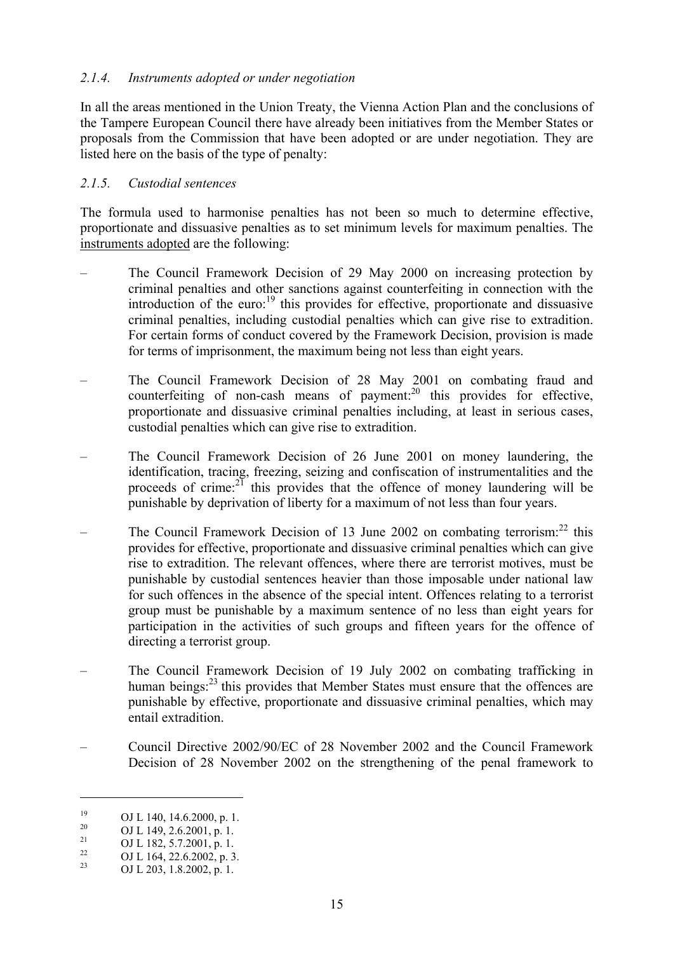#### *2.1.4. Instruments adopted or under negotiation*

In all the areas mentioned in the Union Treaty, the Vienna Action Plan and the conclusions of the Tampere European Council there have already been initiatives from the Member States or proposals from the Commission that have been adopted or are under negotiation. They are listed here on the basis of the type of penalty:

#### *2.1.5. Custodial sentences*

The formula used to harmonise penalties has not been so much to determine effective, proportionate and dissuasive penalties as to set minimum levels for maximum penalties. The instruments adopted are the following:

- The Council Framework Decision of 29 May 2000 on increasing protection by criminal penalties and other sanctions against counterfeiting in connection with the introduction of the euro: $\frac{19}{9}$  this provides for effective, proportionate and dissuasive criminal penalties, including custodial penalties which can give rise to extradition. For certain forms of conduct covered by the Framework Decision, provision is made for terms of imprisonment, the maximum being not less than eight years.
- The Council Framework Decision of 28 May 2001 on combating fraud and counterfeiting of non-cash means of payment: $20$  this provides for effective, proportionate and dissuasive criminal penalties including, at least in serious cases, custodial penalties which can give rise to extradition.
- The Council Framework Decision of 26 June 2001 on money laundering, the identification, tracing, freezing, seizing and confiscation of instrumentalities and the proceeds of crime: $2^{\gamma}$  this provides that the offence of money laundering will be punishable by deprivation of liberty for a maximum of not less than four years.
- The Council Framework Decision of 13 June 2002 on combating terrorism: $^{22}$  this provides for effective, proportionate and dissuasive criminal penalties which can give rise to extradition. The relevant offences, where there are terrorist motives, must be punishable by custodial sentences heavier than those imposable under national law for such offences in the absence of the special intent. Offences relating to a terrorist group must be punishable by a maximum sentence of no less than eight years for participation in the activities of such groups and fifteen years for the offence of directing a terrorist group.
- The Council Framework Decision of 19 July 2002 on combating trafficking in human beings: $^{23}$  this provides that Member States must ensure that the offences are punishable by effective, proportionate and dissuasive criminal penalties, which may entail extradition.
- Council Directive 2002/90/EC of 28 November 2002 and the Council Framework Decision of 28 November 2002 on the strengthening of the penal framework to

<sup>&</sup>lt;sup>19</sup> OJ L 140, 14.6.2000, p. 1.<br>
<sup>20</sup> OJ L 149, 2.6.2001, p. 1.<br>
OJ L 182, 5.7.2001, p. 1.<br>
OJ L 164, 22.6.2002, p. 3.<br>
OJ L 203, 1.8.2002, p. 1.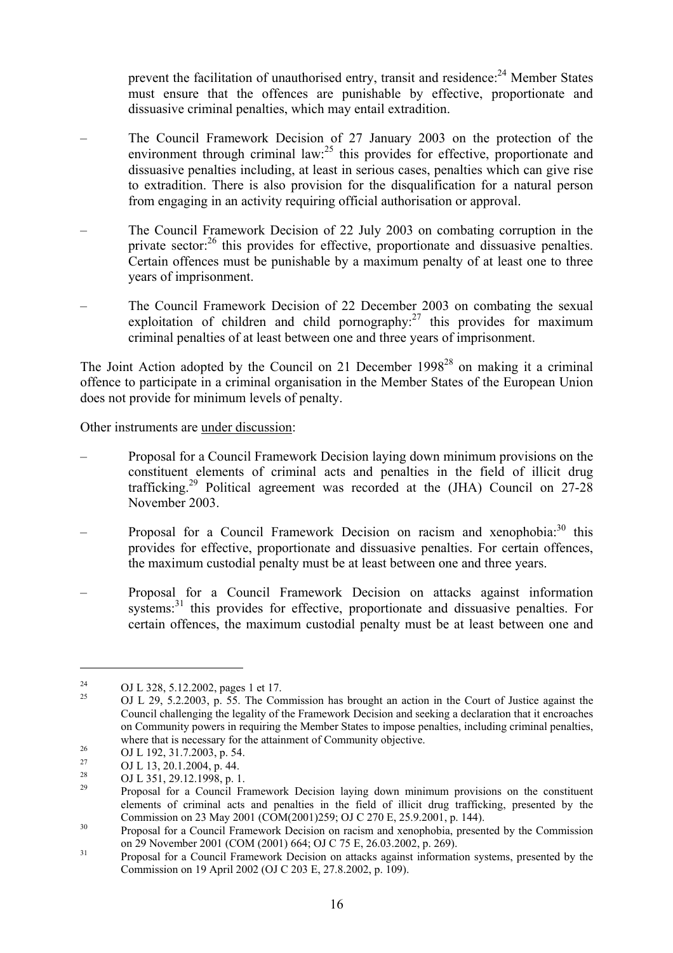prevent the facilitation of unauthorised entry, transit and residence:<sup>24</sup> Member States must ensure that the offences are punishable by effective, proportionate and dissuasive criminal penalties, which may entail extradition.

- The Council Framework Decision of 27 January 2003 on the protection of the environment through criminal law: $^{25}$  this provides for effective, proportionate and dissuasive penalties including, at least in serious cases, penalties which can give rise to extradition. There is also provision for the disqualification for a natural person from engaging in an activity requiring official authorisation or approval.
- The Council Framework Decision of 22 July 2003 on combating corruption in the private sector:<sup>26</sup> this provides for effective, proportionate and dissuasive penalties. Certain offences must be punishable by a maximum penalty of at least one to three years of imprisonment.
- The Council Framework Decision of 22 December 2003 on combating the sexual exploitation of children and child pornography: $27$  this provides for maximum criminal penalties of at least between one and three years of imprisonment.

The Joint Action adopted by the Council on 21 December  $1998^{28}$  on making it a criminal offence to participate in a criminal organisation in the Member States of the European Union does not provide for minimum levels of penalty.

Other instruments are under discussion:

- Proposal for a Council Framework Decision laying down minimum provisions on the constituent elements of criminal acts and penalties in the field of illicit drug trafficking.<sup>29</sup> Political agreement was recorded at the (JHA) Council on  $27-28$ November 2003.
- Proposal for a Council Framework Decision on racism and xenophobia: $30$  this provides for effective, proportionate and dissuasive penalties. For certain offences, the maximum custodial penalty must be at least between one and three years.
- Proposal for a Council Framework Decision on attacks against information systems:<sup>31</sup> this provides for effective, proportionate and dissuasive penalties. For certain offences, the maximum custodial penalty must be at least between one and

<sup>&</sup>lt;sup>24</sup> OJ L 328, 5.12.2002, pages 1 et 17.<br><sup>25</sup> OJ L 29, 5.2.2003, p. 55. The Commission has brought an action in the Court of Justice against the Council challenging the legality of the Framework Decision and seeking a declaration that it encroaches on Community powers in requiring the Member States to impose penalties, including criminal penalties, where that is necessary for the attainment of Community objective.<br>
OJ L 192, 31.7.2003, p. 54.<br>
OJ L 13, 20.1.2004, p. 44.<br>
OJ L 351, 29.12.1998, p. 1.<br>
Proposal for a Council Framework Decision laving down minimum provi

elements of criminal acts and penalties in the field of illicit drug trafficking, presented by the Commission on  $23$  May  $2001$  (COM( $2001$ ) $259$ ; OJ C  $270$  E,  $25.9.2001$ , p. 144).

<sup>&</sup>lt;sup>30</sup> Proposal for a Council Framework Decision on racism and xenophobia, presented by the Commission on 29 November 2001 (COM (2001) 664; OJ C 75 E, 26.03.2002, p. 269).<br><sup>31</sup> Proposal for a Council Framework Decision on attacks against information systems, presented by the

Commission on 19 April 2002 (OJ C 203 E, 27.8.2002, p. 109).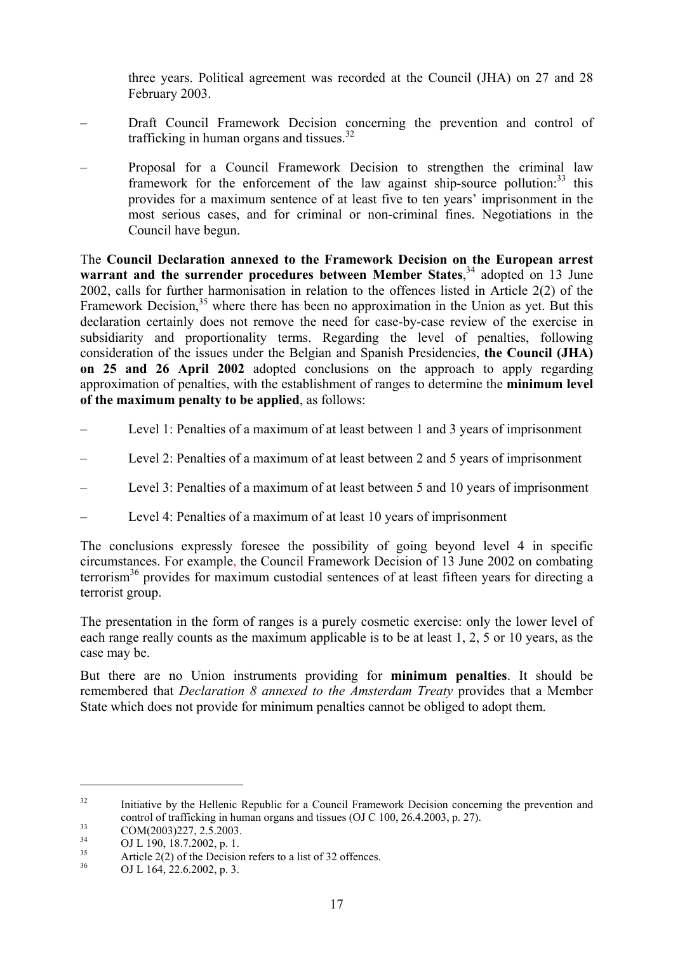three years. Political agreement was recorded at the Council (JHA) on 27 and 28 February 2003.

- Draft Council Framework Decision concerning the prevention and control of trafficking in human organs and tissues. $32$
- Proposal for a Council Framework Decision to strengthen the criminal law framework for the enforcement of the law against ship-source pollution:  $33$  this provides for a maximum sentence of at least five to ten years' imprisonment in the most serious cases, and for criminal or non-criminal fines. Negotiations in the Council have begun.

The **Council Declaration annexed to the Framework Decision on the European arrest**  warrant and the surrender procedures between Member States,<sup>34</sup> adopted on 13 June 2002, calls for further harmonisation in relation to the offences listed in Article 2(2) of the Framework Decision, $35$  where there has been no approximation in the Union as yet. But this declaration certainly does not remove the need for case-by-case review of the exercise in subsidiarity and proportionality terms. Regarding the level of penalties, following consideration of the issues under the Belgian and Spanish Presidencies, **the Council (JHA) on 25 and 26 April 2002** adopted conclusions on the approach to apply regarding approximation of penalties, with the establishment of ranges to determine the **minimum level of the maximum penalty to be applied**, as follows:

- Level 1: Penalties of a maximum of at least between 1 and 3 years of imprisonment
- Level 2: Penalties of a maximum of at least between 2 and 5 years of imprisonment
- Level 3: Penalties of a maximum of at least between 5 and 10 years of imprisonment
- Level 4: Penalties of a maximum of at least 10 years of imprisonment

The conclusions expressly foresee the possibility of going beyond level 4 in specific circumstances. For example, the Council Framework Decision of 13 June 2002 on combating terrorism<sup>36</sup> provides for maximum custodial sentences of at least fifteen years for directing a terrorist group.

The presentation in the form of ranges is a purely cosmetic exercise: only the lower level of each range really counts as the maximum applicable is to be at least 1, 2, 5 or 10 years, as the case may be.

But there are no Union instruments providing for **minimum penalties**. It should be remembered that *Declaration 8 annexed to the Amsterdam Treaty* provides that a Member State which does not provide for minimum penalties cannot be obliged to adopt them.

<sup>&</sup>lt;sup>32</sup> Initiative by the Hellenic Republic for a Council Framework Decision concerning the prevention and control of trafficking in human organs and tissues (OJ C 100, 26.4.2003, p. 27).<br>COM(2003)227, 2.5.2003.<br>OJ L 190, 18.7.2002, p. 1.<br>Article 2(2) of the Decision refers to a list of 32 offences.<br>OJ L 164, 22.6.2002, p. 3.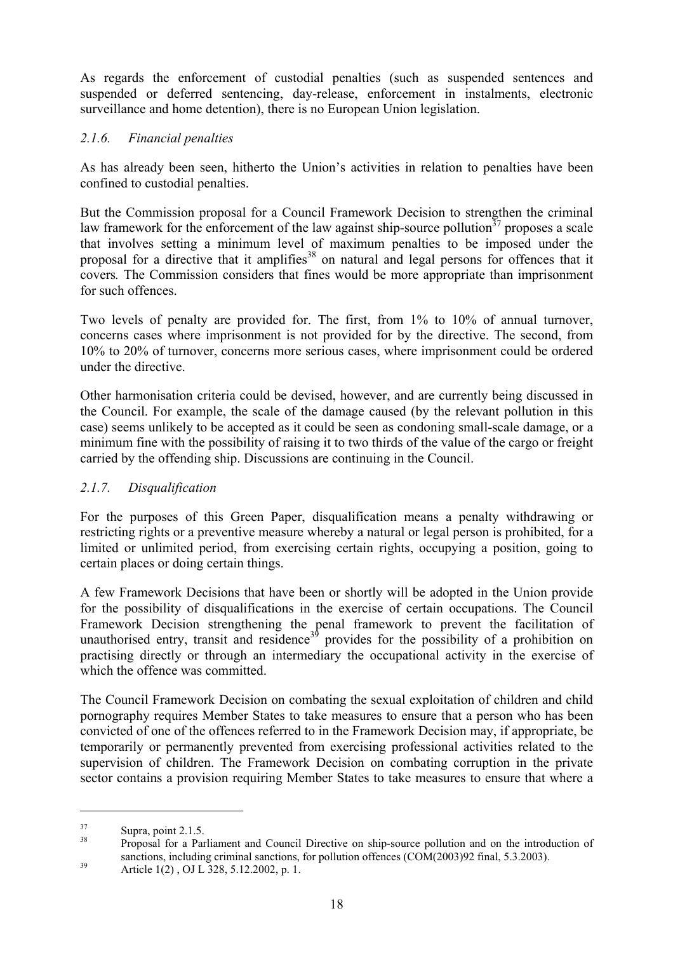As regards the enforcement of custodial penalties (such as suspended sentences and suspended or deferred sentencing, day-release, enforcement in instalments, electronic surveillance and home detention), there is no European Union legislation.

# *2.1.6. Financial penalties*

As has already been seen, hitherto the Union's activities in relation to penalties have been confined to custodial penalties.

But the Commission proposal for a Council Framework Decision to strengthen the criminal law framework for the enforcement of the law against ship-source pollution<sup>37</sup> proposes a scale that involves setting a minimum level of maximum penalties to be imposed under the proposal for a directive that it amplifies<sup>38</sup> on natural and legal persons for offences that it covers*.* The Commission considers that fines would be more appropriate than imprisonment for such offences.

Two levels of penalty are provided for. The first, from 1% to 10% of annual turnover, concerns cases where imprisonment is not provided for by the directive. The second, from 10% to 20% of turnover, concerns more serious cases, where imprisonment could be ordered under the directive.

Other harmonisation criteria could be devised, however, and are currently being discussed in the Council. For example, the scale of the damage caused (by the relevant pollution in this case) seems unlikely to be accepted as it could be seen as condoning small-scale damage, or a minimum fine with the possibility of raising it to two thirds of the value of the cargo or freight carried by the offending ship. Discussions are continuing in the Council.

# *2.1.7. Disqualification*

For the purposes of this Green Paper, disqualification means a penalty withdrawing or restricting rights or a preventive measure whereby a natural or legal person is prohibited, for a limited or unlimited period, from exercising certain rights, occupying a position, going to certain places or doing certain things.

A few Framework Decisions that have been or shortly will be adopted in the Union provide for the possibility of disqualifications in the exercise of certain occupations. The Council Framework Decision strengthening the penal framework to prevent the facilitation of unauthorised entry, transit and residence<sup>39</sup> provides for the possibility of a prohibition on practising directly or through an intermediary the occupational activity in the exercise of which the offence was committed.

The Council Framework Decision on combating the sexual exploitation of children and child pornography requires Member States to take measures to ensure that a person who has been convicted of one of the offences referred to in the Framework Decision may, if appropriate, be temporarily or permanently prevented from exercising professional activities related to the supervision of children. The Framework Decision on combating corruption in the private sector contains a provision requiring Member States to take measures to ensure that where a

<sup>&</sup>lt;sup>37</sup> Supra, point 2.1.5.<br><sup>38</sup> Proposal for a Parliament and Council Directive on ship-source pollution and on the introduction of sanctions, including criminal sanctions, for pollution offences (COM(2003)92 final, 5.3.2003).<br>Article 1(2), OJ L 328, 5.12.2002, p. 1.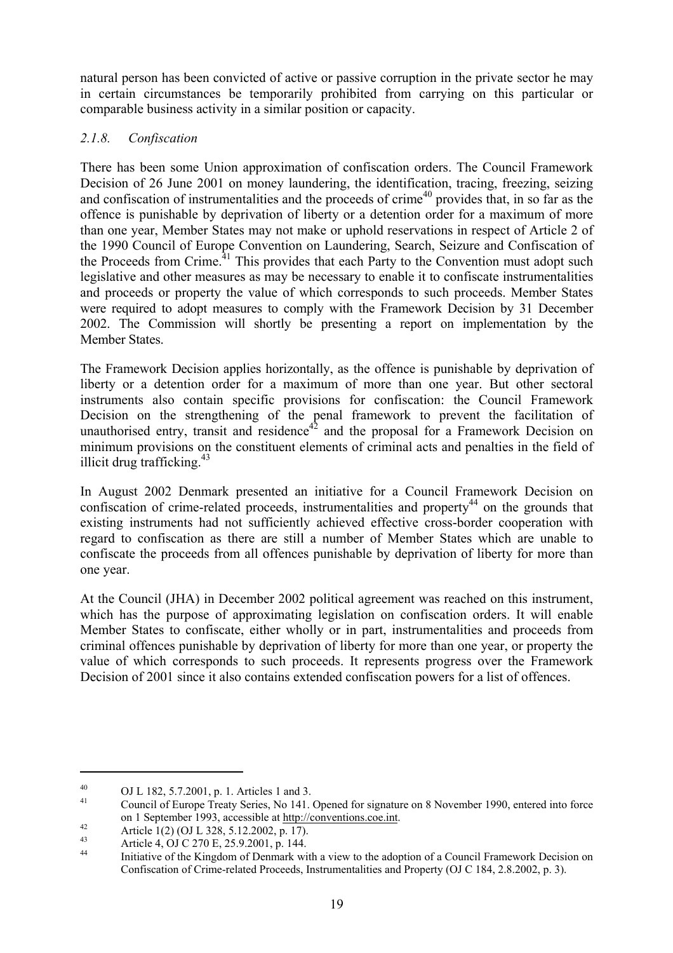natural person has been convicted of active or passive corruption in the private sector he may in certain circumstances be temporarily prohibited from carrying on this particular or comparable business activity in a similar position or capacity.

# *2.1.8. Confiscation*

There has been some Union approximation of confiscation orders. The Council Framework Decision of 26 June 2001 on money laundering, the identification, tracing, freezing, seizing and confiscation of instrumentalities and the proceeds of crime<sup>40</sup> provides that, in so far as the offence is punishable by deprivation of liberty or a detention order for a maximum of more than one year, Member States may not make or uphold reservations in respect of Article 2 of the 1990 Council of Europe Convention on Laundering, Search, Seizure and Confiscation of the Proceeds from Crime.<sup>41</sup> This provides that each Party to the Convention must adopt such legislative and other measures as may be necessary to enable it to confiscate instrumentalities and proceeds or property the value of which corresponds to such proceeds. Member States were required to adopt measures to comply with the Framework Decision by 31 December 2002. The Commission will shortly be presenting a report on implementation by the Member States.

The Framework Decision applies horizontally, as the offence is punishable by deprivation of liberty or a detention order for a maximum of more than one year. But other sectoral instruments also contain specific provisions for confiscation: the Council Framework Decision on the strengthening of the penal framework to prevent the facilitation of unauthorised entry, transit and residence<sup>42</sup> and the proposal for a Framework Decision on minimum provisions on the constituent elements of criminal acts and penalties in the field of illicit drug trafficking. $43$ 

In August 2002 Denmark presented an initiative for a Council Framework Decision on confiscation of crime-related proceeds, instrumentalities and property<sup>44</sup> on the grounds that existing instruments had not sufficiently achieved effective cross-border cooperation with regard to confiscation as there are still a number of Member States which are unable to confiscate the proceeds from all offences punishable by deprivation of liberty for more than one year.

At the Council (JHA) in December 2002 political agreement was reached on this instrument, which has the purpose of approximating legislation on confiscation orders. It will enable Member States to confiscate, either wholly or in part, instrumentalities and proceeds from criminal offences punishable by deprivation of liberty for more than one year, or property the value of which corresponds to such proceeds. It represents progress over the Framework Decision of 2001 since it also contains extended confiscation powers for a list of offences.

<sup>40</sup> OJ L 182, 5.7.2001, p. 1. Articles 1 and 3.<br>
41 Council of Europe Treaty Series, No 141. Opened for signature on 8 November 1990, entered into force on 1 September 1993, accessible at <u>http://conventions.coe.int</u>.<br>
Article 1(2) (OJ L 328, 5.12.2002, p. 17).<br>
Article 4, OJ C 270 E, 25.9.2001, p. 144.<br>
Initiative of the Kingdom of Denmark with a view to the adoption of a

Confiscation of Crime-related Proceeds, Instrumentalities and Property (OJ C 184, 2.8.2002, p. 3).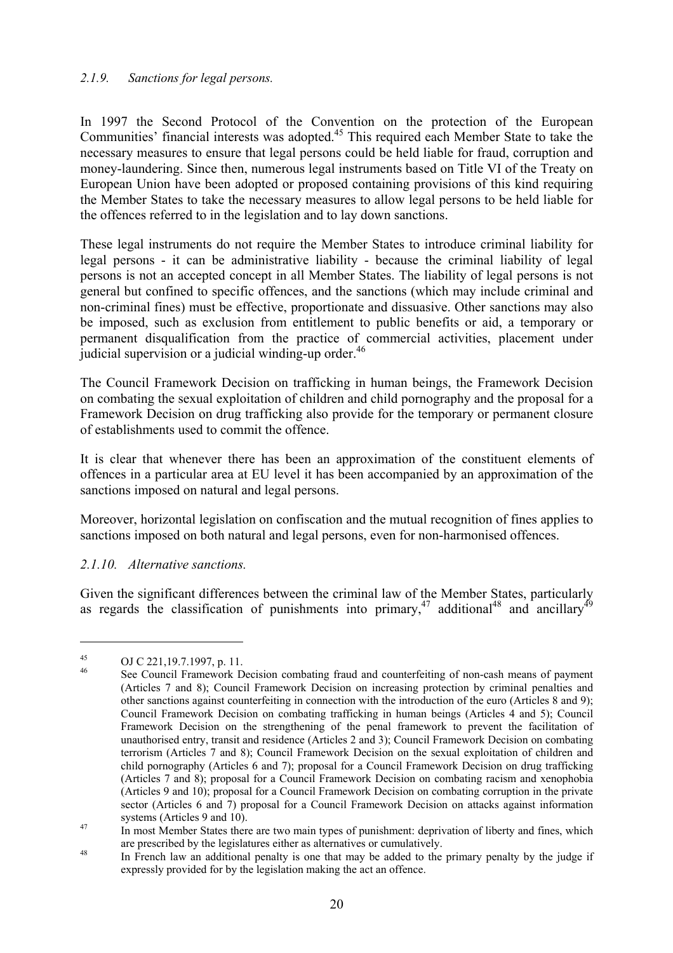#### *2.1.9. Sanctions for legal persons.*

In 1997 the Second Protocol of the Convention on the protection of the European Communities' financial interests was adopted.45 This required each Member State to take the necessary measures to ensure that legal persons could be held liable for fraud, corruption and money-laundering. Since then, numerous legal instruments based on Title VI of the Treaty on European Union have been adopted or proposed containing provisions of this kind requiring the Member States to take the necessary measures to allow legal persons to be held liable for the offences referred to in the legislation and to lay down sanctions.

These legal instruments do not require the Member States to introduce criminal liability for legal persons - it can be administrative liability - because the criminal liability of legal persons is not an accepted concept in all Member States. The liability of legal persons is not general but confined to specific offences, and the sanctions (which may include criminal and non-criminal fines) must be effective, proportionate and dissuasive. Other sanctions may also be imposed, such as exclusion from entitlement to public benefits or aid, a temporary or permanent disqualification from the practice of commercial activities, placement under judicial supervision or a judicial winding-up order. $46$ 

The Council Framework Decision on trafficking in human beings, the Framework Decision on combating the sexual exploitation of children and child pornography and the proposal for a Framework Decision on drug trafficking also provide for the temporary or permanent closure of establishments used to commit the offence.

It is clear that whenever there has been an approximation of the constituent elements of offences in a particular area at EU level it has been accompanied by an approximation of the sanctions imposed on natural and legal persons.

Moreover, horizontal legislation on confiscation and the mutual recognition of fines applies to sanctions imposed on both natural and legal persons, even for non-harmonised offences.

#### *2.1.10. Alternative sanctions.*

Given the significant differences between the criminal law of the Member States, particularly as regards the classification of punishments into primary,<sup>47</sup> additional<sup>48</sup> and ancillary<sup>49</sup>

<sup>&</sup>lt;sup>45</sup> OJ C 221, 19.7.1997, p. 11.<br><sup>46</sup> See Council Framework Decision combating fraud and counterfeiting of non-cash means of payment (Articles 7 and 8); Council Framework Decision on increasing protection by criminal penalties and other sanctions against counterfeiting in connection with the introduction of the euro (Articles 8 and 9); Council Framework Decision on combating trafficking in human beings (Articles 4 and 5); Council Framework Decision on the strengthening of the penal framework to prevent the facilitation of unauthorised entry, transit and residence (Articles 2 and 3); Council Framework Decision on combating terrorism (Articles 7 and 8); Council Framework Decision on the sexual exploitation of children and child pornography (Articles 6 and 7); proposal for a Council Framework Decision on drug trafficking (Articles 7 and 8); proposal for a Council Framework Decision on combating racism and xenophobia (Articles 9 and 10); proposal for a Council Framework Decision on combating corruption in the private sector (Articles 6 and 7) proposal for a Council Framework Decision on attacks against information

systems (Articles 9 and 10).<br>In most Member States there are two main types of punishment: deprivation of liberty and fines, which

are prescribed by the legislatures either as alternatives or cumulatively.<br><sup>48</sup> In French law an additional penalty is one that may be added to the primary penalty by the judge if expressly provided for by the legislation making the act an offence.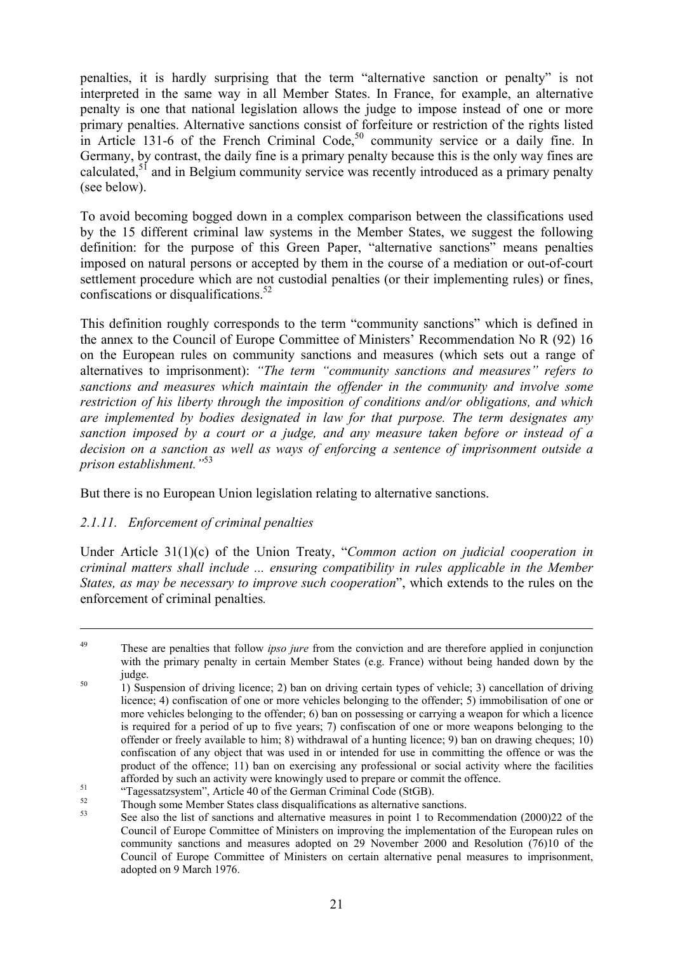penalties, it is hardly surprising that the term "alternative sanction or penalty" is not interpreted in the same way in all Member States. In France, for example, an alternative penalty is one that national legislation allows the judge to impose instead of one or more primary penalties. Alternative sanctions consist of forfeiture or restriction of the rights listed in Article 131-6 of the French Criminal Code,<sup>50</sup> community service or a daily fine. In Germany, by contrast, the daily fine is a primary penalty because this is the only way fines are calculated, $5<sup>1</sup>$  and in Belgium community service was recently introduced as a primary penalty (see below).

To avoid becoming bogged down in a complex comparison between the classifications used by the 15 different criminal law systems in the Member States, we suggest the following definition: for the purpose of this Green Paper, "alternative sanctions" means penalties imposed on natural persons or accepted by them in the course of a mediation or out-of-court settlement procedure which are not custodial penalties (or their implementing rules) or fines, confiscations or disqualifications. $52$ 

This definition roughly corresponds to the term "community sanctions" which is defined in the annex to the Council of Europe Committee of Ministers' Recommendation No R (92) 16 on the European rules on community sanctions and measures (which sets out a range of alternatives to imprisonment): *"The term "community sanctions and measures" refers to sanctions and measures which maintain the offender in the community and involve some restriction of his liberty through the imposition of conditions and/or obligations, and which are implemented by bodies designated in law for that purpose. The term designates any sanction imposed by a court or a judge, and any measure taken before or instead of a decision on a sanction as well as ways of enforcing a sentence of imprisonment outside a prison establishment."*<sup>53</sup>

But there is no European Union legislation relating to alternative sanctions.

# *2.1.11. Enforcement of criminal penalties*

 $\overline{a}$ 

Under Article 31(1)(c) of the Union Treaty, "*Common action on judicial cooperation in criminal matters shall include ... ensuring compatibility in rules applicable in the Member States, as may be necessary to improve such cooperation*", which extends to the rules on the enforcement of criminal penalties*.* 

<sup>&</sup>lt;sup>49</sup> These are penalties that follow *ipso jure* from the conviction and are therefore applied in conjunction with the primary penalty in certain Member States (e.g. France) without being handed down by the judge. 50 1) Suspension of driving licence; 2) ban on driving certain types of vehicle; 3) cancellation of driving

licence; 4) confiscation of one or more vehicles belonging to the offender; 5) immobilisation of one or more vehicles belonging to the offender; 6) ban on possessing or carrying a weapon for which a licence is required for a period of up to five years; 7) confiscation of one or more weapons belonging to the offender or freely available to him; 8) withdrawal of a hunting licence; 9) ban on drawing cheques; 10) confiscation of any object that was used in or intended for use in committing the offence or was the product of the offence; 11) ban on exercising any professional or social activity where the facilities afforded by such an activity were knowingly used to prepare or commit the offence.<br>
"Tagessatzsystem", Article 40 of the German Criminal Code (StGB).<br>
The value ages Manukan States along discussifications as alternative ag

 $53$  Though some Member States class disqualifications as alternative sanctions.<br>See also the list of sanctions and alternative measures in point 1 to Recommendation (2000)22 of the Council of Europe Committee of Ministers on improving the implementation of the European rules on community sanctions and measures adopted on 29 November 2000 and Resolution (76)10 of the Council of Europe Committee of Ministers on certain alternative penal measures to imprisonment, adopted on 9 March 1976.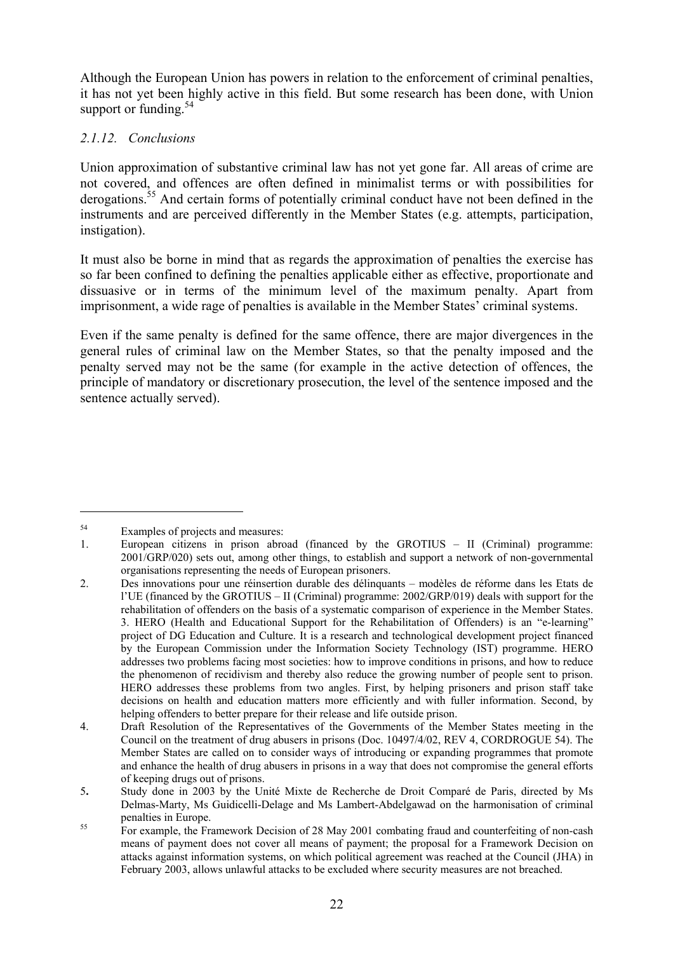Although the European Union has powers in relation to the enforcement of criminal penalties, it has not yet been highly active in this field. But some research has been done, with Union support or funding.<sup>54</sup>

# *2.1.12. Conclusions*

Union approximation of substantive criminal law has not yet gone far. All areas of crime are not covered, and offences are often defined in minimalist terms or with possibilities for derogations.<sup>55</sup> And certain forms of potentially criminal conduct have not been defined in the instruments and are perceived differently in the Member States (e.g. attempts, participation, instigation).

It must also be borne in mind that as regards the approximation of penalties the exercise has so far been confined to defining the penalties applicable either as effective, proportionate and dissuasive or in terms of the minimum level of the maximum penalty. Apart from imprisonment, a wide rage of penalties is available in the Member States' criminal systems.

Even if the same penalty is defined for the same offence, there are major divergences in the general rules of criminal law on the Member States, so that the penalty imposed and the penalty served may not be the same (for example in the active detection of offences, the principle of mandatory or discretionary prosecution, the level of the sentence imposed and the sentence actually served).

<sup>54</sup> Examples of projects and measures:

<sup>1.</sup> European citizens in prison abroad (financed by the GROTIUS – II (Criminal) programme: 2001/GRP/020) sets out, among other things, to establish and support a network of non-governmental organisations representing the needs of European prisoners.

<sup>2.</sup> Des innovations pour une réinsertion durable des délinquants – modèles de réforme dans les Etats de l'UE (financed by the GROTIUS – II (Criminal) programme: 2002/GRP/019) deals with support for the rehabilitation of offenders on the basis of a systematic comparison of experience in the Member States. 3. HERO (Health and Educational Support for the Rehabilitation of Offenders) is an "e-learning" project of DG Education and Culture. It is a research and technological development project financed by the European Commission under the Information Society Technology (IST) programme. HERO addresses two problems facing most societies: how to improve conditions in prisons, and how to reduce the phenomenon of recidivism and thereby also reduce the growing number of people sent to prison. HERO addresses these problems from two angles. First, by helping prisoners and prison staff take decisions on health and education matters more efficiently and with fuller information. Second, by helping offenders to better prepare for their release and life outside prison.

<sup>4.</sup> Draft Resolution of the Representatives of the Governments of the Member States meeting in the Council on the treatment of drug abusers in prisons (Doc. 10497/4/02, REV 4, CORDROGUE 54). The Member States are called on to consider ways of introducing or expanding programmes that promote and enhance the health of drug abusers in prisons in a way that does not compromise the general efforts of keeping drugs out of prisons.

<sup>5</sup>**.** Study done in 2003 by the Unité Mixte de Recherche de Droit Comparé de Paris, directed by Ms Delmas-Marty, Ms Guidicelli-Delage and Ms Lambert-Abdelgawad on the harmonisation of criminal penalties in Europe.<br>
For example, the Framework Decision of 28 May 2001 combating fraud and counterfeiting of non-cash

means of payment does not cover all means of payment; the proposal for a Framework Decision on attacks against information systems, on which political agreement was reached at the Council (JHA) in February 2003, allows unlawful attacks to be excluded where security measures are not breached.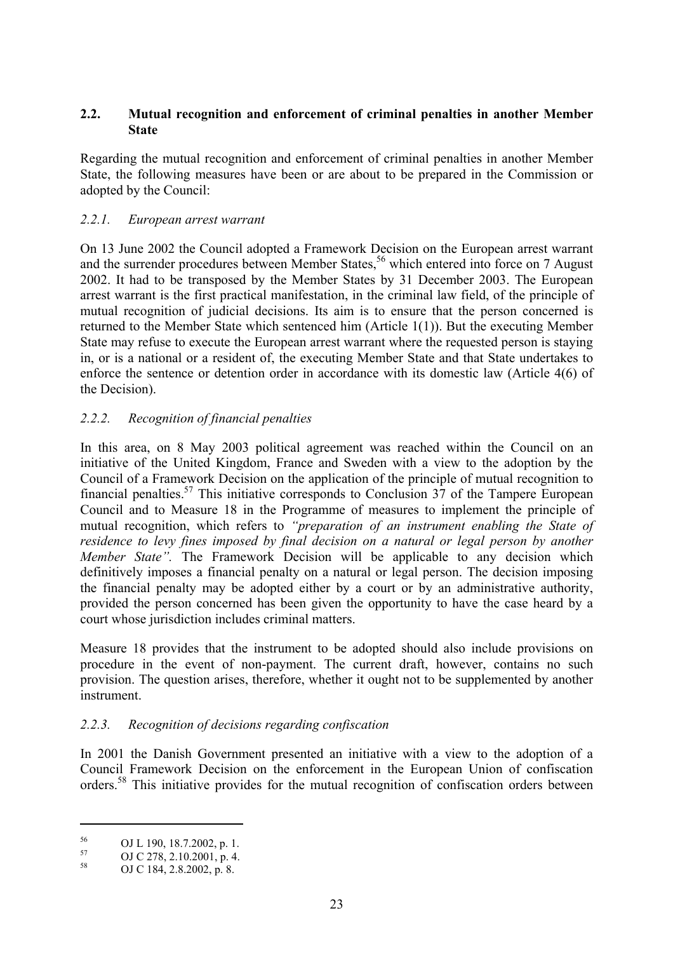#### **2.2. Mutual recognition and enforcement of criminal penalties in another Member State**

Regarding the mutual recognition and enforcement of criminal penalties in another Member State, the following measures have been or are about to be prepared in the Commission or adopted by the Council:

#### *2.2.1. European arrest warrant*

On 13 June 2002 the Council adopted a Framework Decision on the European arrest warrant and the surrender procedures between Member States,<sup>56</sup> which entered into force on 7 August 2002. It had to be transposed by the Member States by 31 December 2003. The European arrest warrant is the first practical manifestation, in the criminal law field, of the principle of mutual recognition of judicial decisions. Its aim is to ensure that the person concerned is returned to the Member State which sentenced him (Article 1(1)). But the executing Member State may refuse to execute the European arrest warrant where the requested person is staying in, or is a national or a resident of, the executing Member State and that State undertakes to enforce the sentence or detention order in accordance with its domestic law (Article 4(6) of the Decision).

# *2.2.2. Recognition of financial penalties*

In this area, on 8 May 2003 political agreement was reached within the Council on an initiative of the United Kingdom, France and Sweden with a view to the adoption by the Council of a Framework Decision on the application of the principle of mutual recognition to financial penalties.57 This initiative corresponds to Conclusion 37 of the Tampere European Council and to Measure 18 in the Programme of measures to implement the principle of mutual recognition, which refers to *"preparation of an instrument enabling the State of residence to levy fines imposed by final decision on a natural or legal person by another Member State".* The Framework Decision will be applicable to any decision which definitively imposes a financial penalty on a natural or legal person. The decision imposing the financial penalty may be adopted either by a court or by an administrative authority, provided the person concerned has been given the opportunity to have the case heard by a court whose jurisdiction includes criminal matters.

Measure 18 provides that the instrument to be adopted should also include provisions on procedure in the event of non-payment. The current draft, however, contains no such provision. The question arises, therefore, whether it ought not to be supplemented by another instrument.

#### *2.2.3. Recognition of decisions regarding confiscation*

In 2001 the Danish Government presented an initiative with a view to the adoption of a Council Framework Decision on the enforcement in the European Union of confiscation orders.58 This initiative provides for the mutual recognition of confiscation orders between

 $^{56}$  OJ L 190, 18.7.2002, p. 1.<br> $^{57}$  OJ C 279, 2.10.2001

 $57$  OJ C 278, 2.10.2001, p. 4.<br>OJ C 184, 2.8.2002, p. 8.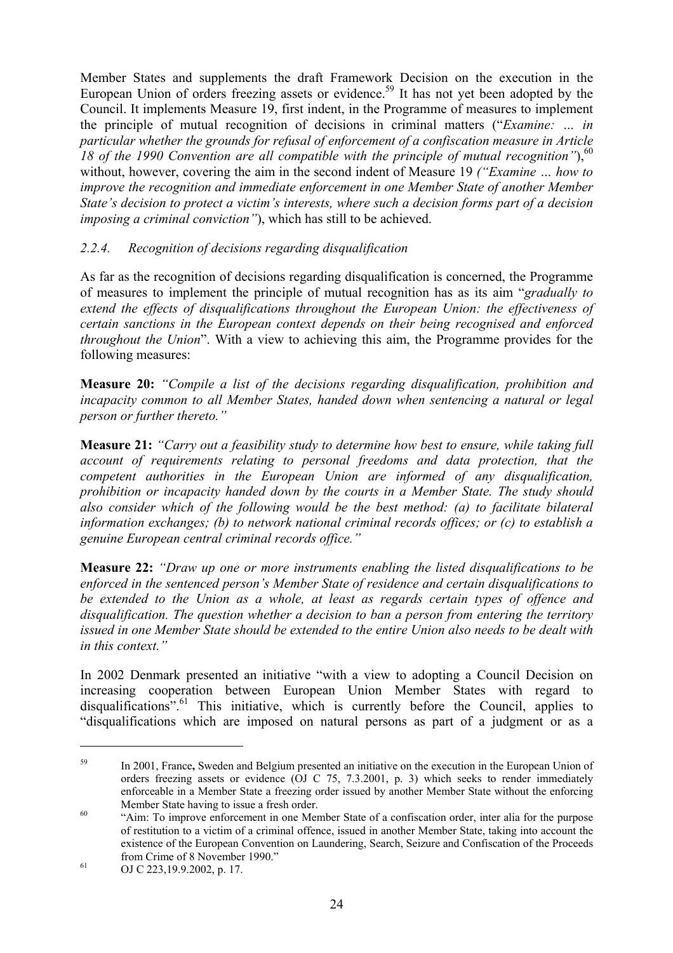Member States and supplements the draft Framework Decision on the execution in the European Union of orders freezing assets or evidence.<sup>59</sup> It has not yet been adopted by the Council. It implements Measure 19, first indent, in the Programme of measures to implement the principle of mutual recognition of decisions in criminal matters ("*Examine: … in particular whether the grounds for refusal of enforcement of a confiscation measure in Article 18 of the 1990 Convention are all compatible with the principle of mutual recognition*"),<sup>60</sup> without, however, covering the aim in the second indent of Measure 19 *("Examine … how to improve the recognition and immediate enforcement in one Member State of another Member State's decision to protect a victim's interests, where such a decision forms part of a decision imposing a criminal conviction"*), which has still to be achieved.

## *2.2.4. Recognition of decisions regarding disqualification*

As far as the recognition of decisions regarding disqualification is concerned, the Programme of measures to implement the principle of mutual recognition has as its aim "*gradually to extend the effects of disqualifications throughout the European Union: the effectiveness of certain sanctions in the European context depends on their being recognised and enforced throughout the Union*". With a view to achieving this aim, the Programme provides for the following measures:

**Measure 20:** *"Compile a list of the decisions regarding disqualification, prohibition and incapacity common to all Member States, handed down when sentencing a natural or legal person or further thereto."* 

**Measure 21:** *"Carry out a feasibility study to determine how best to ensure, while taking full account of requirements relating to personal freedoms and data protection, that the competent authorities in the European Union are informed of any disqualification, prohibition or incapacity handed down by the courts in a Member State. The study should also consider which of the following would be the best method: (a) to facilitate bilateral information exchanges; (b) to network national criminal records offices; or (c) to establish a genuine European central criminal records office."*

**Measure 22:** *"Draw up one or more instruments enabling the listed disqualifications to be enforced in the sentenced person's Member State of residence and certain disqualifications to be extended to the Union as a whole, at least as regards certain types of offence and disqualification. The question whether a decision to ban a person from entering the territory issued in one Member State should be extended to the entire Union also needs to be dealt with in this context."* 

In 2002 Denmark presented an initiative "with a view to adopting a Council Decision on increasing cooperation between European Union Member States with regard to disqualifications".<sup>61</sup> This initiative, which is currently before the Council, applies to "disqualifications which are imposed on natural persons as part of a judgment or as a

<sup>59</sup> In 2001, France**,** Sweden and Belgium presented an initiative on the execution in the European Union of orders freezing assets or evidence (OJ C 75, 7.3.2001, p. 3) which seeks to render immediately enforceable in a Member State a freezing order issued by another Member State without the enforcing

Member State having to issue a fresh order.<br>
"Aim: To improve enforcement in one Member State of a confiscation order, inter alia for the purpose of restitution to a victim of a criminal offence, issued in another Member State, taking into account the existence of the European Convention on Laundering, Search, Seizure and Confiscation of the Proceeds from Crime of 8 November 1990." 61 OJ C 223,19.9.2002, p. 17.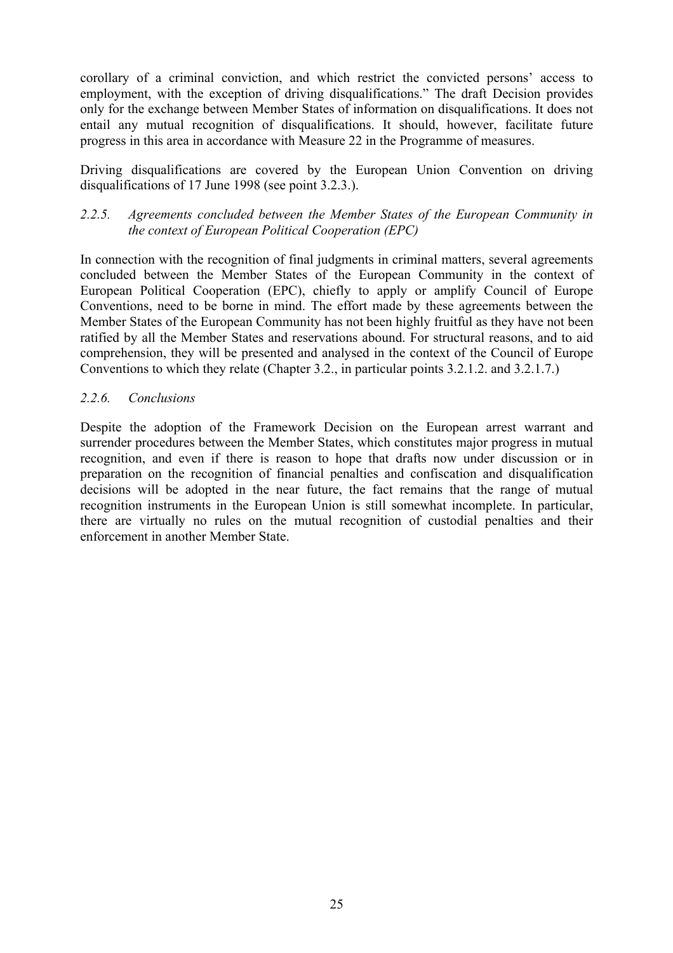corollary of a criminal conviction, and which restrict the convicted persons' access to employment, with the exception of driving disqualifications." The draft Decision provides only for the exchange between Member States of information on disqualifications. It does not entail any mutual recognition of disqualifications. It should, however, facilitate future progress in this area in accordance with Measure 22 in the Programme of measures.

Driving disqualifications are covered by the European Union Convention on driving disqualifications of 17 June 1998 (see point 3.2.3.).

#### *2.2.5. Agreements concluded between the Member States of the European Community in the context of European Political Cooperation (EPC)*

In connection with the recognition of final judgments in criminal matters, several agreements concluded between the Member States of the European Community in the context of European Political Cooperation (EPC), chiefly to apply or amplify Council of Europe Conventions, need to be borne in mind. The effort made by these agreements between the Member States of the European Community has not been highly fruitful as they have not been ratified by all the Member States and reservations abound. For structural reasons, and to aid comprehension, they will be presented and analysed in the context of the Council of Europe Conventions to which they relate (Chapter 3.2., in particular points 3.2.1.2. and 3.2.1.7.)

## *2.2.6. Conclusions*

Despite the adoption of the Framework Decision on the European arrest warrant and surrender procedures between the Member States, which constitutes major progress in mutual recognition, and even if there is reason to hope that drafts now under discussion or in preparation on the recognition of financial penalties and confiscation and disqualification decisions will be adopted in the near future, the fact remains that the range of mutual recognition instruments in the European Union is still somewhat incomplete. In particular, there are virtually no rules on the mutual recognition of custodial penalties and their enforcement in another Member State.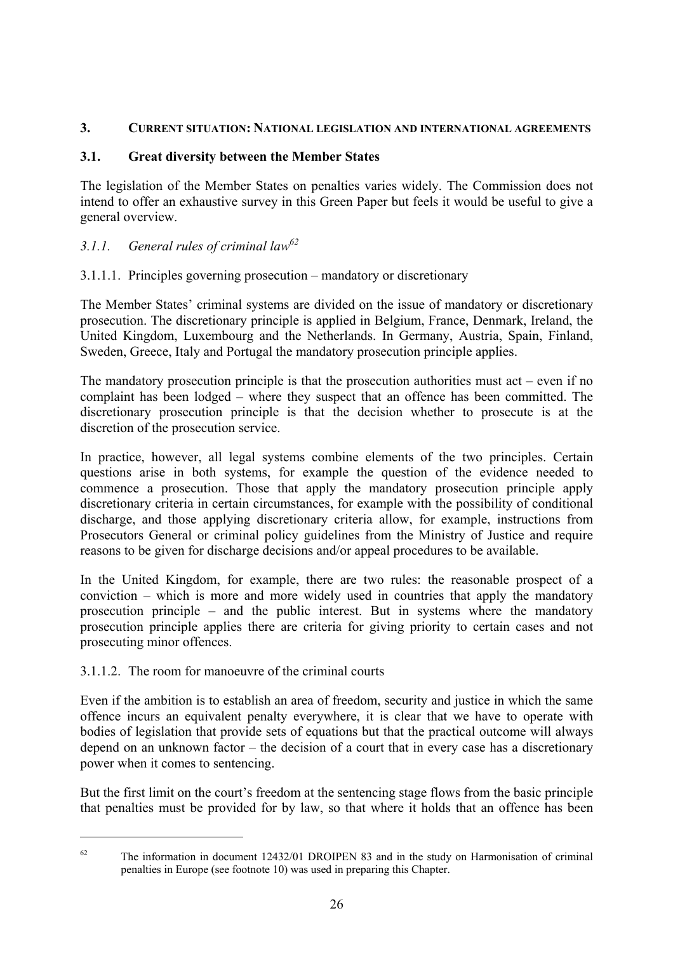#### **3. CURRENT SITUATION: NATIONAL LEGISLATION AND INTERNATIONAL AGREEMENTS**

## **3.1. Great diversity between the Member States**

The legislation of the Member States on penalties varies widely. The Commission does not intend to offer an exhaustive survey in this Green Paper but feels it would be useful to give a general overview.

# *3.1.1. General rules of criminal law62*

## 3.1.1.1. Principles governing prosecution – mandatory or discretionary

The Member States' criminal systems are divided on the issue of mandatory or discretionary prosecution. The discretionary principle is applied in Belgium, France, Denmark, Ireland, the United Kingdom, Luxembourg and the Netherlands. In Germany, Austria, Spain, Finland, Sweden, Greece, Italy and Portugal the mandatory prosecution principle applies.

The mandatory prosecution principle is that the prosecution authorities must act – even if no complaint has been lodged – where they suspect that an offence has been committed. The discretionary prosecution principle is that the decision whether to prosecute is at the discretion of the prosecution service.

In practice, however, all legal systems combine elements of the two principles. Certain questions arise in both systems, for example the question of the evidence needed to commence a prosecution. Those that apply the mandatory prosecution principle apply discretionary criteria in certain circumstances, for example with the possibility of conditional discharge, and those applying discretionary criteria allow, for example, instructions from Prosecutors General or criminal policy guidelines from the Ministry of Justice and require reasons to be given for discharge decisions and/or appeal procedures to be available.

In the United Kingdom, for example, there are two rules: the reasonable prospect of a conviction – which is more and more widely used in countries that apply the mandatory prosecution principle – and the public interest. But in systems where the mandatory prosecution principle applies there are criteria for giving priority to certain cases and not prosecuting minor offences.

#### 3.1.1.2. The room for manoeuvre of the criminal courts

 $\overline{a}$ 

Even if the ambition is to establish an area of freedom, security and justice in which the same offence incurs an equivalent penalty everywhere, it is clear that we have to operate with bodies of legislation that provide sets of equations but that the practical outcome will always depend on an unknown factor – the decision of a court that in every case has a discretionary power when it comes to sentencing.

But the first limit on the court's freedom at the sentencing stage flows from the basic principle that penalties must be provided for by law, so that where it holds that an offence has been

 $62$  The information in document 12432/01 DROIPEN 83 and in the study on Harmonisation of criminal penalties in Europe (see footnote 10) was used in preparing this Chapter.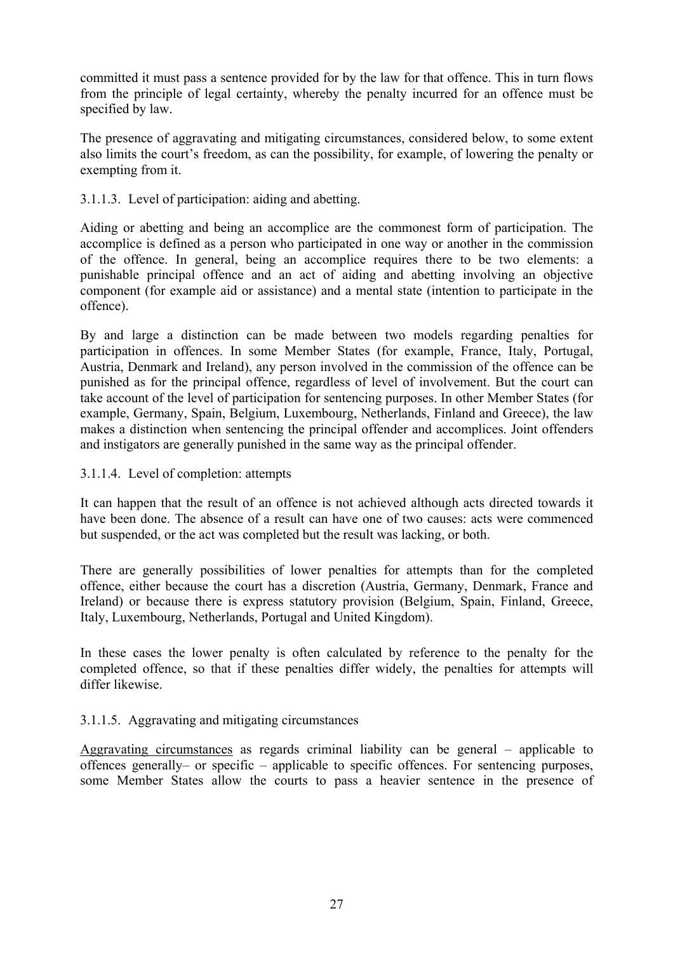committed it must pass a sentence provided for by the law for that offence. This in turn flows from the principle of legal certainty, whereby the penalty incurred for an offence must be specified by law.

The presence of aggravating and mitigating circumstances, considered below, to some extent also limits the court's freedom, as can the possibility, for example, of lowering the penalty or exempting from it.

3.1.1.3. Level of participation: aiding and abetting.

Aiding or abetting and being an accomplice are the commonest form of participation. The accomplice is defined as a person who participated in one way or another in the commission of the offence. In general, being an accomplice requires there to be two elements: a punishable principal offence and an act of aiding and abetting involving an objective component (for example aid or assistance) and a mental state (intention to participate in the offence).

By and large a distinction can be made between two models regarding penalties for participation in offences. In some Member States (for example, France, Italy, Portugal, Austria, Denmark and Ireland), any person involved in the commission of the offence can be punished as for the principal offence, regardless of level of involvement. But the court can take account of the level of participation for sentencing purposes. In other Member States (for example, Germany, Spain, Belgium, Luxembourg, Netherlands, Finland and Greece), the law makes a distinction when sentencing the principal offender and accomplices. Joint offenders and instigators are generally punished in the same way as the principal offender.

#### 3.1.1.4. Level of completion: attempts

It can happen that the result of an offence is not achieved although acts directed towards it have been done. The absence of a result can have one of two causes: acts were commenced but suspended, or the act was completed but the result was lacking, or both.

There are generally possibilities of lower penalties for attempts than for the completed offence, either because the court has a discretion (Austria, Germany, Denmark, France and Ireland) or because there is express statutory provision (Belgium, Spain, Finland, Greece, Italy, Luxembourg, Netherlands, Portugal and United Kingdom).

In these cases the lower penalty is often calculated by reference to the penalty for the completed offence, so that if these penalties differ widely, the penalties for attempts will differ likewise.

#### 3.1.1.5. Aggravating and mitigating circumstances

Aggravating circumstances as regards criminal liability can be general – applicable to offences generally– or specific – applicable to specific offences. For sentencing purposes, some Member States allow the courts to pass a heavier sentence in the presence of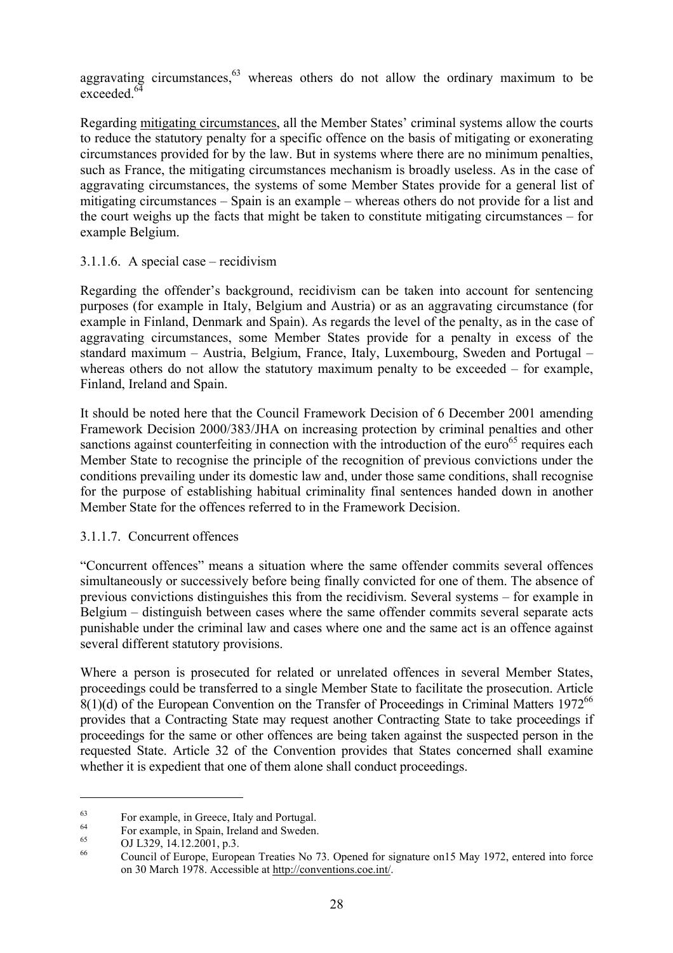aggravating circumstances,  $63$  whereas others do not allow the ordinary maximum to be exceeded.<sup>64</sup>

Regarding mitigating circumstances, all the Member States' criminal systems allow the courts to reduce the statutory penalty for a specific offence on the basis of mitigating or exonerating circumstances provided for by the law. But in systems where there are no minimum penalties, such as France, the mitigating circumstances mechanism is broadly useless. As in the case of aggravating circumstances, the systems of some Member States provide for a general list of mitigating circumstances – Spain is an example – whereas others do not provide for a list and the court weighs up the facts that might be taken to constitute mitigating circumstances – for example Belgium.

#### 3.1.1.6. A special case – recidivism

Regarding the offender's background, recidivism can be taken into account for sentencing purposes (for example in Italy, Belgium and Austria) or as an aggravating circumstance (for example in Finland, Denmark and Spain). As regards the level of the penalty, as in the case of aggravating circumstances, some Member States provide for a penalty in excess of the standard maximum – Austria, Belgium, France, Italy, Luxembourg, Sweden and Portugal – whereas others do not allow the statutory maximum penalty to be exceeded – for example, Finland, Ireland and Spain.

It should be noted here that the Council Framework Decision of 6 December 2001 amending Framework Decision 2000/383/JHA on increasing protection by criminal penalties and other sanctions against counterfeiting in connection with the introduction of the  $euro<sup>65</sup>$  requires each Member State to recognise the principle of the recognition of previous convictions under the conditions prevailing under its domestic law and, under those same conditions, shall recognise for the purpose of establishing habitual criminality final sentences handed down in another Member State for the offences referred to in the Framework Decision.

#### 3.1.1.7. Concurrent offences

"Concurrent offences" means a situation where the same offender commits several offences simultaneously or successively before being finally convicted for one of them. The absence of previous convictions distinguishes this from the recidivism. Several systems – for example in Belgium – distinguish between cases where the same offender commits several separate acts punishable under the criminal law and cases where one and the same act is an offence against several different statutory provisions.

Where a person is prosecuted for related or unrelated offences in several Member States, proceedings could be transferred to a single Member State to facilitate the prosecution. Article  $8(1)(d)$  of the European Convention on the Transfer of Proceedings in Criminal Matters 1972<sup>66</sup> provides that a Contracting State may request another Contracting State to take proceedings if proceedings for the same or other offences are being taken against the suspected person in the requested State. Article 32 of the Convention provides that States concerned shall examine whether it is expedient that one of them alone shall conduct proceedings.

 $^{63}$  For example, in Greece, Italy and Portugal.

<sup>&</sup>lt;sup>64</sup> For example, in Spain, Ireland and Sweden.<br>
OJ L329, 14.12.2001, p.3.

Council of Europe, European Treaties No 73. Opened for signature on15 May 1972, entered into force on 30 March 1978. Accessible at http://conventions.coe.int/.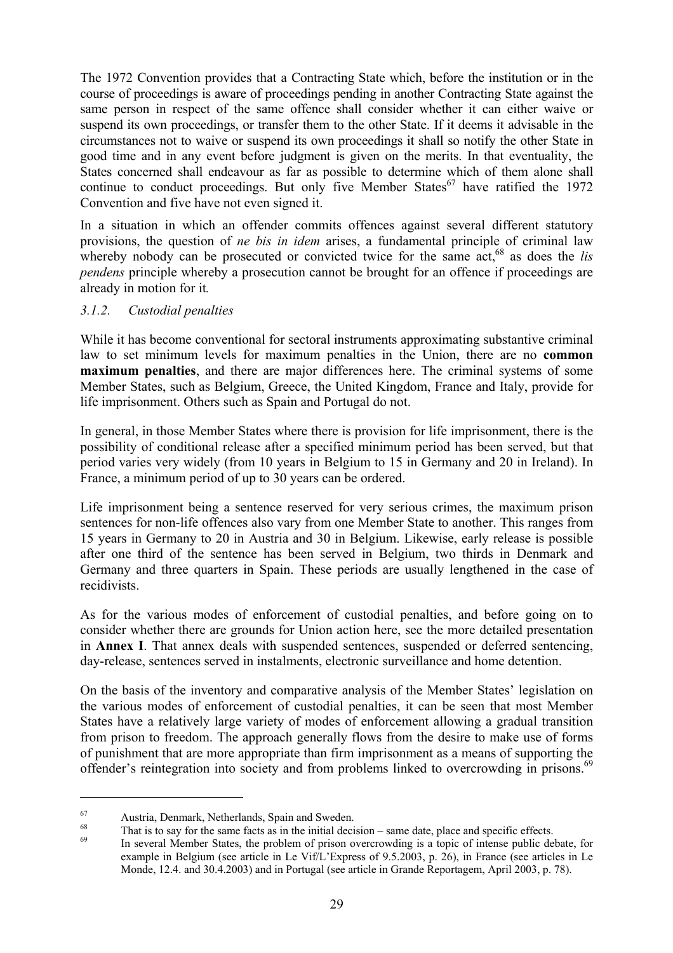The 1972 Convention provides that a Contracting State which, before the institution or in the course of proceedings is aware of proceedings pending in another Contracting State against the same person in respect of the same offence shall consider whether it can either waive or suspend its own proceedings, or transfer them to the other State. If it deems it advisable in the circumstances not to waive or suspend its own proceedings it shall so notify the other State in good time and in any event before judgment is given on the merits. In that eventuality, the States concerned shall endeavour as far as possible to determine which of them alone shall continue to conduct proceedings. But only five Member States<sup>67</sup> have ratified the 1972 Convention and five have not even signed it.

In a situation in which an offender commits offences against several different statutory provisions, the question of *ne bis in idem* arises, a fundamental principle of criminal law whereby nobody can be prosecuted or convicted twice for the same  $act<sub>68</sub>$  as does the *lis pendens* principle whereby a prosecution cannot be brought for an offence if proceedings are already in motion for it*.* 

#### *3.1.2. Custodial penalties*

While it has become conventional for sectoral instruments approximating substantive criminal law to set minimum levels for maximum penalties in the Union, there are no **common maximum penalties**, and there are major differences here. The criminal systems of some Member States, such as Belgium, Greece, the United Kingdom, France and Italy, provide for life imprisonment. Others such as Spain and Portugal do not.

In general, in those Member States where there is provision for life imprisonment, there is the possibility of conditional release after a specified minimum period has been served, but that period varies very widely (from 10 years in Belgium to 15 in Germany and 20 in Ireland). In France, a minimum period of up to 30 years can be ordered.

Life imprisonment being a sentence reserved for very serious crimes, the maximum prison sentences for non-life offences also vary from one Member State to another. This ranges from 15 years in Germany to 20 in Austria and 30 in Belgium. Likewise, early release is possible after one third of the sentence has been served in Belgium, two thirds in Denmark and Germany and three quarters in Spain. These periods are usually lengthened in the case of recidivists.

As for the various modes of enforcement of custodial penalties, and before going on to consider whether there are grounds for Union action here, see the more detailed presentation in **Annex I**. That annex deals with suspended sentences, suspended or deferred sentencing, day-release, sentences served in instalments, electronic surveillance and home detention.

On the basis of the inventory and comparative analysis of the Member States' legislation on the various modes of enforcement of custodial penalties, it can be seen that most Member States have a relatively large variety of modes of enforcement allowing a gradual transition from prison to freedom. The approach generally flows from the desire to make use of forms of punishment that are more appropriate than firm imprisonment as a means of supporting the offender's reintegration into society and from problems linked to overcrowding in prisons.<sup>69</sup>

<sup>67</sup> Austria, Denmark, Netherlands, Spain and Sweden.

 $^{68}$  That is to say for the same facts as in the initial decision – same date, place and specific effects.<br>In several Member States, the problem of prison overcrowding is a topic of intense public debate, for example in Belgium (see article in Le Vif/L'Express of 9.5.2003, p. 26), in France (see articles in Le Monde, 12.4. and 30.4.2003) and in Portugal (see article in Grande Reportagem, April 2003, p. 78).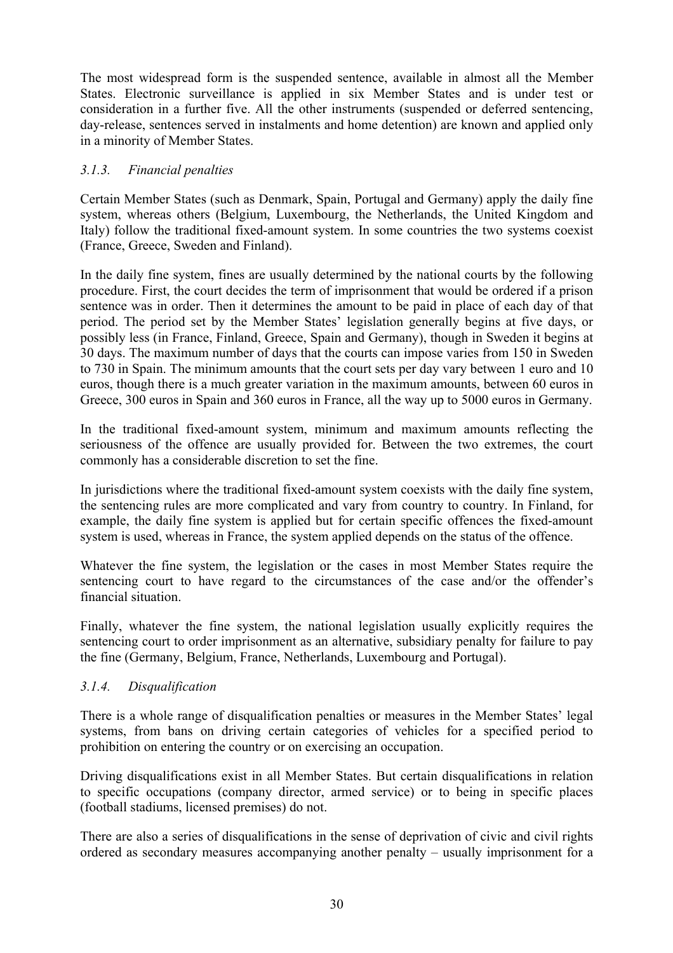The most widespread form is the suspended sentence, available in almost all the Member States. Electronic surveillance is applied in six Member States and is under test or consideration in a further five. All the other instruments (suspended or deferred sentencing, day-release, sentences served in instalments and home detention) are known and applied only in a minority of Member States.

#### *3.1.3. Financial penalties*

Certain Member States (such as Denmark, Spain, Portugal and Germany) apply the daily fine system, whereas others (Belgium, Luxembourg, the Netherlands, the United Kingdom and Italy) follow the traditional fixed-amount system. In some countries the two systems coexist (France, Greece, Sweden and Finland).

In the daily fine system, fines are usually determined by the national courts by the following procedure. First, the court decides the term of imprisonment that would be ordered if a prison sentence was in order. Then it determines the amount to be paid in place of each day of that period. The period set by the Member States' legislation generally begins at five days, or possibly less (in France, Finland, Greece, Spain and Germany), though in Sweden it begins at 30 days. The maximum number of days that the courts can impose varies from 150 in Sweden to 730 in Spain. The minimum amounts that the court sets per day vary between 1 euro and 10 euros, though there is a much greater variation in the maximum amounts, between 60 euros in Greece, 300 euros in Spain and 360 euros in France, all the way up to 5000 euros in Germany.

In the traditional fixed-amount system, minimum and maximum amounts reflecting the seriousness of the offence are usually provided for. Between the two extremes, the court commonly has a considerable discretion to set the fine.

In jurisdictions where the traditional fixed-amount system coexists with the daily fine system, the sentencing rules are more complicated and vary from country to country. In Finland, for example, the daily fine system is applied but for certain specific offences the fixed-amount system is used, whereas in France, the system applied depends on the status of the offence.

Whatever the fine system, the legislation or the cases in most Member States require the sentencing court to have regard to the circumstances of the case and/or the offender's financial situation.

Finally, whatever the fine system, the national legislation usually explicitly requires the sentencing court to order imprisonment as an alternative, subsidiary penalty for failure to pay the fine (Germany, Belgium, France, Netherlands, Luxembourg and Portugal).

#### *3.1.4. Disqualification*

There is a whole range of disqualification penalties or measures in the Member States' legal systems, from bans on driving certain categories of vehicles for a specified period to prohibition on entering the country or on exercising an occupation.

Driving disqualifications exist in all Member States. But certain disqualifications in relation to specific occupations (company director, armed service) or to being in specific places (football stadiums, licensed premises) do not.

There are also a series of disqualifications in the sense of deprivation of civic and civil rights ordered as secondary measures accompanying another penalty – usually imprisonment for a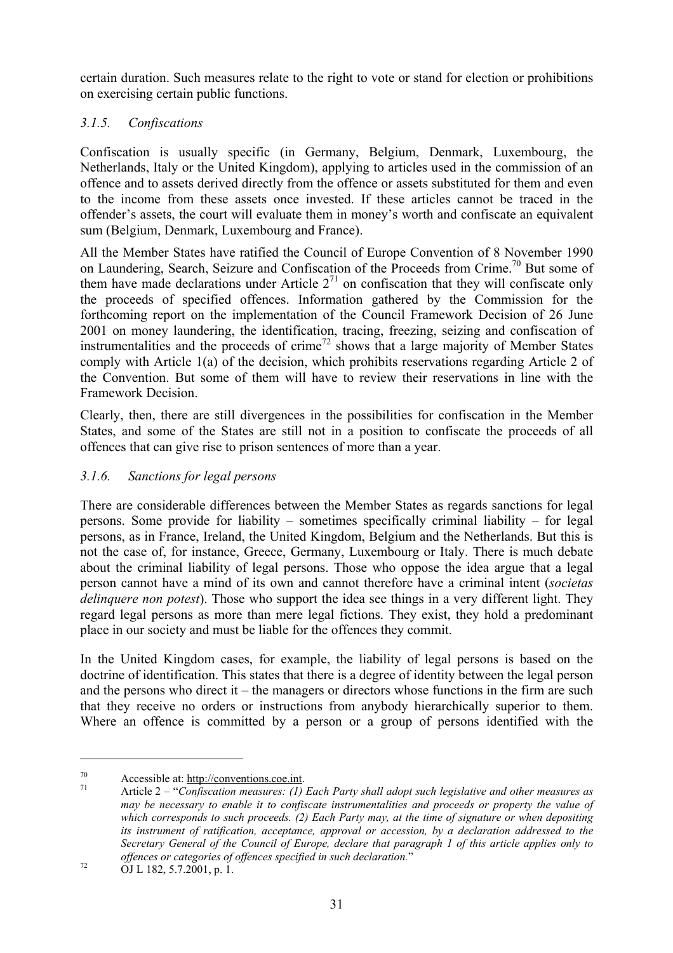certain duration. Such measures relate to the right to vote or stand for election or prohibitions on exercising certain public functions.

# *3.1.5. Confiscations*

Confiscation is usually specific (in Germany, Belgium, Denmark, Luxembourg, the Netherlands, Italy or the United Kingdom), applying to articles used in the commission of an offence and to assets derived directly from the offence or assets substituted for them and even to the income from these assets once invested. If these articles cannot be traced in the offender's assets, the court will evaluate them in money's worth and confiscate an equivalent sum (Belgium, Denmark, Luxembourg and France).

All the Member States have ratified the Council of Europe Convention of 8 November 1990 on Laundering, Search, Seizure and Confiscation of the Proceeds from Crime.<sup>70</sup> But some of them have made declarations under Article  $2<sup>71</sup>$  on confiscation that they will confiscate only the proceeds of specified offences. Information gathered by the Commission for the forthcoming report on the implementation of the Council Framework Decision of 26 June 2001 on money laundering, the identification, tracing, freezing, seizing and confiscation of instrumentalities and the proceeds of crime<sup>72</sup> shows that a large majority of Member States comply with Article 1(a) of the decision, which prohibits reservations regarding Article 2 of the Convention. But some of them will have to review their reservations in line with the Framework Decision.

Clearly, then, there are still divergences in the possibilities for confiscation in the Member States, and some of the States are still not in a position to confiscate the proceeds of all offences that can give rise to prison sentences of more than a year.

# *3.1.6. Sanctions for legal persons*

There are considerable differences between the Member States as regards sanctions for legal persons. Some provide for liability – sometimes specifically criminal liability – for legal persons, as in France, Ireland, the United Kingdom, Belgium and the Netherlands. But this is not the case of, for instance, Greece, Germany, Luxembourg or Italy. There is much debate about the criminal liability of legal persons. Those who oppose the idea argue that a legal person cannot have a mind of its own and cannot therefore have a criminal intent (*societas delinquere non potest*). Those who support the idea see things in a very different light. They regard legal persons as more than mere legal fictions. They exist, they hold a predominant place in our society and must be liable for the offences they commit.

In the United Kingdom cases, for example, the liability of legal persons is based on the doctrine of identification. This states that there is a degree of identity between the legal person and the persons who direct it – the managers or directors whose functions in the firm are such that they receive no orders or instructions from anybody hierarchically superior to them. Where an offence is committed by a person or a group of persons identified with the

<sup>70</sup> Accessible at: <u>http://conventions.coe.int</u>.<br><sup>71</sup> Article 2 – "*Confiscation measures: (1) Each Party shall adopt such legislative and other measures as may be necessary to enable it to confiscate instrumentalities and proceeds or property the value of which corresponds to such proceeds. (2) Each Party may, at the time of signature or when depositing its instrument of ratification, acceptance, approval or accession, by a declaration addressed to the Secretary General of the Council of Europe, declare that paragraph 1 of this article applies only to offences or categories of offences specified in such declaration.*"<br>OJ L 182, 5.7.2001, p. 1.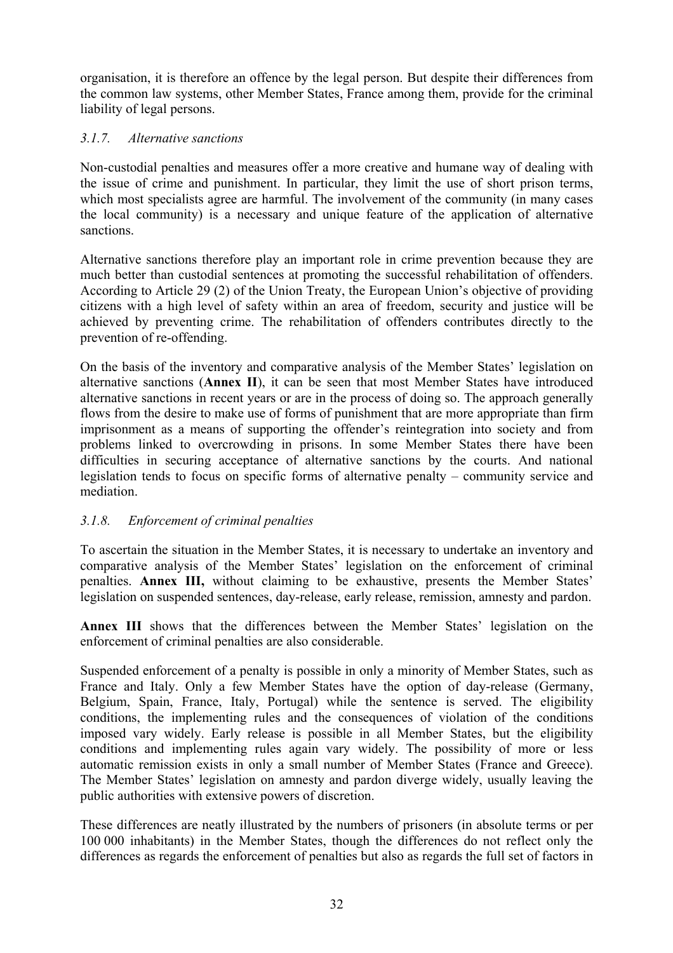organisation, it is therefore an offence by the legal person. But despite their differences from the common law systems, other Member States, France among them, provide for the criminal liability of legal persons.

## *3.1.7. Alternative sanctions*

Non-custodial penalties and measures offer a more creative and humane way of dealing with the issue of crime and punishment. In particular, they limit the use of short prison terms, which most specialists agree are harmful. The involvement of the community (in many cases the local community) is a necessary and unique feature of the application of alternative sanctions.

Alternative sanctions therefore play an important role in crime prevention because they are much better than custodial sentences at promoting the successful rehabilitation of offenders. According to Article 29 (2) of the Union Treaty, the European Union's objective of providing citizens with a high level of safety within an area of freedom, security and justice will be achieved by preventing crime. The rehabilitation of offenders contributes directly to the prevention of re-offending.

On the basis of the inventory and comparative analysis of the Member States' legislation on alternative sanctions (**Annex II**), it can be seen that most Member States have introduced alternative sanctions in recent years or are in the process of doing so. The approach generally flows from the desire to make use of forms of punishment that are more appropriate than firm imprisonment as a means of supporting the offender's reintegration into society and from problems linked to overcrowding in prisons. In some Member States there have been difficulties in securing acceptance of alternative sanctions by the courts. And national legislation tends to focus on specific forms of alternative penalty – community service and mediation.

# *3.1.8. Enforcement of criminal penalties*

To ascertain the situation in the Member States, it is necessary to undertake an inventory and comparative analysis of the Member States' legislation on the enforcement of criminal penalties. **Annex III,** without claiming to be exhaustive, presents the Member States' legislation on suspended sentences, day-release, early release, remission, amnesty and pardon.

**Annex III** shows that the differences between the Member States' legislation on the enforcement of criminal penalties are also considerable.

Suspended enforcement of a penalty is possible in only a minority of Member States, such as France and Italy. Only a few Member States have the option of day-release (Germany, Belgium, Spain, France, Italy, Portugal) while the sentence is served. The eligibility conditions, the implementing rules and the consequences of violation of the conditions imposed vary widely. Early release is possible in all Member States, but the eligibility conditions and implementing rules again vary widely. The possibility of more or less automatic remission exists in only a small number of Member States (France and Greece). The Member States' legislation on amnesty and pardon diverge widely, usually leaving the public authorities with extensive powers of discretion.

These differences are neatly illustrated by the numbers of prisoners (in absolute terms or per 100 000 inhabitants) in the Member States, though the differences do not reflect only the differences as regards the enforcement of penalties but also as regards the full set of factors in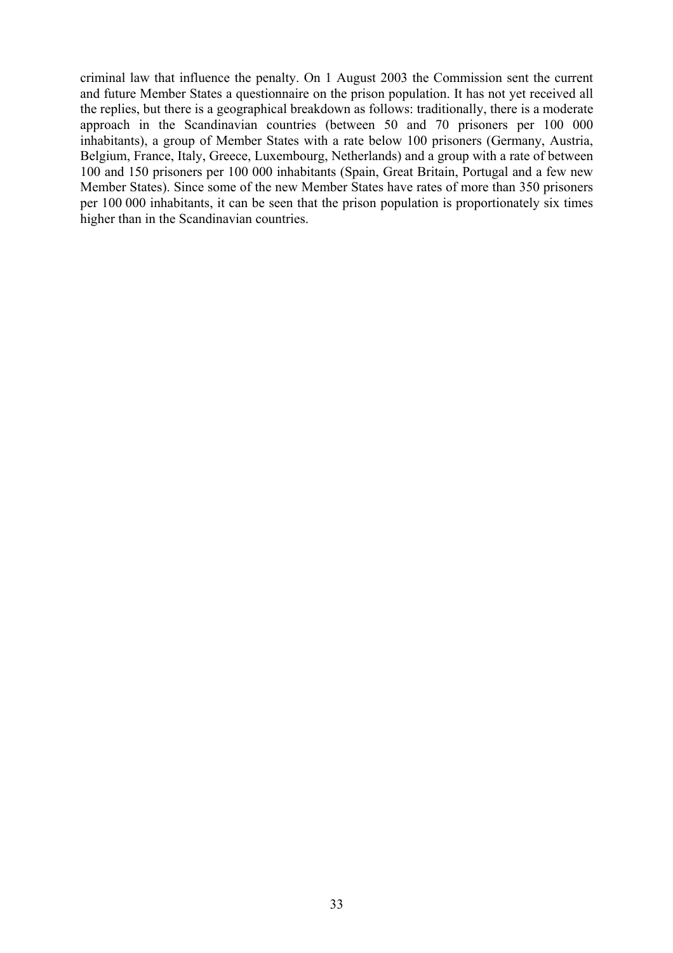criminal law that influence the penalty. On 1 August 2003 the Commission sent the current and future Member States a questionnaire on the prison population. It has not yet received all the replies, but there is a geographical breakdown as follows: traditionally, there is a moderate approach in the Scandinavian countries (between 50 and 70 prisoners per 100 000 inhabitants), a group of Member States with a rate below 100 prisoners (Germany, Austria, Belgium, France, Italy, Greece, Luxembourg, Netherlands) and a group with a rate of between 100 and 150 prisoners per 100 000 inhabitants (Spain, Great Britain, Portugal and a few new Member States). Since some of the new Member States have rates of more than 350 prisoners per 100 000 inhabitants, it can be seen that the prison population is proportionately six times higher than in the Scandinavian countries.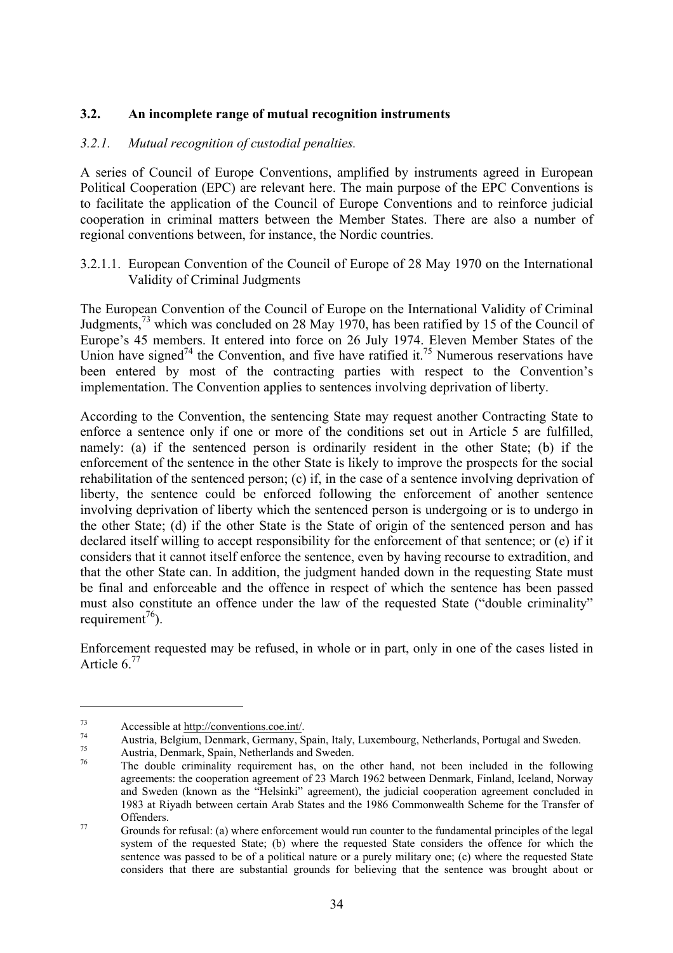#### **3.2. An incomplete range of mutual recognition instruments**

#### *3.2.1. Mutual recognition of custodial penalties.*

A series of Council of Europe Conventions, amplified by instruments agreed in European Political Cooperation (EPC) are relevant here. The main purpose of the EPC Conventions is to facilitate the application of the Council of Europe Conventions and to reinforce judicial cooperation in criminal matters between the Member States. There are also a number of regional conventions between, for instance, the Nordic countries.

3.2.1.1. European Convention of the Council of Europe of 28 May 1970 on the International Validity of Criminal Judgments

The European Convention of the Council of Europe on the International Validity of Criminal Judgments,73 which was concluded on 28 May 1970, has been ratified by 15 of the Council of Europe's 45 members. It entered into force on 26 July 1974. Eleven Member States of the Union have signed<sup>74</sup> the Convention, and five have ratified it.<sup>75</sup> Numerous reservations have been entered by most of the contracting parties with respect to the Convention's implementation. The Convention applies to sentences involving deprivation of liberty.

According to the Convention, the sentencing State may request another Contracting State to enforce a sentence only if one or more of the conditions set out in Article 5 are fulfilled, namely: (a) if the sentenced person is ordinarily resident in the other State; (b) if the enforcement of the sentence in the other State is likely to improve the prospects for the social rehabilitation of the sentenced person; (c) if, in the case of a sentence involving deprivation of liberty, the sentence could be enforced following the enforcement of another sentence involving deprivation of liberty which the sentenced person is undergoing or is to undergo in the other State; (d) if the other State is the State of origin of the sentenced person and has declared itself willing to accept responsibility for the enforcement of that sentence; or (e) if it considers that it cannot itself enforce the sentence, even by having recourse to extradition, and that the other State can. In addition, the judgment handed down in the requesting State must be final and enforceable and the offence in respect of which the sentence has been passed must also constitute an offence under the law of the requested State ("double criminality" requirement<sup>76</sup>).

Enforcement requested may be refused, in whole or in part, only in one of the cases listed in Article  $6^{77}$ 

Accessible at <u>http://conventions.coe.int/</u><br>Austria, Belgium, Denmark, Germany, Spain, Italy, Luxembourg, Netherlands, Portugal and Sweden.<br>Austria, Denmark, Spain, Netherlands and Sweden.<br>The double criminality requiremen

agreements: the cooperation agreement of 23 March 1962 between Denmark, Finland, Iceland, Norway and Sweden (known as the "Helsinki" agreement), the judicial cooperation agreement concluded in 1983 at Riyadh between certain Arab States and the 1986 Commonwealth Scheme for the Transfer of Offenders.<br>
Grounds for refusal: (a) where enforcement would run counter to the fundamental principles of the legal

system of the requested State; (b) where the requested State considers the offence for which the sentence was passed to be of a political nature or a purely military one; (c) where the requested State considers that there are substantial grounds for believing that the sentence was brought about or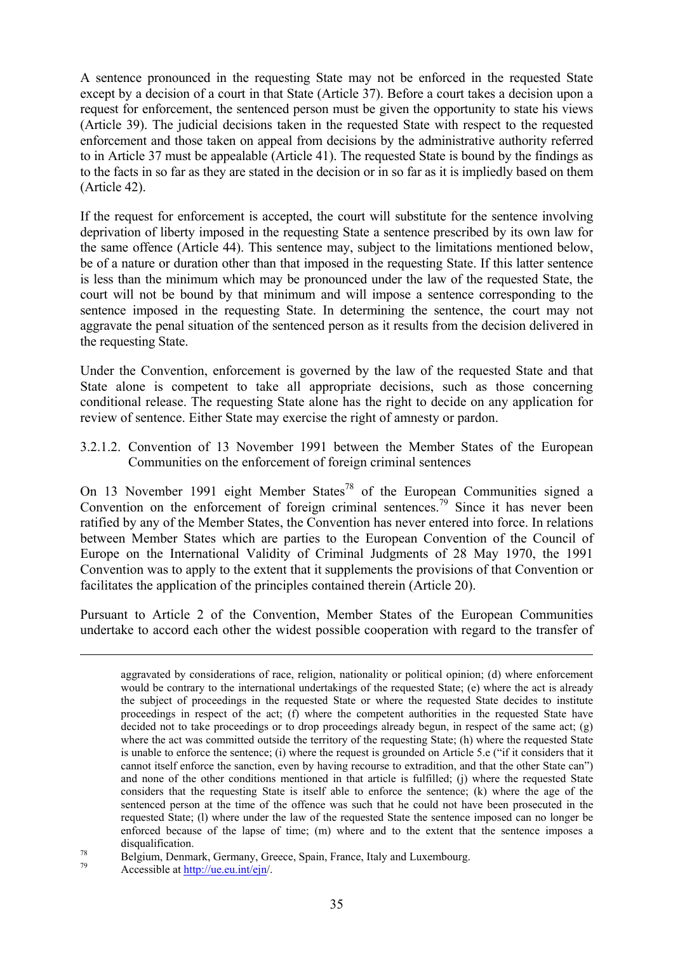A sentence pronounced in the requesting State may not be enforced in the requested State except by a decision of a court in that State (Article 37). Before a court takes a decision upon a request for enforcement, the sentenced person must be given the opportunity to state his views (Article 39). The judicial decisions taken in the requested State with respect to the requested enforcement and those taken on appeal from decisions by the administrative authority referred to in Article 37 must be appealable (Article 41). The requested State is bound by the findings as to the facts in so far as they are stated in the decision or in so far as it is impliedly based on them (Article 42).

If the request for enforcement is accepted, the court will substitute for the sentence involving deprivation of liberty imposed in the requesting State a sentence prescribed by its own law for the same offence (Article 44). This sentence may, subject to the limitations mentioned below, be of a nature or duration other than that imposed in the requesting State. If this latter sentence is less than the minimum which may be pronounced under the law of the requested State, the court will not be bound by that minimum and will impose a sentence corresponding to the sentence imposed in the requesting State. In determining the sentence, the court may not aggravate the penal situation of the sentenced person as it results from the decision delivered in the requesting State.

Under the Convention, enforcement is governed by the law of the requested State and that State alone is competent to take all appropriate decisions, such as those concerning conditional release. The requesting State alone has the right to decide on any application for review of sentence. Either State may exercise the right of amnesty or pardon.

3.2.1.2. Convention of 13 November 1991 between the Member States of the European Communities on the enforcement of foreign criminal sentences

On 13 November 1991 eight Member States<sup>78</sup> of the European Communities signed a Convention on the enforcement of foreign criminal sentences.<sup>79</sup> Since it has never been ratified by any of the Member States, the Convention has never entered into force. In relations between Member States which are parties to the European Convention of the Council of Europe on the International Validity of Criminal Judgments of 28 May 1970, the 1991 Convention was to apply to the extent that it supplements the provisions of that Convention or facilitates the application of the principles contained therein (Article 20).

Pursuant to Article 2 of the Convention, Member States of the European Communities undertake to accord each other the widest possible cooperation with regard to the transfer of

aggravated by considerations of race, religion, nationality or political opinion; (d) where enforcement would be contrary to the international undertakings of the requested State; (e) where the act is already the subject of proceedings in the requested State or where the requested State decides to institute proceedings in respect of the act; (f) where the competent authorities in the requested State have decided not to take proceedings or to drop proceedings already begun, in respect of the same act; (g) where the act was committed outside the territory of the requesting State; (h) where the requested State is unable to enforce the sentence; (i) where the request is grounded on Article 5.e ("if it considers that it cannot itself enforce the sanction, even by having recourse to extradition, and that the other State can") and none of the other conditions mentioned in that article is fulfilled; (j) where the requested State considers that the requesting State is itself able to enforce the sentence; (k) where the age of the sentenced person at the time of the offence was such that he could not have been prosecuted in the requested State; (l) where under the law of the requested State the sentence imposed can no longer be enforced because of the lapse of time; (m) where and to the extent that the sentence imposes a

disqualification.<br>
78 Belgium, Denmark, Germany, Greece, Spain, France, Italy and Luxembourg.<br>
79 Accessible at http://ue.eu.int/ein/.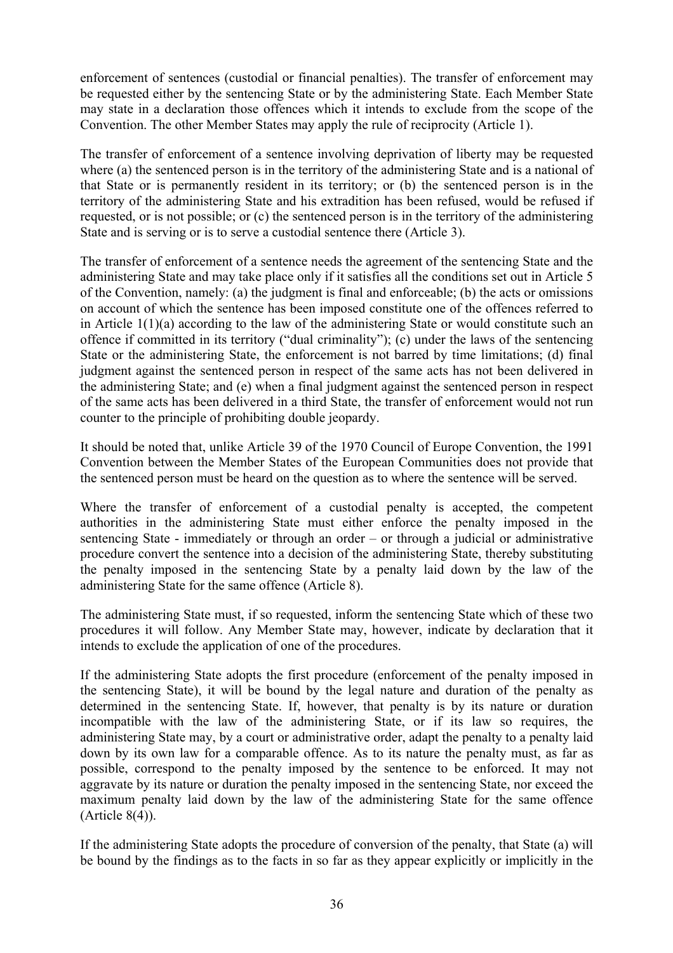enforcement of sentences (custodial or financial penalties). The transfer of enforcement may be requested either by the sentencing State or by the administering State. Each Member State may state in a declaration those offences which it intends to exclude from the scope of the Convention. The other Member States may apply the rule of reciprocity (Article 1).

The transfer of enforcement of a sentence involving deprivation of liberty may be requested where (a) the sentenced person is in the territory of the administering State and is a national of that State or is permanently resident in its territory; or (b) the sentenced person is in the territory of the administering State and his extradition has been refused, would be refused if requested, or is not possible; or (c) the sentenced person is in the territory of the administering State and is serving or is to serve a custodial sentence there (Article 3).

The transfer of enforcement of a sentence needs the agreement of the sentencing State and the administering State and may take place only if it satisfies all the conditions set out in Article 5 of the Convention, namely: (a) the judgment is final and enforceable; (b) the acts or omissions on account of which the sentence has been imposed constitute one of the offences referred to in Article 1(1)(a) according to the law of the administering State or would constitute such an offence if committed in its territory ("dual criminality"); (c) under the laws of the sentencing State or the administering State, the enforcement is not barred by time limitations; (d) final judgment against the sentenced person in respect of the same acts has not been delivered in the administering State; and (e) when a final judgment against the sentenced person in respect of the same acts has been delivered in a third State, the transfer of enforcement would not run counter to the principle of prohibiting double jeopardy.

It should be noted that, unlike Article 39 of the 1970 Council of Europe Convention, the 1991 Convention between the Member States of the European Communities does not provide that the sentenced person must be heard on the question as to where the sentence will be served.

Where the transfer of enforcement of a custodial penalty is accepted, the competent authorities in the administering State must either enforce the penalty imposed in the sentencing State - immediately or through an order – or through a judicial or administrative procedure convert the sentence into a decision of the administering State, thereby substituting the penalty imposed in the sentencing State by a penalty laid down by the law of the administering State for the same offence (Article 8).

The administering State must, if so requested, inform the sentencing State which of these two procedures it will follow. Any Member State may, however, indicate by declaration that it intends to exclude the application of one of the procedures.

If the administering State adopts the first procedure (enforcement of the penalty imposed in the sentencing State), it will be bound by the legal nature and duration of the penalty as determined in the sentencing State. If, however, that penalty is by its nature or duration incompatible with the law of the administering State, or if its law so requires, the administering State may, by a court or administrative order, adapt the penalty to a penalty laid down by its own law for a comparable offence. As to its nature the penalty must, as far as possible, correspond to the penalty imposed by the sentence to be enforced. It may not aggravate by its nature or duration the penalty imposed in the sentencing State, nor exceed the maximum penalty laid down by the law of the administering State for the same offence (Article 8(4)).

If the administering State adopts the procedure of conversion of the penalty, that State (a) will be bound by the findings as to the facts in so far as they appear explicitly or implicitly in the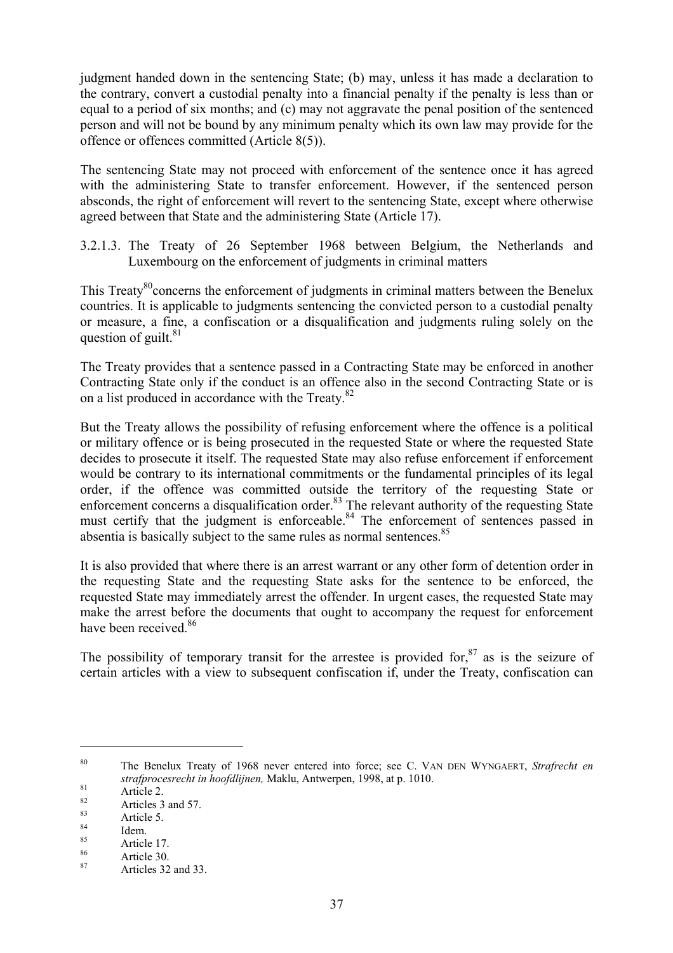judgment handed down in the sentencing State; (b) may, unless it has made a declaration to the contrary, convert a custodial penalty into a financial penalty if the penalty is less than or equal to a period of six months; and (c) may not aggravate the penal position of the sentenced person and will not be bound by any minimum penalty which its own law may provide for the offence or offences committed (Article 8(5)).

The sentencing State may not proceed with enforcement of the sentence once it has agreed with the administering State to transfer enforcement. However, if the sentenced person absconds, the right of enforcement will revert to the sentencing State, except where otherwise agreed between that State and the administering State (Article 17).

3.2.1.3. The Treaty of 26 September 1968 between Belgium, the Netherlands and Luxembourg on the enforcement of judgments in criminal matters

This Treaty<sup>80</sup> concerns the enforcement of judgments in criminal matters between the Benelux countries. It is applicable to judgments sentencing the convicted person to a custodial penalty or measure, a fine, a confiscation or a disqualification and judgments ruling solely on the question of guilt. $81$ 

The Treaty provides that a sentence passed in a Contracting State may be enforced in another Contracting State only if the conduct is an offence also in the second Contracting State or is on a list produced in accordance with the Treaty.<sup>82</sup>

But the Treaty allows the possibility of refusing enforcement where the offence is a political or military offence or is being prosecuted in the requested State or where the requested State decides to prosecute it itself. The requested State may also refuse enforcement if enforcement would be contrary to its international commitments or the fundamental principles of its legal order, if the offence was committed outside the territory of the requesting State or enforcement concerns a disqualification order.<sup>83</sup> The relevant authority of the requesting State must certify that the judgment is enforceable.<sup>84</sup> The enforcement of sentences passed in absentia is basically subject to the same rules as normal sentences.<sup>85</sup>

It is also provided that where there is an arrest warrant or any other form of detention order in the requesting State and the requesting State asks for the sentence to be enforced, the requested State may immediately arrest the offender. In urgent cases, the requested State may make the arrest before the documents that ought to accompany the request for enforcement have been received <sup>86</sup>

The possibility of temporary transit for the arrestee is provided for,  $87$  as is the seizure of certain articles with a view to subsequent confiscation if, under the Treaty, confiscation can

<sup>80</sup> The Benelux Treaty of 1968 never entered into force; see C. VAN DEN WYNGAERT, *Strafrecht en strafprocesrecht in hoofdlijnen,* Maklu, Antwerpen, 1998, at p. 1010.<br>
<sup>81</sup> Article 2.<br>
Article 5 Article 5.<br>
18<sup>8</sup> Article 5.<br>
85 Article 17.<br>
Article 30.<br>
Articles 32 and 33.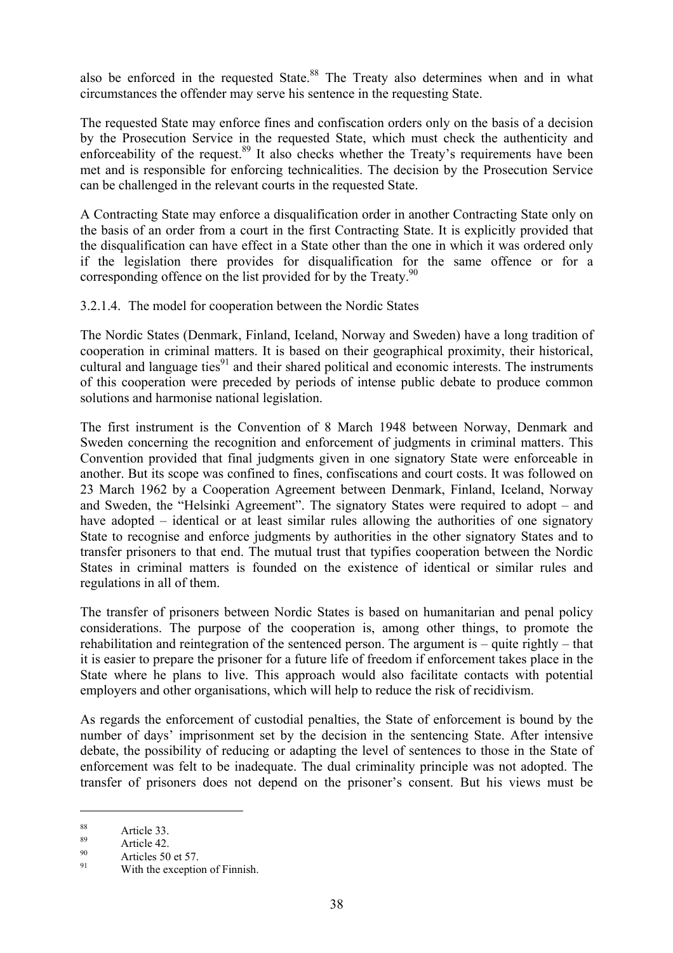also be enforced in the requested State.<sup>88</sup> The Treaty also determines when and in what circumstances the offender may serve his sentence in the requesting State.

The requested State may enforce fines and confiscation orders only on the basis of a decision by the Prosecution Service in the requested State, which must check the authenticity and enforceability of the request. $89$  It also checks whether the Treaty's requirements have been met and is responsible for enforcing technicalities. The decision by the Prosecution Service can be challenged in the relevant courts in the requested State.

A Contracting State may enforce a disqualification order in another Contracting State only on the basis of an order from a court in the first Contracting State. It is explicitly provided that the disqualification can have effect in a State other than the one in which it was ordered only if the legislation there provides for disqualification for the same offence or for a corresponding offence on the list provided for by the Treaty.<sup>90</sup>

3.2.1.4. The model for cooperation between the Nordic States

The Nordic States (Denmark, Finland, Iceland, Norway and Sweden) have a long tradition of cooperation in criminal matters. It is based on their geographical proximity, their historical, cultural and language ties<sup>91</sup> and their shared political and economic interests. The instruments of this cooperation were preceded by periods of intense public debate to produce common solutions and harmonise national legislation.

The first instrument is the Convention of 8 March 1948 between Norway, Denmark and Sweden concerning the recognition and enforcement of judgments in criminal matters. This Convention provided that final judgments given in one signatory State were enforceable in another. But its scope was confined to fines, confiscations and court costs. It was followed on 23 March 1962 by a Cooperation Agreement between Denmark, Finland, Iceland, Norway and Sweden, the "Helsinki Agreement". The signatory States were required to adopt – and have adopted – identical or at least similar rules allowing the authorities of one signatory State to recognise and enforce judgments by authorities in the other signatory States and to transfer prisoners to that end. The mutual trust that typifies cooperation between the Nordic States in criminal matters is founded on the existence of identical or similar rules and regulations in all of them.

The transfer of prisoners between Nordic States is based on humanitarian and penal policy considerations. The purpose of the cooperation is, among other things, to promote the rehabilitation and reintegration of the sentenced person. The argument is – quite rightly – that it is easier to prepare the prisoner for a future life of freedom if enforcement takes place in the State where he plans to live. This approach would also facilitate contacts with potential employers and other organisations, which will help to reduce the risk of recidivism.

As regards the enforcement of custodial penalties, the State of enforcement is bound by the number of days' imprisonment set by the decision in the sentencing State. After intensive debate, the possibility of reducing or adapting the level of sentences to those in the State of enforcement was felt to be inadequate. The dual criminality principle was not adopted. The transfer of prisoners does not depend on the prisoner's consent. But his views must be

<sup>&</sup>lt;sup>88</sup><br>
89 Article 33.<br>
90 Articles 50 et 57.<br>
91 With the exception of Finnish.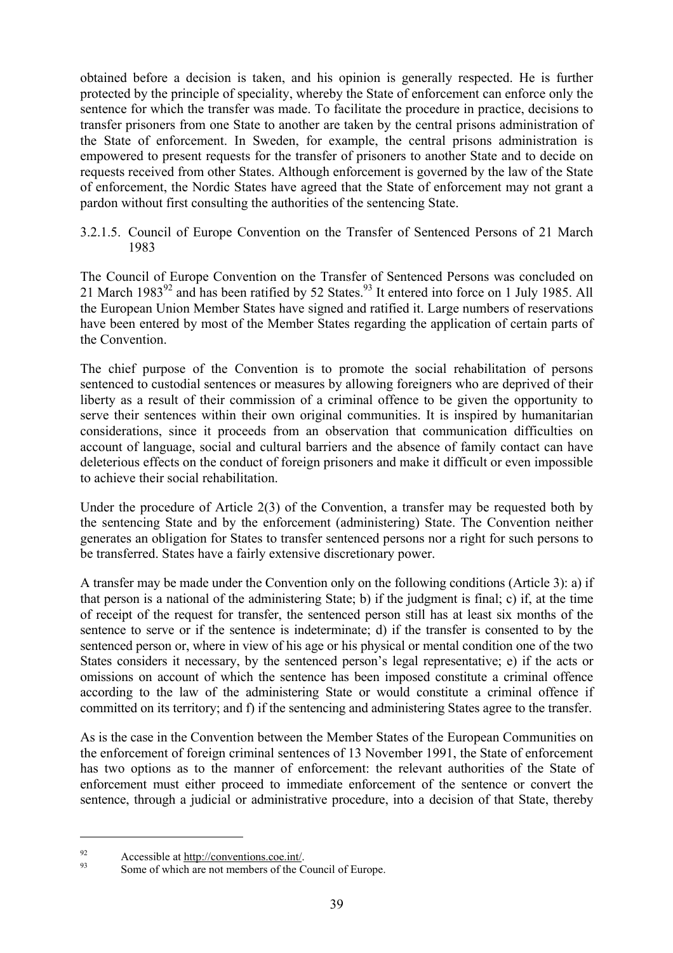obtained before a decision is taken, and his opinion is generally respected. He is further protected by the principle of speciality, whereby the State of enforcement can enforce only the sentence for which the transfer was made. To facilitate the procedure in practice, decisions to transfer prisoners from one State to another are taken by the central prisons administration of the State of enforcement. In Sweden, for example, the central prisons administration is empowered to present requests for the transfer of prisoners to another State and to decide on requests received from other States. Although enforcement is governed by the law of the State of enforcement, the Nordic States have agreed that the State of enforcement may not grant a pardon without first consulting the authorities of the sentencing State.

3.2.1.5. Council of Europe Convention on the Transfer of Sentenced Persons of 21 March 1983

The Council of Europe Convention on the Transfer of Sentenced Persons was concluded on 21 March  $1983^{92}$  and has been ratified by 52 States.<sup>93</sup> It entered into force on 1 July 1985. All the European Union Member States have signed and ratified it. Large numbers of reservations have been entered by most of the Member States regarding the application of certain parts of the Convention.

The chief purpose of the Convention is to promote the social rehabilitation of persons sentenced to custodial sentences or measures by allowing foreigners who are deprived of their liberty as a result of their commission of a criminal offence to be given the opportunity to serve their sentences within their own original communities. It is inspired by humanitarian considerations, since it proceeds from an observation that communication difficulties on account of language, social and cultural barriers and the absence of family contact can have deleterious effects on the conduct of foreign prisoners and make it difficult or even impossible to achieve their social rehabilitation.

Under the procedure of Article 2(3) of the Convention, a transfer may be requested both by the sentencing State and by the enforcement (administering) State. The Convention neither generates an obligation for States to transfer sentenced persons nor a right for such persons to be transferred. States have a fairly extensive discretionary power.

A transfer may be made under the Convention only on the following conditions (Article 3): a) if that person is a national of the administering State; b) if the judgment is final; c) if, at the time of receipt of the request for transfer, the sentenced person still has at least six months of the sentence to serve or if the sentence is indeterminate; d) if the transfer is consented to by the sentenced person or, where in view of his age or his physical or mental condition one of the two States considers it necessary, by the sentenced person's legal representative; e) if the acts or omissions on account of which the sentence has been imposed constitute a criminal offence according to the law of the administering State or would constitute a criminal offence if committed on its territory; and f) if the sentencing and administering States agree to the transfer.

As is the case in the Convention between the Member States of the European Communities on the enforcement of foreign criminal sentences of 13 November 1991, the State of enforcement has two options as to the manner of enforcement: the relevant authorities of the State of enforcement must either proceed to immediate enforcement of the sentence or convert the sentence, through a judicial or administrative procedure, into a decision of that State, thereby

<sup>&</sup>lt;sup>92</sup> Accessible at <u>http://conventions.coe.int/</u>.<br>Some of which are not members of the Council of Europe.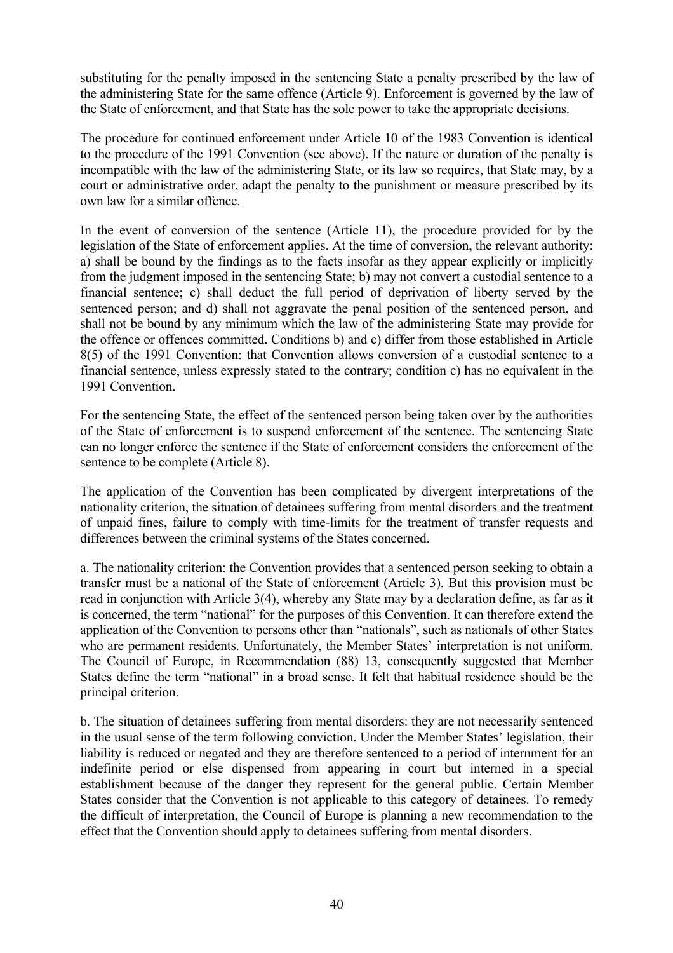substituting for the penalty imposed in the sentencing State a penalty prescribed by the law of the administering State for the same offence (Article 9). Enforcement is governed by the law of the State of enforcement, and that State has the sole power to take the appropriate decisions.

The procedure for continued enforcement under Article 10 of the 1983 Convention is identical to the procedure of the 1991 Convention (see above). If the nature or duration of the penalty is incompatible with the law of the administering State, or its law so requires, that State may, by a court or administrative order, adapt the penalty to the punishment or measure prescribed by its own law for a similar offence.

In the event of conversion of the sentence (Article 11), the procedure provided for by the legislation of the State of enforcement applies. At the time of conversion, the relevant authority: a) shall be bound by the findings as to the facts insofar as they appear explicitly or implicitly from the judgment imposed in the sentencing State; b) may not convert a custodial sentence to a financial sentence; c) shall deduct the full period of deprivation of liberty served by the sentenced person; and d) shall not aggravate the penal position of the sentenced person, and shall not be bound by any minimum which the law of the administering State may provide for the offence or offences committed. Conditions b) and c) differ from those established in Article 8(5) of the 1991 Convention: that Convention allows conversion of a custodial sentence to a financial sentence, unless expressly stated to the contrary; condition c) has no equivalent in the 1991 Convention.

For the sentencing State, the effect of the sentenced person being taken over by the authorities of the State of enforcement is to suspend enforcement of the sentence. The sentencing State can no longer enforce the sentence if the State of enforcement considers the enforcement of the sentence to be complete (Article 8).

The application of the Convention has been complicated by divergent interpretations of the nationality criterion, the situation of detainees suffering from mental disorders and the treatment of unpaid fines, failure to comply with time-limits for the treatment of transfer requests and differences between the criminal systems of the States concerned.

a. The nationality criterion: the Convention provides that a sentenced person seeking to obtain a transfer must be a national of the State of enforcement (Article 3). But this provision must be read in conjunction with Article 3(4), whereby any State may by a declaration define, as far as it is concerned, the term "national" for the purposes of this Convention. It can therefore extend the application of the Convention to persons other than "nationals", such as nationals of other States who are permanent residents. Unfortunately, the Member States' interpretation is not uniform. The Council of Europe, in Recommendation (88) 13, consequently suggested that Member States define the term "national" in a broad sense. It felt that habitual residence should be the principal criterion.

b. The situation of detainees suffering from mental disorders: they are not necessarily sentenced in the usual sense of the term following conviction. Under the Member States' legislation, their liability is reduced or negated and they are therefore sentenced to a period of internment for an indefinite period or else dispensed from appearing in court but interned in a special establishment because of the danger they represent for the general public. Certain Member States consider that the Convention is not applicable to this category of detainees. To remedy the difficult of interpretation, the Council of Europe is planning a new recommendation to the effect that the Convention should apply to detainees suffering from mental disorders.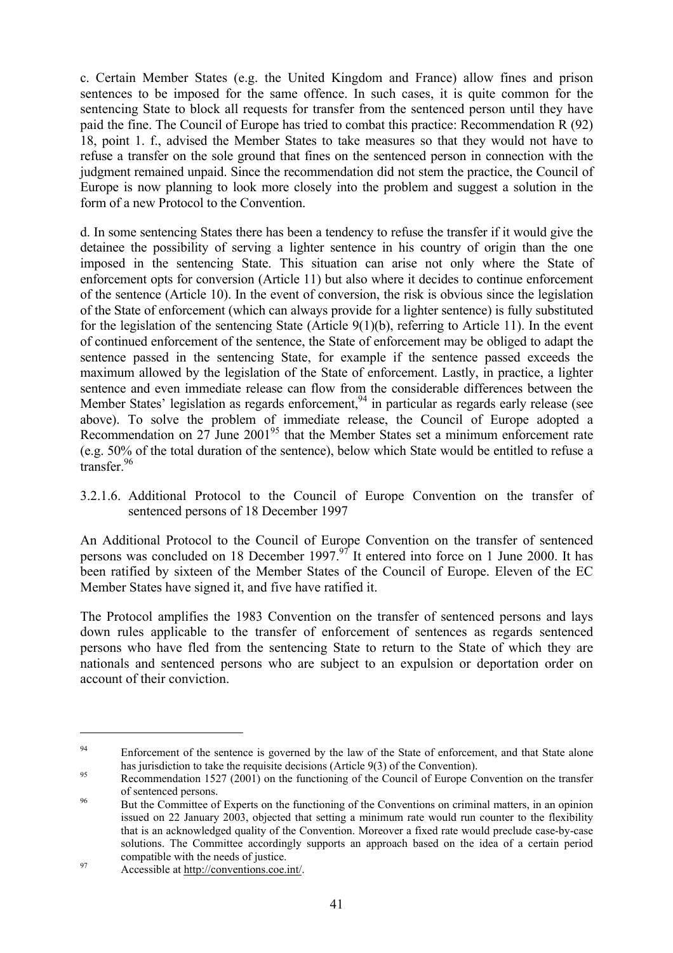c. Certain Member States (e.g. the United Kingdom and France) allow fines and prison sentences to be imposed for the same offence. In such cases, it is quite common for the sentencing State to block all requests for transfer from the sentenced person until they have paid the fine. The Council of Europe has tried to combat this practice: Recommendation R (92) 18, point 1. f., advised the Member States to take measures so that they would not have to refuse a transfer on the sole ground that fines on the sentenced person in connection with the judgment remained unpaid. Since the recommendation did not stem the practice, the Council of Europe is now planning to look more closely into the problem and suggest a solution in the form of a new Protocol to the Convention.

d. In some sentencing States there has been a tendency to refuse the transfer if it would give the detainee the possibility of serving a lighter sentence in his country of origin than the one imposed in the sentencing State. This situation can arise not only where the State of enforcement opts for conversion (Article 11) but also where it decides to continue enforcement of the sentence (Article 10). In the event of conversion, the risk is obvious since the legislation of the State of enforcement (which can always provide for a lighter sentence) is fully substituted for the legislation of the sentencing State (Article 9(1)(b), referring to Article 11). In the event of continued enforcement of the sentence, the State of enforcement may be obliged to adapt the sentence passed in the sentencing State, for example if the sentence passed exceeds the maximum allowed by the legislation of the State of enforcement. Lastly, in practice, a lighter sentence and even immediate release can flow from the considerable differences between the Member States' legislation as regards enforcement.  $94$  in particular as regards early release (see above). To solve the problem of immediate release, the Council of Europe adopted a Recommendation on  $27$  June  $2001<sup>95</sup>$  that the Member States set a minimum enforcement rate (e.g. 50% of the total duration of the sentence), below which State would be entitled to refuse a  $t$ ransfer.  $96$ 

3.2.1.6. Additional Protocol to the Council of Europe Convention on the transfer of sentenced persons of 18 December 1997

An Additional Protocol to the Council of Europe Convention on the transfer of sentenced persons was concluded on 18 December 1997.97 It entered into force on 1 June 2000. It has been ratified by sixteen of the Member States of the Council of Europe. Eleven of the EC Member States have signed it, and five have ratified it.

The Protocol amplifies the 1983 Convention on the transfer of sentenced persons and lays down rules applicable to the transfer of enforcement of sentences as regards sentenced persons who have fled from the sentencing State to return to the State of which they are nationals and sentenced persons who are subject to an expulsion or deportation order on account of their conviction.

<sup>&</sup>lt;sup>94</sup> Enforcement of the sentence is governed by the law of the State of enforcement, and that State alone has jurisdiction to take the requisite decisions (Article 9(3) of the Convention).<br>Recommendation 1527 (2001) on the functioning of the Council of Europe Convention on the transfer

of sentenced persons.<br>But the Committee of Experts on the functioning of the Conventions on criminal matters, in an opinion

issued on 22 January 2003, objected that setting a minimum rate would run counter to the flexibility that is an acknowledged quality of the Convention. Moreover a fixed rate would preclude case-by-case solutions. The Committee accordingly supports an approach based on the idea of a certain period compatible with the needs of justice.<br>Accessible at <u>http://conventions.coe.int/</u>.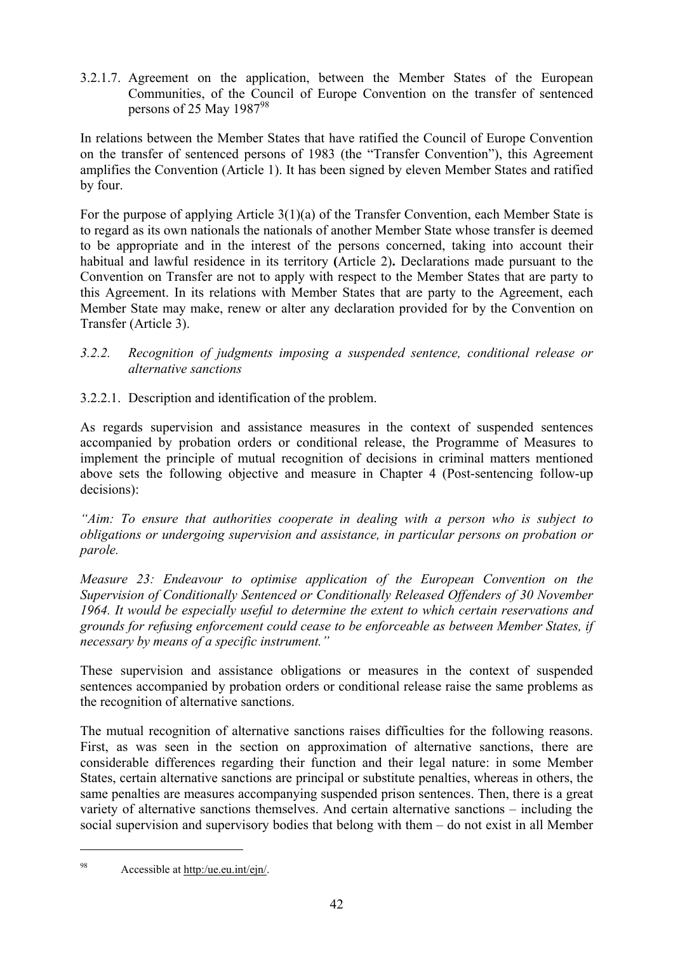3.2.1.7. Agreement on the application, between the Member States of the European Communities, of the Council of Europe Convention on the transfer of sentenced persons of 25 May 1987 $98$ 

In relations between the Member States that have ratified the Council of Europe Convention on the transfer of sentenced persons of 1983 (the "Transfer Convention"), this Agreement amplifies the Convention (Article 1). It has been signed by eleven Member States and ratified by four.

For the purpose of applying Article 3(1)(a) of the Transfer Convention, each Member State is to regard as its own nationals the nationals of another Member State whose transfer is deemed to be appropriate and in the interest of the persons concerned, taking into account their habitual and lawful residence in its territory **(**Article 2)**.** Declarations made pursuant to the Convention on Transfer are not to apply with respect to the Member States that are party to this Agreement. In its relations with Member States that are party to the Agreement, each Member State may make, renew or alter any declaration provided for by the Convention on Transfer (Article 3).

- *3.2.2. Recognition of judgments imposing a suspended sentence, conditional release or alternative sanctions*
- 3.2.2.1. Description and identification of the problem.

As regards supervision and assistance measures in the context of suspended sentences accompanied by probation orders or conditional release, the Programme of Measures to implement the principle of mutual recognition of decisions in criminal matters mentioned above sets the following objective and measure in Chapter 4 (Post-sentencing follow-up decisions):

*"Aim: To ensure that authorities cooperate in dealing with a person who is subject to obligations or undergoing supervision and assistance, in particular persons on probation or parole.* 

*Measure 23: Endeavour to optimise application of the European Convention on the Supervision of Conditionally Sentenced or Conditionally Released Offenders of 30 November 1964. It would be especially useful to determine the extent to which certain reservations and grounds for refusing enforcement could cease to be enforceable as between Member States, if necessary by means of a specific instrument."*

These supervision and assistance obligations or measures in the context of suspended sentences accompanied by probation orders or conditional release raise the same problems as the recognition of alternative sanctions.

The mutual recognition of alternative sanctions raises difficulties for the following reasons. First, as was seen in the section on approximation of alternative sanctions, there are considerable differences regarding their function and their legal nature: in some Member States, certain alternative sanctions are principal or substitute penalties, whereas in others, the same penalties are measures accompanying suspended prison sentences. Then, there is a great variety of alternative sanctions themselves. And certain alternative sanctions – including the social supervision and supervisory bodies that belong with them – do not exist in all Member

<sup>98</sup> Accessible at http:/ue.eu.int/ejn/.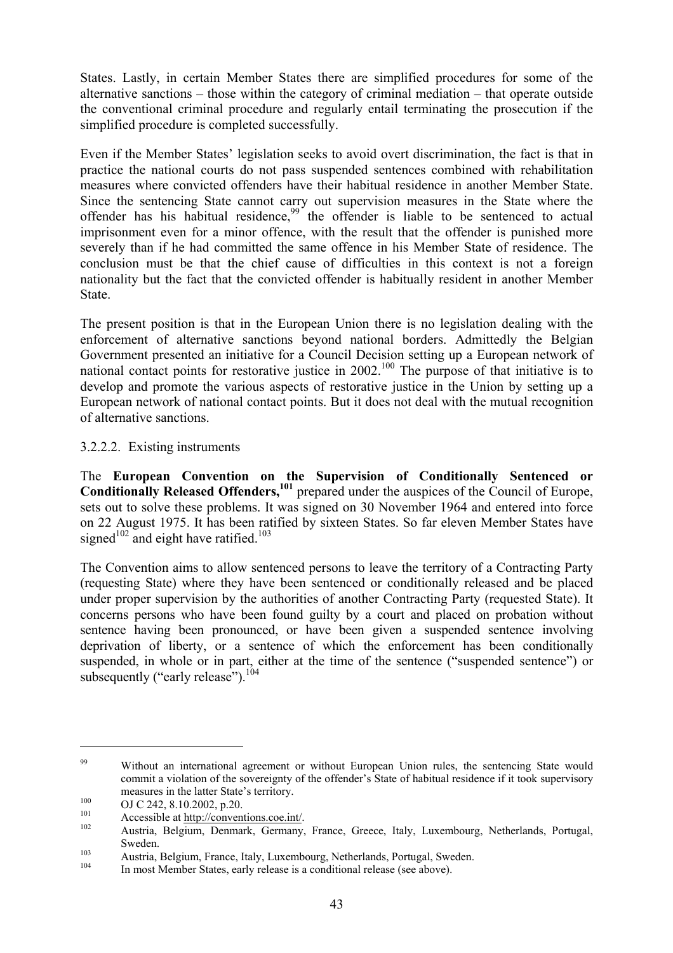States. Lastly, in certain Member States there are simplified procedures for some of the alternative sanctions – those within the category of criminal mediation – that operate outside the conventional criminal procedure and regularly entail terminating the prosecution if the simplified procedure is completed successfully.

Even if the Member States' legislation seeks to avoid overt discrimination, the fact is that in practice the national courts do not pass suspended sentences combined with rehabilitation measures where convicted offenders have their habitual residence in another Member State. Since the sentencing State cannot carry out supervision measures in the State where the offender has his habitual residence,<sup>99</sup> the offender is liable to be sentenced to actual imprisonment even for a minor offence, with the result that the offender is punished more severely than if he had committed the same offence in his Member State of residence. The conclusion must be that the chief cause of difficulties in this context is not a foreign nationality but the fact that the convicted offender is habitually resident in another Member **State** 

The present position is that in the European Union there is no legislation dealing with the enforcement of alternative sanctions beyond national borders. Admittedly the Belgian Government presented an initiative for a Council Decision setting up a European network of national contact points for restorative justice in  $2002$ .<sup>100</sup> The purpose of that initiative is to develop and promote the various aspects of restorative justice in the Union by setting up a European network of national contact points. But it does not deal with the mutual recognition of alternative sanctions.

### 3.2.2.2. Existing instruments

The **European Convention on the Supervision of Conditionally Sentenced or**  Conditionally Released Offenders,<sup>101</sup> prepared under the auspices of the Council of Europe, sets out to solve these problems. It was signed on 30 November 1964 and entered into force on 22 August 1975. It has been ratified by sixteen States. So far eleven Member States have signed<sup>102</sup> and eight have ratified.<sup>103</sup>

The Convention aims to allow sentenced persons to leave the territory of a Contracting Party (requesting State) where they have been sentenced or conditionally released and be placed under proper supervision by the authorities of another Contracting Party (requested State). It concerns persons who have been found guilty by a court and placed on probation without sentence having been pronounced, or have been given a suspended sentence involving deprivation of liberty, or a sentence of which the enforcement has been conditionally suspended, in whole or in part, either at the time of the sentence ("suspended sentence") or subsequently ("early release"). $^{104}$ 

<sup>&</sup>lt;sup>99</sup> Without an international agreement or without European Union rules, the sentencing State would commit a violation of the sovereignty of the offender's State of habitual residence if it took supervisory

measures in the latter State's territory.<br>
100 OJ C 242, 8.10.2002, p.20.<br>
101 Accessible at http://conventions.coe.int/.<br>
102 Austria, Belgium, Denmark, Germany, France, Greece, Italy, Luxembourg, Netherlands, Portugal,

Sweden.<br>
103 Austria, Belgium, France, Italy, Luxembourg, Netherlands, Portugal, Sweden.<br>
104 In most Member States, early release is a conditional release (see above).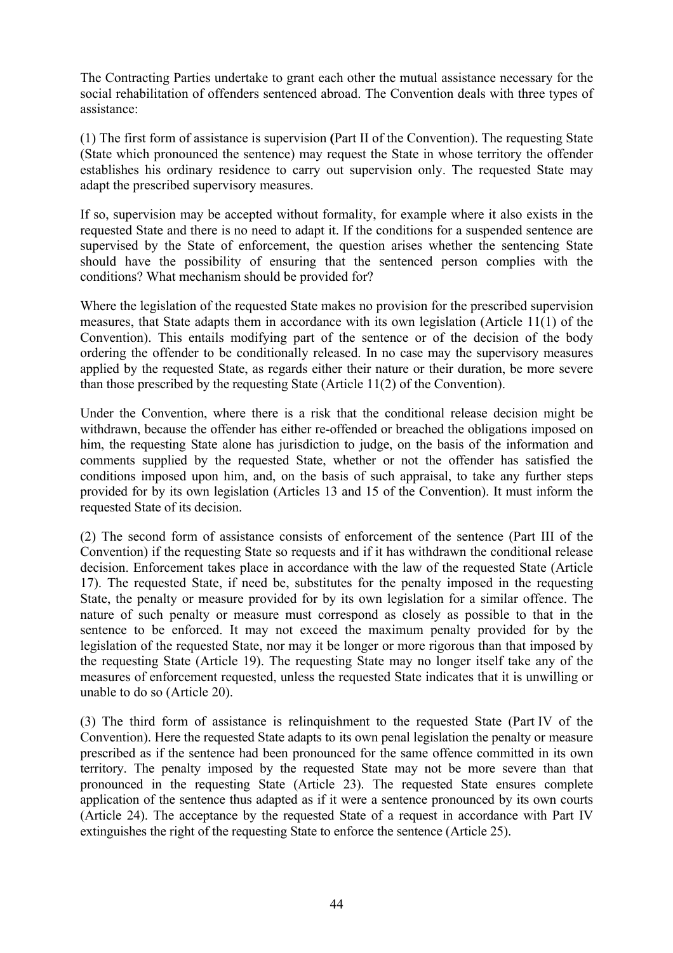The Contracting Parties undertake to grant each other the mutual assistance necessary for the social rehabilitation of offenders sentenced abroad. The Convention deals with three types of assistance:

(1) The first form of assistance is supervision **(**Part II of the Convention). The requesting State (State which pronounced the sentence) may request the State in whose territory the offender establishes his ordinary residence to carry out supervision only. The requested State may adapt the prescribed supervisory measures.

If so, supervision may be accepted without formality, for example where it also exists in the requested State and there is no need to adapt it. If the conditions for a suspended sentence are supervised by the State of enforcement, the question arises whether the sentencing State should have the possibility of ensuring that the sentenced person complies with the conditions? What mechanism should be provided for?

Where the legislation of the requested State makes no provision for the prescribed supervision measures, that State adapts them in accordance with its own legislation (Article 11(1) of the Convention). This entails modifying part of the sentence or of the decision of the body ordering the offender to be conditionally released. In no case may the supervisory measures applied by the requested State, as regards either their nature or their duration, be more severe than those prescribed by the requesting State (Article 11(2) of the Convention).

Under the Convention, where there is a risk that the conditional release decision might be withdrawn, because the offender has either re-offended or breached the obligations imposed on him, the requesting State alone has jurisdiction to judge, on the basis of the information and comments supplied by the requested State, whether or not the offender has satisfied the conditions imposed upon him, and, on the basis of such appraisal, to take any further steps provided for by its own legislation (Articles 13 and 15 of the Convention). It must inform the requested State of its decision.

(2) The second form of assistance consists of enforcement of the sentence (Part III of the Convention) if the requesting State so requests and if it has withdrawn the conditional release decision. Enforcement takes place in accordance with the law of the requested State (Article 17). The requested State, if need be, substitutes for the penalty imposed in the requesting State, the penalty or measure provided for by its own legislation for a similar offence. The nature of such penalty or measure must correspond as closely as possible to that in the sentence to be enforced. It may not exceed the maximum penalty provided for by the legislation of the requested State, nor may it be longer or more rigorous than that imposed by the requesting State (Article 19). The requesting State may no longer itself take any of the measures of enforcement requested, unless the requested State indicates that it is unwilling or unable to do so (Article 20).

(3) The third form of assistance is relinquishment to the requested State (Part IV of the Convention). Here the requested State adapts to its own penal legislation the penalty or measure prescribed as if the sentence had been pronounced for the same offence committed in its own territory. The penalty imposed by the requested State may not be more severe than that pronounced in the requesting State (Article 23). The requested State ensures complete application of the sentence thus adapted as if it were a sentence pronounced by its own courts (Article 24). The acceptance by the requested State of a request in accordance with Part IV extinguishes the right of the requesting State to enforce the sentence (Article 25).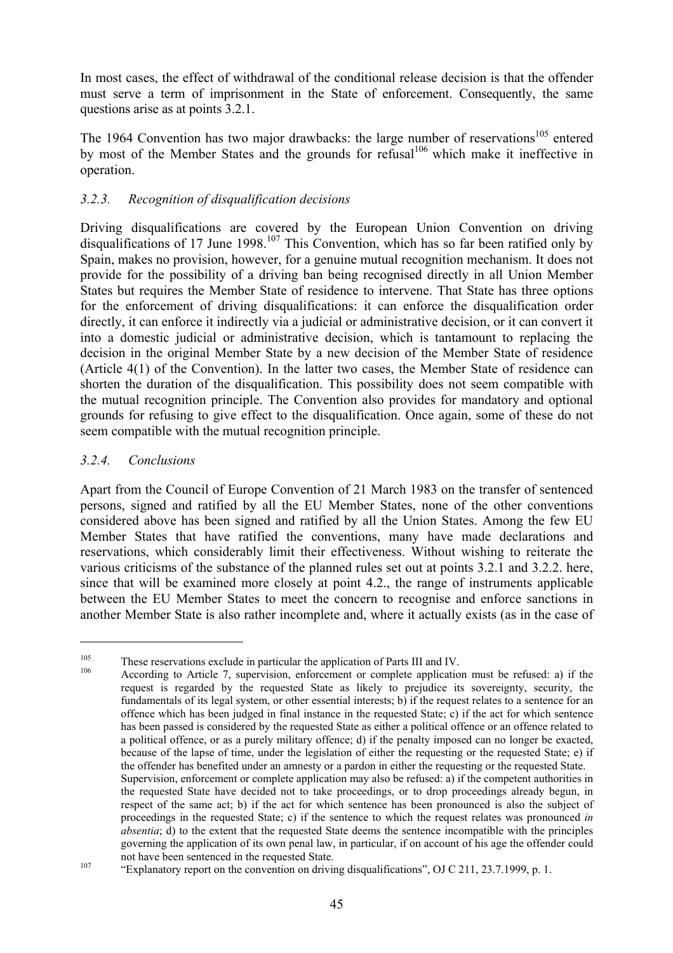In most cases, the effect of withdrawal of the conditional release decision is that the offender must serve a term of imprisonment in the State of enforcement. Consequently, the same questions arise as at points 3.2.1.

The 1964 Convention has two major drawbacks: the large number of reservations<sup>105</sup> entered by most of the Member States and the grounds for refusal $106$  which make it ineffective in operation.

### *3.2.3. Recognition of disqualification decisions*

Driving disqualifications are covered by the European Union Convention on driving disqualifications of 17 June 1998.<sup>107</sup> This Convention, which has so far been ratified only by Spain, makes no provision, however, for a genuine mutual recognition mechanism. It does not provide for the possibility of a driving ban being recognised directly in all Union Member States but requires the Member State of residence to intervene. That State has three options for the enforcement of driving disqualifications: it can enforce the disqualification order directly, it can enforce it indirectly via a judicial or administrative decision, or it can convert it into a domestic judicial or administrative decision, which is tantamount to replacing the decision in the original Member State by a new decision of the Member State of residence (Article 4(1) of the Convention). In the latter two cases, the Member State of residence can shorten the duration of the disqualification. This possibility does not seem compatible with the mutual recognition principle. The Convention also provides for mandatory and optional grounds for refusing to give effect to the disqualification. Once again, some of these do not seem compatible with the mutual recognition principle.

### *3.2.4. Conclusions*

 $\overline{a}$ 

Apart from the Council of Europe Convention of 21 March 1983 on the transfer of sentenced persons, signed and ratified by all the EU Member States, none of the other conventions considered above has been signed and ratified by all the Union States. Among the few EU Member States that have ratified the conventions, many have made declarations and reservations, which considerably limit their effectiveness. Without wishing to reiterate the various criticisms of the substance of the planned rules set out at points 3.2.1 and 3.2.2. here, since that will be examined more closely at point 4.2., the range of instruments applicable between the EU Member States to meet the concern to recognise and enforce sanctions in another Member State is also rather incomplete and, where it actually exists (as in the case of

These reservations exclude in particular the application of Parts III and IV.<br>
According to Article 7, supervision, enforcement or complete application must be refused: a) if the request is regarded by the requested State as likely to prejudice its sovereignty, security, the fundamentals of its legal system, or other essential interests; b) if the request relates to a sentence for an offence which has been judged in final instance in the requested State; c) if the act for which sentence has been passed is considered by the requested State as either a political offence or an offence related to a political offence, or as a purely military offence; d) if the penalty imposed can no longer be exacted, because of the lapse of time, under the legislation of either the requesting or the requested State; e) if the offender has benefited under an amnesty or a pardon in either the requesting or the requested State. Supervision, enforcement or complete application may also be refused: a) if the competent authorities in the requested State have decided not to take proceedings, or to drop proceedings already begun, in respect of the same act; b) if the act for which sentence has been pronounced is also the subject of proceedings in the requested State; c) if the sentence to which the request relates was pronounced *in absentia*; d) to the extent that the requested State deems the sentence incompatible with the principles governing the application of its own penal law, in particular, if on account of his age the offender could

not have been sentenced in the requested State.<br>"Explanatory report on the convention on driving disqualifications", OJ C 211, 23.7.1999, p. 1.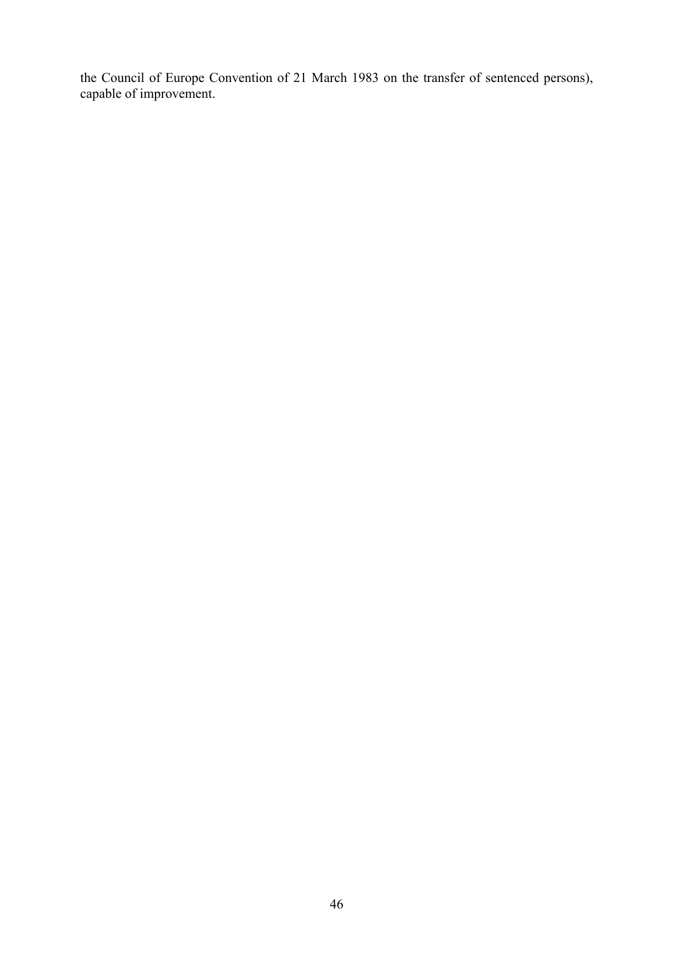the Council of Europe Convention of 21 March 1983 on the transfer of sentenced persons), capable of improvement.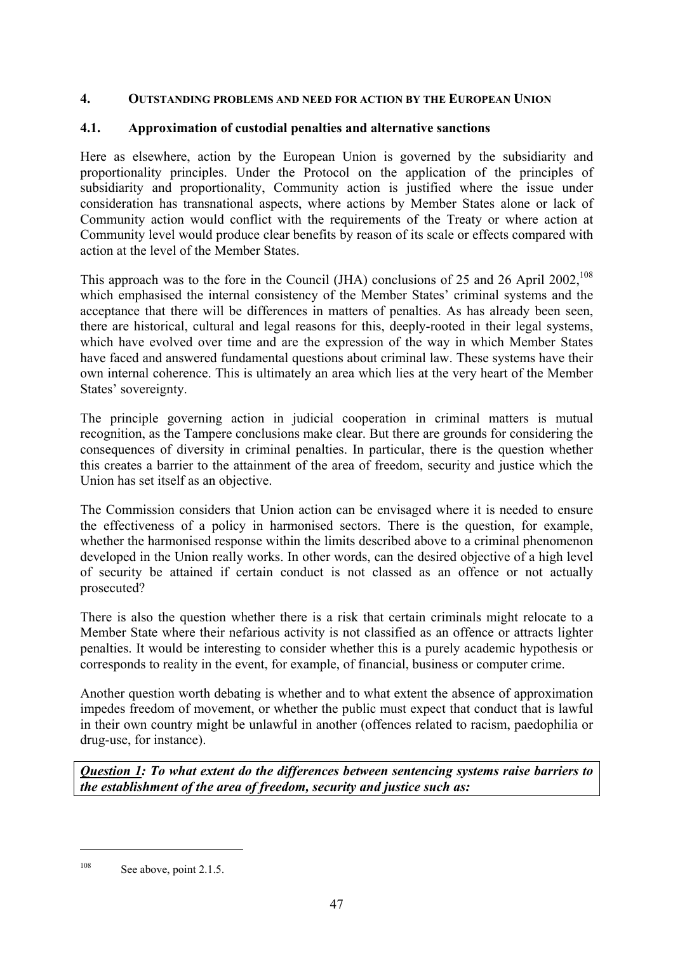#### **4. OUTSTANDING PROBLEMS AND NEED FOR ACTION BY THE EUROPEAN UNION**

#### **4.1. Approximation of custodial penalties and alternative sanctions**

Here as elsewhere, action by the European Union is governed by the subsidiarity and proportionality principles. Under the Protocol on the application of the principles of subsidiarity and proportionality, Community action is justified where the issue under consideration has transnational aspects, where actions by Member States alone or lack of Community action would conflict with the requirements of the Treaty or where action at Community level would produce clear benefits by reason of its scale or effects compared with action at the level of the Member States.

This approach was to the fore in the Council (JHA) conclusions of 25 and 26 April 2002,<sup>108</sup> which emphasised the internal consistency of the Member States' criminal systems and the acceptance that there will be differences in matters of penalties. As has already been seen, there are historical, cultural and legal reasons for this, deeply-rooted in their legal systems, which have evolved over time and are the expression of the way in which Member States have faced and answered fundamental questions about criminal law. These systems have their own internal coherence. This is ultimately an area which lies at the very heart of the Member States' sovereignty.

The principle governing action in judicial cooperation in criminal matters is mutual recognition, as the Tampere conclusions make clear. But there are grounds for considering the consequences of diversity in criminal penalties. In particular, there is the question whether this creates a barrier to the attainment of the area of freedom, security and justice which the Union has set itself as an objective.

The Commission considers that Union action can be envisaged where it is needed to ensure the effectiveness of a policy in harmonised sectors. There is the question, for example, whether the harmonised response within the limits described above to a criminal phenomenon developed in the Union really works. In other words, can the desired objective of a high level of security be attained if certain conduct is not classed as an offence or not actually prosecuted?

There is also the question whether there is a risk that certain criminals might relocate to a Member State where their nefarious activity is not classified as an offence or attracts lighter penalties. It would be interesting to consider whether this is a purely academic hypothesis or corresponds to reality in the event, for example, of financial, business or computer crime.

Another question worth debating is whether and to what extent the absence of approximation impedes freedom of movement, or whether the public must expect that conduct that is lawful in their own country might be unlawful in another (offences related to racism, paedophilia or drug-use, for instance).

*Question 1: To what extent do the differences between sentencing systems raise barriers to the establishment of the area of freedom, security and justice such as:* 

 $108$  See above, point 2.1.5.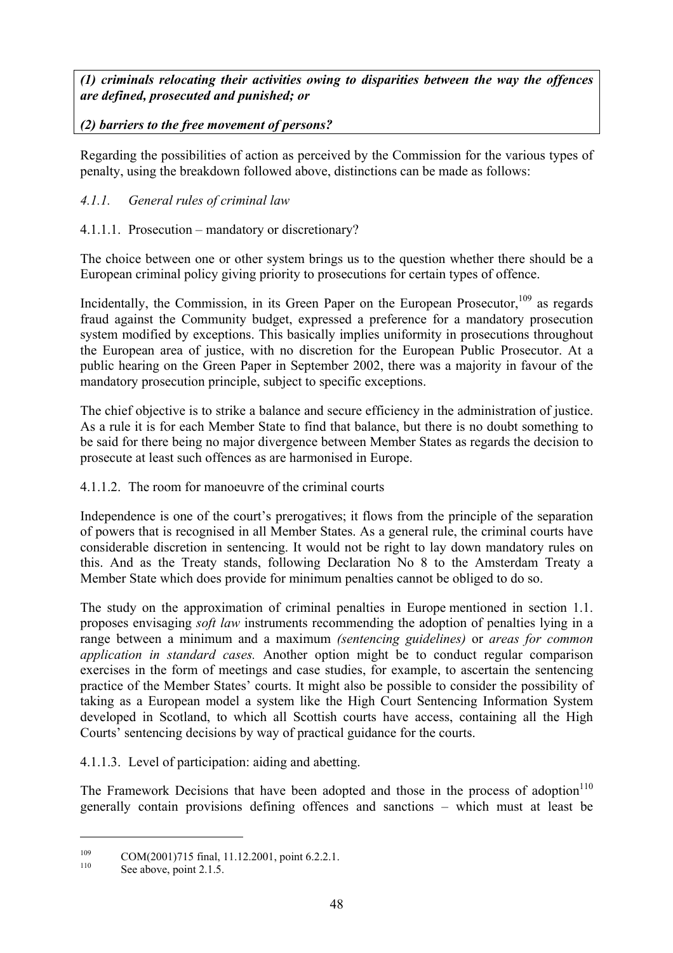*(1) criminals relocating their activities owing to disparities between the way the offences are defined, prosecuted and punished; or* 

# *(2) barriers to the free movement of persons?*

Regarding the possibilities of action as perceived by the Commission for the various types of penalty, using the breakdown followed above, distinctions can be made as follows:

# *4.1.1. General rules of criminal law*

# 4.1.1.1. Prosecution – mandatory or discretionary?

The choice between one or other system brings us to the question whether there should be a European criminal policy giving priority to prosecutions for certain types of offence.

Incidentally, the Commission, in its Green Paper on the European Prosecutor,<sup>109</sup> as regards fraud against the Community budget, expressed a preference for a mandatory prosecution system modified by exceptions. This basically implies uniformity in prosecutions throughout the European area of justice, with no discretion for the European Public Prosecutor. At a public hearing on the Green Paper in September 2002, there was a majority in favour of the mandatory prosecution principle, subject to specific exceptions.

The chief objective is to strike a balance and secure efficiency in the administration of justice. As a rule it is for each Member State to find that balance, but there is no doubt something to be said for there being no major divergence between Member States as regards the decision to prosecute at least such offences as are harmonised in Europe.

# 4.1.1.2. The room for manoeuvre of the criminal courts

Independence is one of the court's prerogatives; it flows from the principle of the separation of powers that is recognised in all Member States. As a general rule, the criminal courts have considerable discretion in sentencing. It would not be right to lay down mandatory rules on this. And as the Treaty stands, following Declaration No 8 to the Amsterdam Treaty a Member State which does provide for minimum penalties cannot be obliged to do so.

The study on the approximation of criminal penalties in Europe mentioned in section 1.1. proposes envisaging *soft law* instruments recommending the adoption of penalties lying in a range between a minimum and a maximum *(sentencing guidelines)* or *areas for common application in standard cases.* Another option might be to conduct regular comparison exercises in the form of meetings and case studies, for example, to ascertain the sentencing practice of the Member States' courts. It might also be possible to consider the possibility of taking as a European model a system like the High Court Sentencing Information System developed in Scotland, to which all Scottish courts have access, containing all the High Courts' sentencing decisions by way of practical guidance for the courts.

4.1.1.3. Level of participation: aiding and abetting.

The Framework Decisions that have been adopted and those in the process of adoption<sup>110</sup> generally contain provisions defining offences and sanctions – which must at least be

<sup>&</sup>lt;sup>109</sup> COM(2001)715 final, 11.12.2001, point 6.2.2.1.<br>See above, point 2.1.5.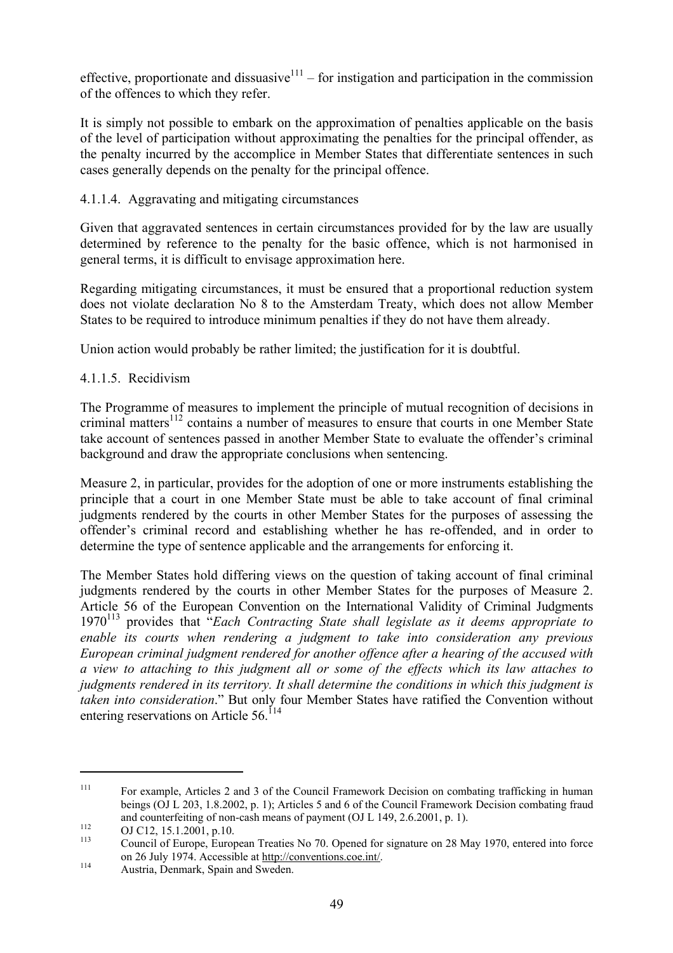effective, proportionate and dissuasive<sup>111</sup> – for instigation and participation in the commission of the offences to which they refer.

It is simply not possible to embark on the approximation of penalties applicable on the basis of the level of participation without approximating the penalties for the principal offender, as the penalty incurred by the accomplice in Member States that differentiate sentences in such cases generally depends on the penalty for the principal offence.

### 4.1.1.4. Aggravating and mitigating circumstances

Given that aggravated sentences in certain circumstances provided for by the law are usually determined by reference to the penalty for the basic offence, which is not harmonised in general terms, it is difficult to envisage approximation here.

Regarding mitigating circumstances, it must be ensured that a proportional reduction system does not violate declaration No 8 to the Amsterdam Treaty, which does not allow Member States to be required to introduce minimum penalties if they do not have them already.

Union action would probably be rather limited; the justification for it is doubtful.

# 4.1.1.5. Recidivism

The Programme of measures to implement the principle of mutual recognition of decisions in criminal matters<sup>112</sup> contains a number of measures to ensure that courts in one Member State take account of sentences passed in another Member State to evaluate the offender's criminal background and draw the appropriate conclusions when sentencing.

Measure 2, in particular, provides for the adoption of one or more instruments establishing the principle that a court in one Member State must be able to take account of final criminal judgments rendered by the courts in other Member States for the purposes of assessing the offender's criminal record and establishing whether he has re-offended, and in order to determine the type of sentence applicable and the arrangements for enforcing it.

The Member States hold differing views on the question of taking account of final criminal judgments rendered by the courts in other Member States for the purposes of Measure 2. Article 56 of the European Convention on the International Validity of Criminal Judgments 1970113 provides that "*Each Contracting State shall legislate as it deems appropriate to enable its courts when rendering a judgment to take into consideration any previous European criminal judgment rendered for another offence after a hearing of the accused with a view to attaching to this judgment all or some of the effects which its law attaches to judgments rendered in its territory. It shall determine the conditions in which this judgment is taken into consideration*." But only four Member States have ratified the Convention without entering reservations on Article  $56$ <sup> $114$ </sup>

<sup>&</sup>lt;sup>111</sup> For example, Articles 2 and 3 of the Council Framework Decision on combating trafficking in human beings (OJ L 203, 1.8.2002, p. 1); Articles 5 and 6 of the Council Framework Decision combating fraud and counterfeiting of non-cash means of payment (OJ L 149, 2.6.2001, p. 1).<br>
OJ C12, 15.1.2001, p.10.<br>
Council of Europe, European Treaties No 70. Opened for signature on 28 May 1970, entered into force

on 26 July 1974. Accessible at <u>http://conventions.coe.int/</u>.<br>Austria, Denmark, Spain and Sweden.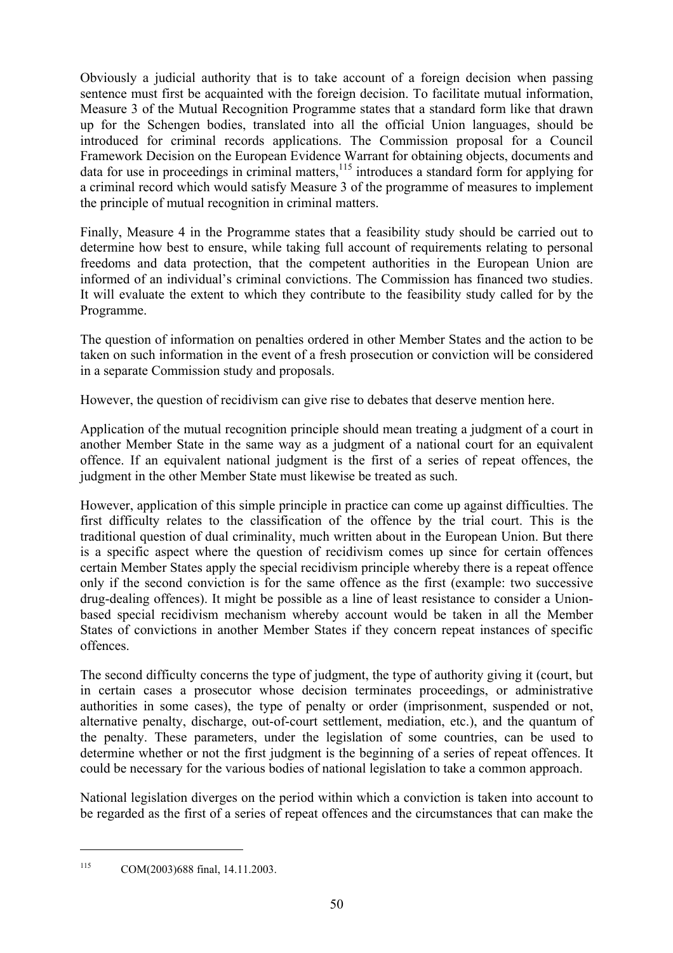Obviously a judicial authority that is to take account of a foreign decision when passing sentence must first be acquainted with the foreign decision. To facilitate mutual information, Measure 3 of the Mutual Recognition Programme states that a standard form like that drawn up for the Schengen bodies, translated into all the official Union languages, should be introduced for criminal records applications. The Commission proposal for a Council Framework Decision on the European Evidence Warrant for obtaining objects, documents and data for use in proceedings in criminal matters,<sup>115</sup> introduces a standard form for applying for a criminal record which would satisfy Measure 3 of the programme of measures to implement the principle of mutual recognition in criminal matters.

Finally, Measure 4 in the Programme states that a feasibility study should be carried out to determine how best to ensure, while taking full account of requirements relating to personal freedoms and data protection, that the competent authorities in the European Union are informed of an individual's criminal convictions. The Commission has financed two studies. It will evaluate the extent to which they contribute to the feasibility study called for by the Programme.

The question of information on penalties ordered in other Member States and the action to be taken on such information in the event of a fresh prosecution or conviction will be considered in a separate Commission study and proposals.

However, the question of recidivism can give rise to debates that deserve mention here.

Application of the mutual recognition principle should mean treating a judgment of a court in another Member State in the same way as a judgment of a national court for an equivalent offence. If an equivalent national judgment is the first of a series of repeat offences, the judgment in the other Member State must likewise be treated as such.

However, application of this simple principle in practice can come up against difficulties. The first difficulty relates to the classification of the offence by the trial court. This is the traditional question of dual criminality, much written about in the European Union. But there is a specific aspect where the question of recidivism comes up since for certain offences certain Member States apply the special recidivism principle whereby there is a repeat offence only if the second conviction is for the same offence as the first (example: two successive drug-dealing offences). It might be possible as a line of least resistance to consider a Unionbased special recidivism mechanism whereby account would be taken in all the Member States of convictions in another Member States if they concern repeat instances of specific offences.

The second difficulty concerns the type of judgment, the type of authority giving it (court, but in certain cases a prosecutor whose decision terminates proceedings, or administrative authorities in some cases), the type of penalty or order (imprisonment, suspended or not, alternative penalty, discharge, out-of-court settlement, mediation, etc.), and the quantum of the penalty. These parameters, under the legislation of some countries, can be used to determine whether or not the first judgment is the beginning of a series of repeat offences. It could be necessary for the various bodies of national legislation to take a common approach.

National legislation diverges on the period within which a conviction is taken into account to be regarded as the first of a series of repeat offences and the circumstances that can make the

<sup>115</sup> COM(2003)688 final, 14.11.2003.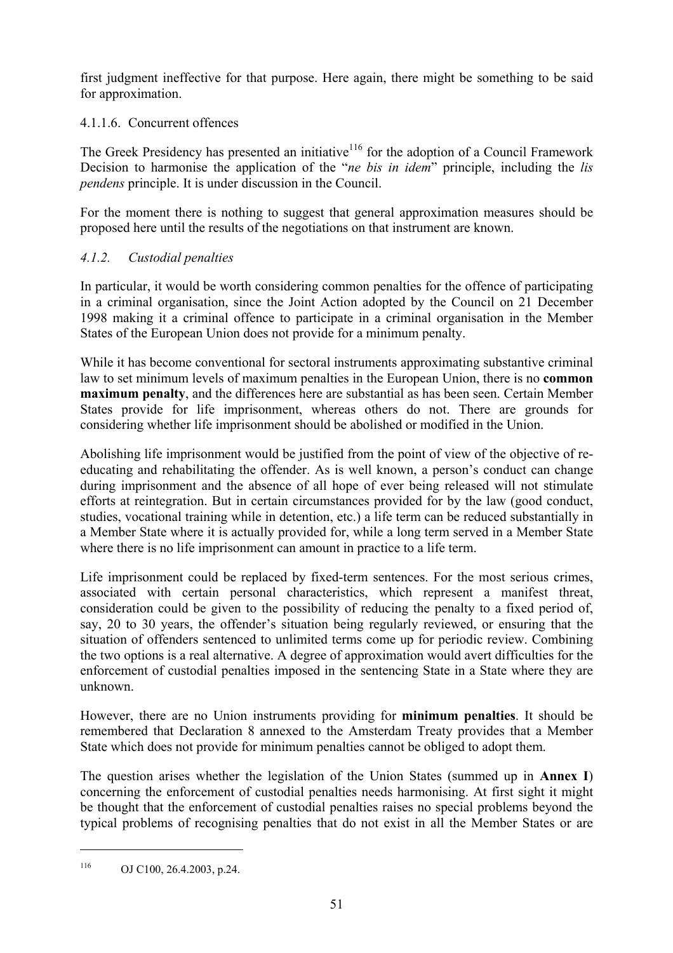first judgment ineffective for that purpose. Here again, there might be something to be said for approximation.

4.1.1.6. Concurrent offences

The Greek Presidency has presented an initiative<sup>116</sup> for the adoption of a Council Framework Decision to harmonise the application of the "*ne bis in idem*" principle, including the *lis pendens* principle. It is under discussion in the Council.

For the moment there is nothing to suggest that general approximation measures should be proposed here until the results of the negotiations on that instrument are known.

# *4.1.2. Custodial penalties*

In particular, it would be worth considering common penalties for the offence of participating in a criminal organisation, since the Joint Action adopted by the Council on 21 December 1998 making it a criminal offence to participate in a criminal organisation in the Member States of the European Union does not provide for a minimum penalty.

While it has become conventional for sectoral instruments approximating substantive criminal law to set minimum levels of maximum penalties in the European Union, there is no **common maximum penalty**, and the differences here are substantial as has been seen. Certain Member States provide for life imprisonment, whereas others do not. There are grounds for considering whether life imprisonment should be abolished or modified in the Union.

Abolishing life imprisonment would be justified from the point of view of the objective of reeducating and rehabilitating the offender. As is well known, a person's conduct can change during imprisonment and the absence of all hope of ever being released will not stimulate efforts at reintegration. But in certain circumstances provided for by the law (good conduct, studies, vocational training while in detention, etc.) a life term can be reduced substantially in a Member State where it is actually provided for, while a long term served in a Member State where there is no life imprisonment can amount in practice to a life term.

Life imprisonment could be replaced by fixed-term sentences. For the most serious crimes, associated with certain personal characteristics, which represent a manifest threat, consideration could be given to the possibility of reducing the penalty to a fixed period of, say, 20 to 30 years, the offender's situation being regularly reviewed, or ensuring that the situation of offenders sentenced to unlimited terms come up for periodic review. Combining the two options is a real alternative. A degree of approximation would avert difficulties for the enforcement of custodial penalties imposed in the sentencing State in a State where they are unknown.

However, there are no Union instruments providing for **minimum penalties**. It should be remembered that Declaration 8 annexed to the Amsterdam Treaty provides that a Member State which does not provide for minimum penalties cannot be obliged to adopt them.

The question arises whether the legislation of the Union States (summed up in **Annex I**) concerning the enforcement of custodial penalties needs harmonising. At first sight it might be thought that the enforcement of custodial penalties raises no special problems beyond the typical problems of recognising penalties that do not exist in all the Member States or are

 $116$  OJ C100, 26.4.2003, p.24.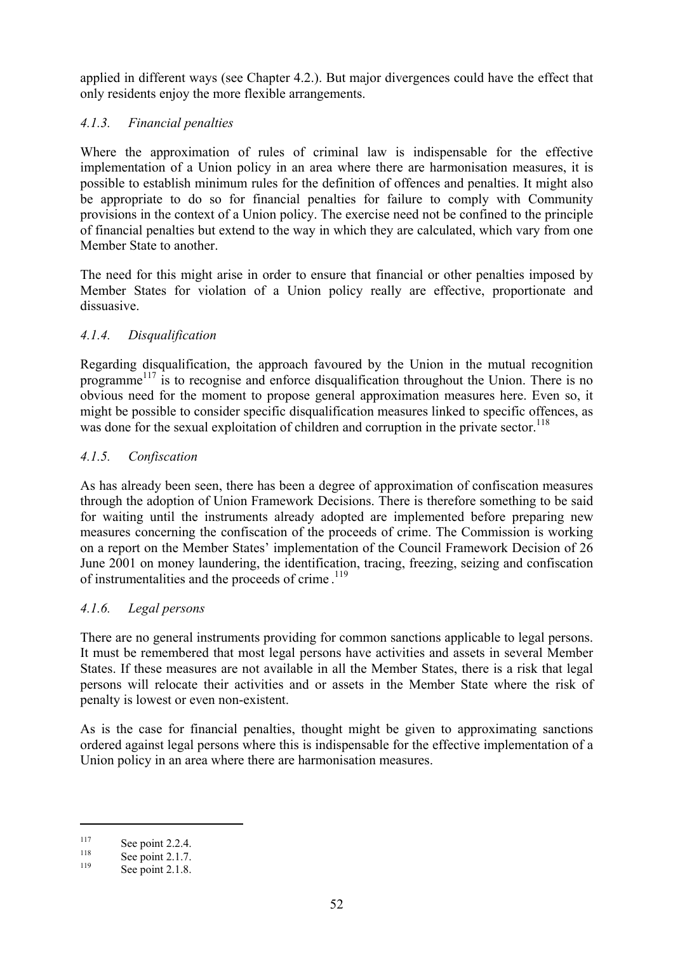applied in different ways (see Chapter 4.2.). But major divergences could have the effect that only residents enjoy the more flexible arrangements.

### *4.1.3. Financial penalties*

Where the approximation of rules of criminal law is indispensable for the effective implementation of a Union policy in an area where there are harmonisation measures, it is possible to establish minimum rules for the definition of offences and penalties. It might also be appropriate to do so for financial penalties for failure to comply with Community provisions in the context of a Union policy. The exercise need not be confined to the principle of financial penalties but extend to the way in which they are calculated, which vary from one Member State to another.

The need for this might arise in order to ensure that financial or other penalties imposed by Member States for violation of a Union policy really are effective, proportionate and dissuasive.

### *4.1.4. Disqualification*

Regarding disqualification, the approach favoured by the Union in the mutual recognition programme<sup> $117$ </sup> is to recognise and enforce disqualification throughout the Union. There is no obvious need for the moment to propose general approximation measures here. Even so, it might be possible to consider specific disqualification measures linked to specific offences, as was done for the sexual exploitation of children and corruption in the private sector.<sup>118</sup>

### *4.1.5. Confiscation*

As has already been seen, there has been a degree of approximation of confiscation measures through the adoption of Union Framework Decisions. There is therefore something to be said for waiting until the instruments already adopted are implemented before preparing new measures concerning the confiscation of the proceeds of crime. The Commission is working on a report on the Member States' implementation of the Council Framework Decision of 26 June 2001 on money laundering, the identification, tracing, freezing, seizing and confiscation of instrumentalities and the proceeds of crime.<sup>119</sup>

### *4.1.6. Legal persons*

There are no general instruments providing for common sanctions applicable to legal persons. It must be remembered that most legal persons have activities and assets in several Member States. If these measures are not available in all the Member States, there is a risk that legal persons will relocate their activities and or assets in the Member State where the risk of penalty is lowest or even non-existent.

As is the case for financial penalties, thought might be given to approximating sanctions ordered against legal persons where this is indispensable for the effective implementation of a Union policy in an area where there are harmonisation measures.

<sup>&</sup>lt;sup>117</sup> See point 2.2.4.<br><sup>118</sup> See point 2.1.7.<br>See point 2.1.8.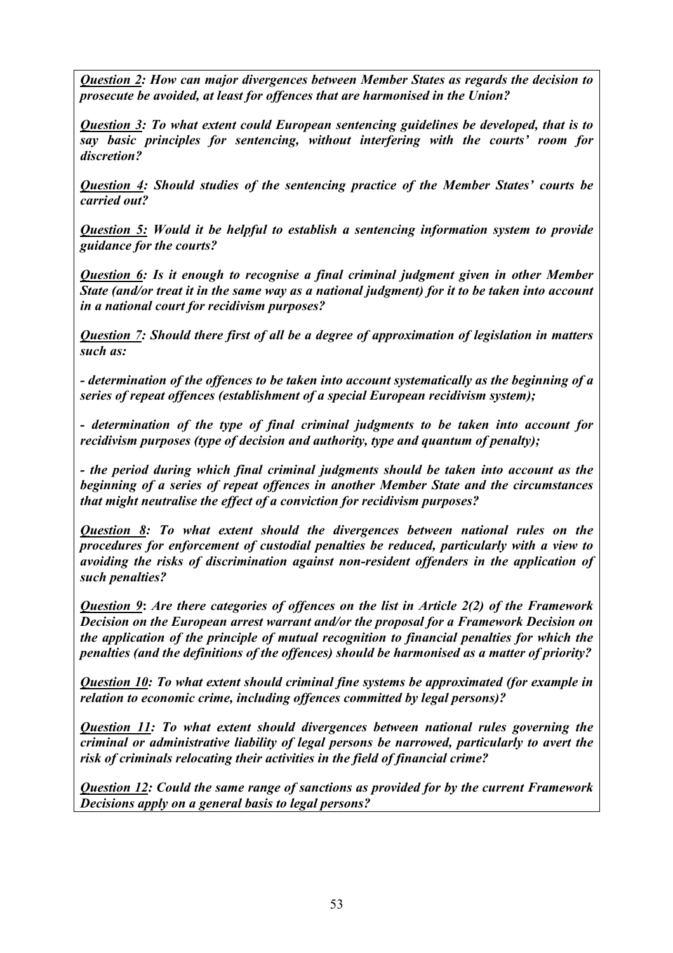*Question 2: How can major divergences between Member States as regards the decision to prosecute be avoided, at least for offences that are harmonised in the Union?* 

*Question 3: To what extent could European sentencing guidelines be developed, that is to say basic principles for sentencing, without interfering with the courts' room for discretion?* 

*Question 4: Should studies of the sentencing practice of the Member States' courts be carried out?* 

*Question 5: Would it be helpful to establish a sentencing information system to provide guidance for the courts?* 

*Question 6: Is it enough to recognise a final criminal judgment given in other Member State (and/or treat it in the same way as a national judgment) for it to be taken into account in a national court for recidivism purposes?* 

*Question 7: Should there first of all be a degree of approximation of legislation in matters such as:* 

*- determination of the offences to be taken into account systematically as the beginning of a series of repeat offences (establishment of a special European recidivism system);* 

*- determination of the type of final criminal judgments to be taken into account for recidivism purposes (type of decision and authority, type and quantum of penalty);* 

*- the period during which final criminal judgments should be taken into account as the beginning of a series of repeat offences in another Member State and the circumstances that might neutralise the effect of a conviction for recidivism purposes?* 

*Question 8: To what extent should the divergences between national rules on the procedures for enforcement of custodial penalties be reduced, particularly with a view to avoiding the risks of discrimination against non-resident offenders in the application of such penalties?* 

*Question 9***:** *Are there categories of offences on the list in Article 2(2) of the Framework Decision on the European arrest warrant and/or the proposal for a Framework Decision on the application of the principle of mutual recognition to financial penalties for which the penalties (and the definitions of the offences) should be harmonised as a matter of priority?* 

*Question 10: To what extent should criminal fine systems be approximated (for example in relation to economic crime, including offences committed by legal persons)?* 

*Question 11: To what extent should divergences between national rules governing the criminal or administrative liability of legal persons be narrowed, particularly to avert the risk of criminals relocating their activities in the field of financial crime?* 

*Question 12: Could the same range of sanctions as provided for by the current Framework Decisions apply on a general basis to legal persons?*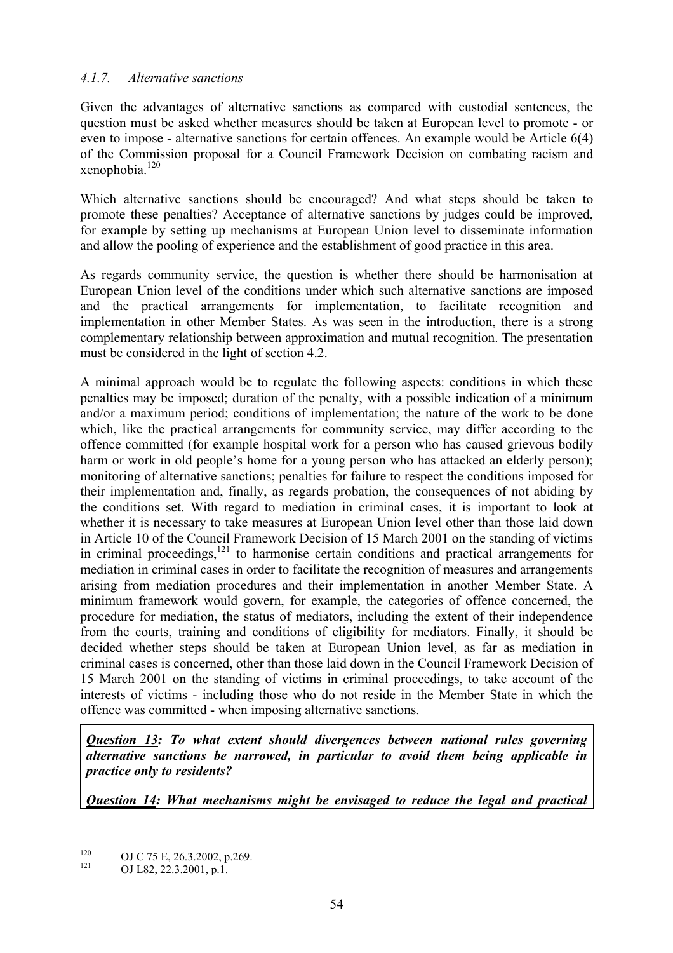### *4.1.7. Alternative sanctions*

Given the advantages of alternative sanctions as compared with custodial sentences, the question must be asked whether measures should be taken at European level to promote - or even to impose - alternative sanctions for certain offences. An example would be Article 6(4) of the Commission proposal for a Council Framework Decision on combating racism and xenophobia. $120$ 

Which alternative sanctions should be encouraged? And what steps should be taken to promote these penalties? Acceptance of alternative sanctions by judges could be improved, for example by setting up mechanisms at European Union level to disseminate information and allow the pooling of experience and the establishment of good practice in this area.

As regards community service, the question is whether there should be harmonisation at European Union level of the conditions under which such alternative sanctions are imposed and the practical arrangements for implementation, to facilitate recognition and implementation in other Member States. As was seen in the introduction, there is a strong complementary relationship between approximation and mutual recognition. The presentation must be considered in the light of section 4.2.

A minimal approach would be to regulate the following aspects: conditions in which these penalties may be imposed; duration of the penalty, with a possible indication of a minimum and/or a maximum period; conditions of implementation; the nature of the work to be done which, like the practical arrangements for community service, may differ according to the offence committed (for example hospital work for a person who has caused grievous bodily harm or work in old people's home for a young person who has attacked an elderly person); monitoring of alternative sanctions; penalties for failure to respect the conditions imposed for their implementation and, finally, as regards probation, the consequences of not abiding by the conditions set. With regard to mediation in criminal cases, it is important to look at whether it is necessary to take measures at European Union level other than those laid down in Article 10 of the Council Framework Decision of 15 March 2001 on the standing of victims in criminal proceedings, $121$  to harmonise certain conditions and practical arrangements for mediation in criminal cases in order to facilitate the recognition of measures and arrangements arising from mediation procedures and their implementation in another Member State. A minimum framework would govern, for example, the categories of offence concerned, the procedure for mediation, the status of mediators, including the extent of their independence from the courts, training and conditions of eligibility for mediators. Finally, it should be decided whether steps should be taken at European Union level, as far as mediation in criminal cases is concerned, other than those laid down in the Council Framework Decision of 15 March 2001 on the standing of victims in criminal proceedings, to take account of the interests of victims - including those who do not reside in the Member State in which the offence was committed - when imposing alternative sanctions.

*Question 13: To what extent should divergences between national rules governing alternative sanctions be narrowed, in particular to avoid them being applicable in practice only to residents?* 

*Question 14: What mechanisms might be envisaged to reduce the legal and practical* 

<sup>120</sup> OJ C 75 E, 26.3.2002, p.269.<br>
OJ L82, 22.3.2001, p.1.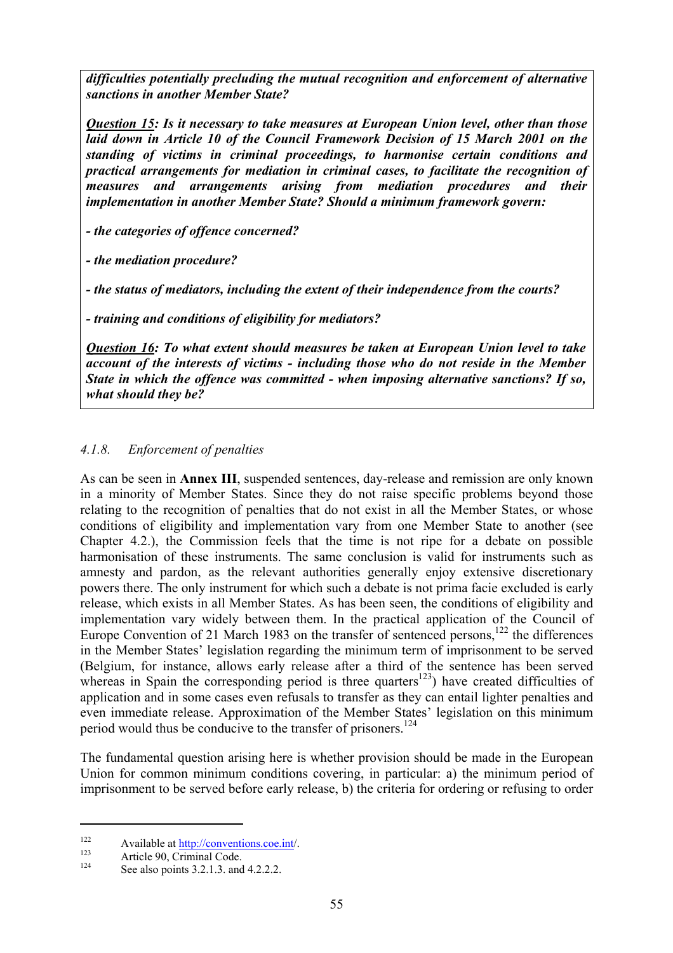*difficulties potentially precluding the mutual recognition and enforcement of alternative sanctions in another Member State?* 

*Question 15: Is it necessary to take measures at European Union level, other than those laid down in Article 10 of the Council Framework Decision of 15 March 2001 on the standing of victims in criminal proceedings, to harmonise certain conditions and practical arrangements for mediation in criminal cases, to facilitate the recognition of measures and arrangements arising from mediation procedures and their implementation in another Member State? Should a minimum framework govern:* 

*- the categories of offence concerned?* 

*- the mediation procedure?* 

*- the status of mediators, including the extent of their independence from the courts?* 

*- training and conditions of eligibility for mediators?* 

*Question 16: To what extent should measures be taken at European Union level to take account of the interests of victims - including those who do not reside in the Member State in which the offence was committed - when imposing alternative sanctions? If so, what should they be?*

# *4.1.8. Enforcement of penalties*

As can be seen in **Annex III**, suspended sentences, day-release and remission are only known in a minority of Member States. Since they do not raise specific problems beyond those relating to the recognition of penalties that do not exist in all the Member States, or whose conditions of eligibility and implementation vary from one Member State to another (see Chapter 4.2.), the Commission feels that the time is not ripe for a debate on possible harmonisation of these instruments. The same conclusion is valid for instruments such as amnesty and pardon, as the relevant authorities generally enjoy extensive discretionary powers there. The only instrument for which such a debate is not prima facie excluded is early release, which exists in all Member States. As has been seen, the conditions of eligibility and implementation vary widely between them. In the practical application of the Council of Europe Convention of 21 March 1983 on the transfer of sentenced persons,<sup>122</sup> the differences in the Member States' legislation regarding the minimum term of imprisonment to be served (Belgium, for instance, allows early release after a third of the sentence has been served whereas in Spain the corresponding period is three quarters<sup>123</sup>) have created difficulties of application and in some cases even refusals to transfer as they can entail lighter penalties and even immediate release. Approximation of the Member States' legislation on this minimum period would thus be conducive to the transfer of prisoners.<sup>124</sup>

The fundamental question arising here is whether provision should be made in the European Union for common minimum conditions covering, in particular: a) the minimum period of imprisonment to be served before early release, b) the criteria for ordering or refusing to order

<sup>&</sup>lt;sup>122</sup> Available at <u>http://conventions.coe.int</u>/.<br><sup>123</sup> Article 90, Criminal Code.<br>See also points 3.2.1.3. and 4.2.2.2.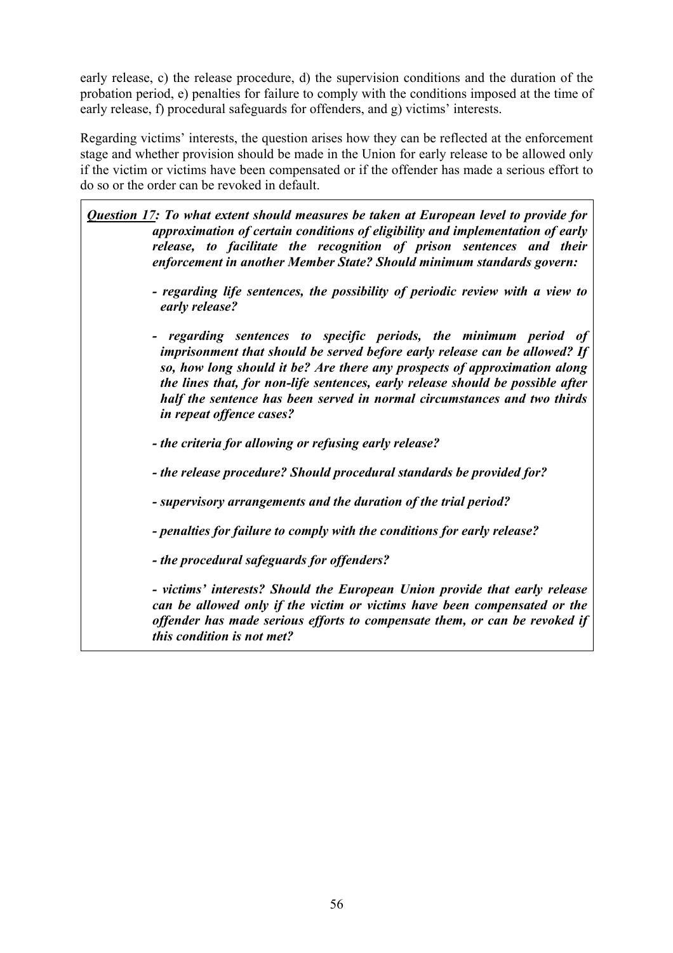early release, c) the release procedure, d) the supervision conditions and the duration of the probation period, e) penalties for failure to comply with the conditions imposed at the time of early release, f) procedural safeguards for offenders, and g) victims' interests.

Regarding victims' interests, the question arises how they can be reflected at the enforcement stage and whether provision should be made in the Union for early release to be allowed only if the victim or victims have been compensated or if the offender has made a serious effort to do so or the order can be revoked in default.

*Question 17: To what extent should measures be taken at European level to provide for approximation of certain conditions of eligibility and implementation of early release, to facilitate the recognition of prison sentences and their enforcement in another Member State? Should minimum standards govern:* 

- *regarding life sentences, the possibility of periodic review with a view to early release?*
- *regarding sentences to specific periods, the minimum period of imprisonment that should be served before early release can be allowed? If so, how long should it be? Are there any prospects of approximation along the lines that, for non-life sentences, early release should be possible after half the sentence has been served in normal circumstances and two thirds in repeat offence cases?*
- *the criteria for allowing or refusing early release?*
- *the release procedure? Should procedural standards be provided for?*
- *supervisory arrangements and the duration of the trial period?*
- *penalties for failure to comply with the conditions for early release?*
- *the procedural safeguards for offenders?*

*- victims' interests? Should the European Union provide that early release can be allowed only if the victim or victims have been compensated or the offender has made serious efforts to compensate them, or can be revoked if this condition is not met?*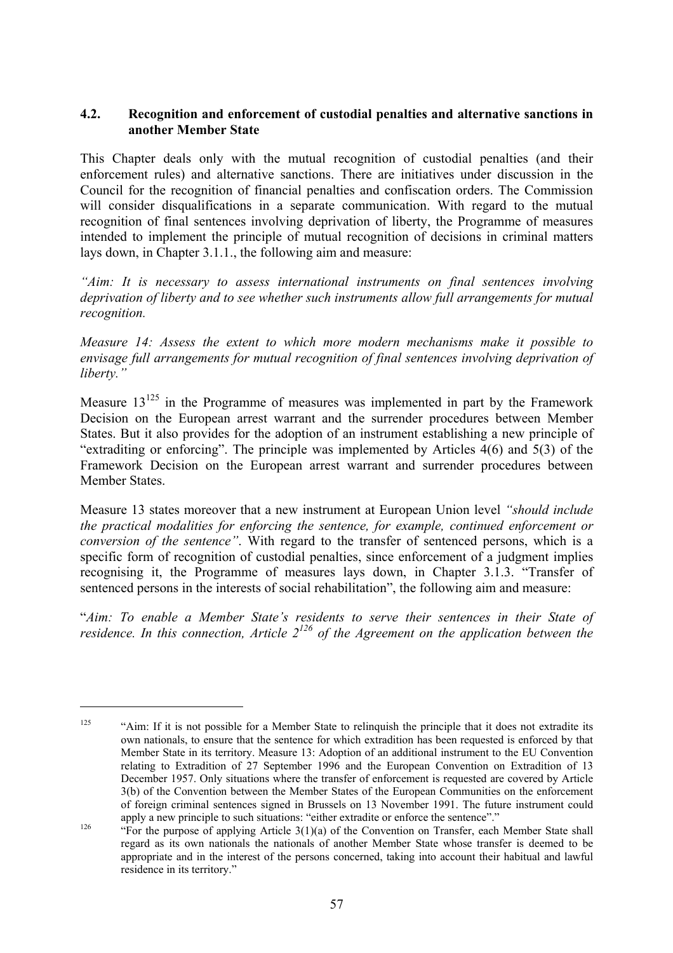#### **4.2. Recognition and enforcement of custodial penalties and alternative sanctions in another Member State**

This Chapter deals only with the mutual recognition of custodial penalties (and their enforcement rules) and alternative sanctions. There are initiatives under discussion in the Council for the recognition of financial penalties and confiscation orders. The Commission will consider disqualifications in a separate communication. With regard to the mutual recognition of final sentences involving deprivation of liberty, the Programme of measures intended to implement the principle of mutual recognition of decisions in criminal matters lays down, in Chapter 3.1.1., the following aim and measure:

*"Aim: It is necessary to assess international instruments on final sentences involving deprivation of liberty and to see whether such instruments allow full arrangements for mutual recognition.* 

*Measure 14: Assess the extent to which more modern mechanisms make it possible to envisage full arrangements for mutual recognition of final sentences involving deprivation of liberty."* 

Measure  $13^{125}$  in the Programme of measures was implemented in part by the Framework Decision on the European arrest warrant and the surrender procedures between Member States. But it also provides for the adoption of an instrument establishing a new principle of "extraditing or enforcing". The principle was implemented by Articles 4(6) and 5(3) of the Framework Decision on the European arrest warrant and surrender procedures between Member States.

Measure 13 states moreover that a new instrument at European Union level *"should include the practical modalities for enforcing the sentence, for example, continued enforcement or conversion of the sentence"*. With regard to the transfer of sentenced persons, which is a specific form of recognition of custodial penalties, since enforcement of a judgment implies recognising it, the Programme of measures lays down, in Chapter 3.1.3. "Transfer of sentenced persons in the interests of social rehabilitation", the following aim and measure:

"*Aim: To enable a Member State's residents to serve their sentences in their State of residence. In this connection, Article*  $2^{126}$  *of the Agreement on the application between the* 

<sup>&</sup>lt;sup>125</sup> "Aim: If it is not possible for a Member State to relinquish the principle that it does not extradite its own nationals, to ensure that the sentence for which extradition has been requested is enforced by that Member State in its territory. Measure 13: Adoption of an additional instrument to the EU Convention relating to Extradition of 27 September 1996 and the European Convention on Extradition of 13 December 1957. Only situations where the transfer of enforcement is requested are covered by Article 3(b) of the Convention between the Member States of the European Communities on the enforcement of foreign criminal sentences signed in Brussels on 13 November 1991. The future instrument could

apply a new principle to such situations: "either extradite or enforce the sentence"."<br>"For the purpose of applying Article 3(1)(a) of the Convention on Transfer, each Member State shall regard as its own nationals the nationals of another Member State whose transfer is deemed to be appropriate and in the interest of the persons concerned, taking into account their habitual and lawful residence in its territory."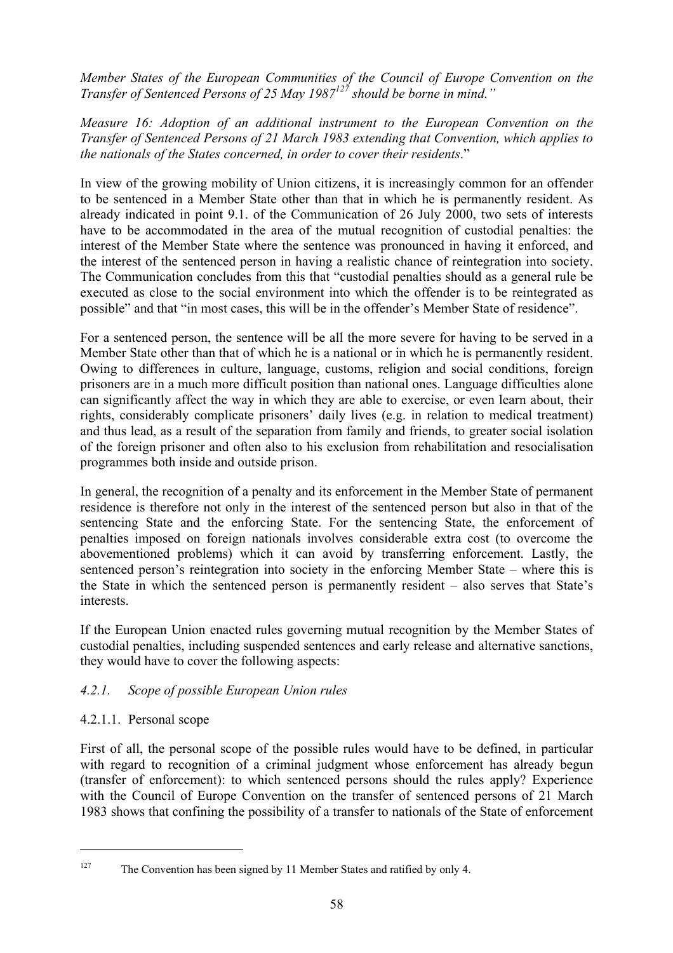*Member States of the European Communities of the Council of Europe Convention on the Transfer of Sentenced Persons of 25 May 1987127 should be borne in mind."* 

#### *Measure 16: Adoption of an additional instrument to the European Convention on the Transfer of Sentenced Persons of 21 March 1983 extending that Convention, which applies to the nationals of the States concerned, in order to cover their residents*."

In view of the growing mobility of Union citizens, it is increasingly common for an offender to be sentenced in a Member State other than that in which he is permanently resident. As already indicated in point 9.1. of the Communication of 26 July 2000, two sets of interests have to be accommodated in the area of the mutual recognition of custodial penalties: the interest of the Member State where the sentence was pronounced in having it enforced, and the interest of the sentenced person in having a realistic chance of reintegration into society. The Communication concludes from this that "custodial penalties should as a general rule be executed as close to the social environment into which the offender is to be reintegrated as possible" and that "in most cases, this will be in the offender's Member State of residence".

For a sentenced person, the sentence will be all the more severe for having to be served in a Member State other than that of which he is a national or in which he is permanently resident. Owing to differences in culture, language, customs, religion and social conditions, foreign prisoners are in a much more difficult position than national ones. Language difficulties alone can significantly affect the way in which they are able to exercise, or even learn about, their rights, considerably complicate prisoners' daily lives (e.g. in relation to medical treatment) and thus lead, as a result of the separation from family and friends, to greater social isolation of the foreign prisoner and often also to his exclusion from rehabilitation and resocialisation programmes both inside and outside prison.

In general, the recognition of a penalty and its enforcement in the Member State of permanent residence is therefore not only in the interest of the sentenced person but also in that of the sentencing State and the enforcing State. For the sentencing State, the enforcement of penalties imposed on foreign nationals involves considerable extra cost (to overcome the abovementioned problems) which it can avoid by transferring enforcement. Lastly, the sentenced person's reintegration into society in the enforcing Member State – where this is the State in which the sentenced person is permanently resident – also serves that State's interests.

If the European Union enacted rules governing mutual recognition by the Member States of custodial penalties, including suspended sentences and early release and alternative sanctions, they would have to cover the following aspects:

# *4.2.1. Scope of possible European Union rules*

# 4.2.1.1. Personal scope

 $\overline{a}$ 

First of all, the personal scope of the possible rules would have to be defined, in particular with regard to recognition of a criminal judgment whose enforcement has already begun (transfer of enforcement): to which sentenced persons should the rules apply? Experience with the Council of Europe Convention on the transfer of sentenced persons of 21 March 1983 shows that confining the possibility of a transfer to nationals of the State of enforcement

<sup>&</sup>lt;sup>127</sup> The Convention has been signed by 11 Member States and ratified by only 4.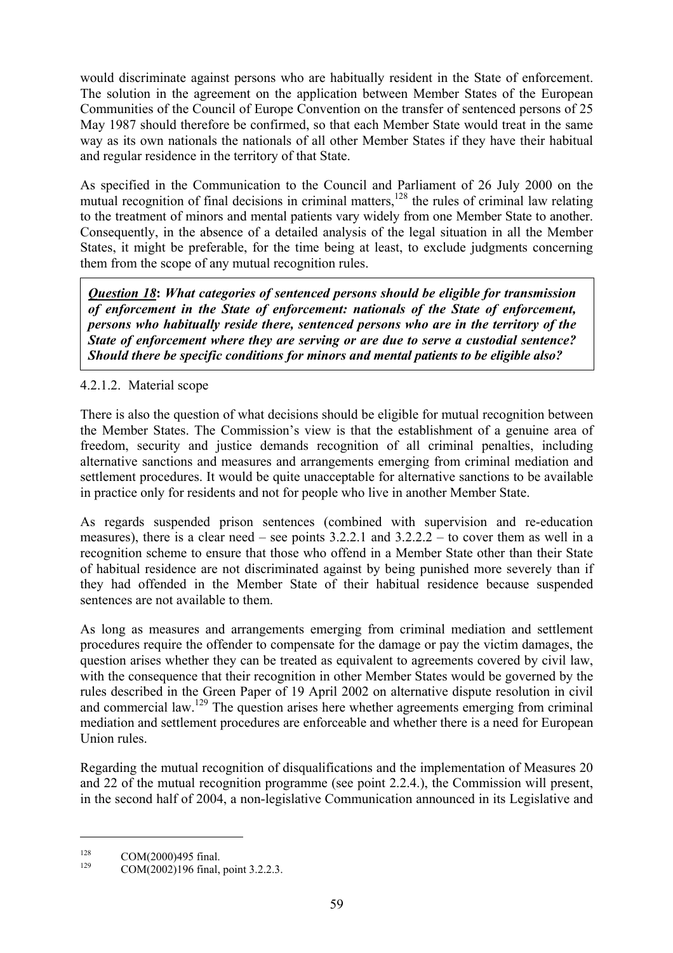would discriminate against persons who are habitually resident in the State of enforcement. The solution in the agreement on the application between Member States of the European Communities of the Council of Europe Convention on the transfer of sentenced persons of 25 May 1987 should therefore be confirmed, so that each Member State would treat in the same way as its own nationals the nationals of all other Member States if they have their habitual and regular residence in the territory of that State.

As specified in the Communication to the Council and Parliament of 26 July 2000 on the mutual recognition of final decisions in criminal matters,  $128$  the rules of criminal law relating to the treatment of minors and mental patients vary widely from one Member State to another. Consequently, in the absence of a detailed analysis of the legal situation in all the Member States, it might be preferable, for the time being at least, to exclude judgments concerning them from the scope of any mutual recognition rules.

*Question 18***:** *What categories of sentenced persons should be eligible for transmission of enforcement in the State of enforcement: nationals of the State of enforcement, persons who habitually reside there, sentenced persons who are in the territory of the State of enforcement where they are serving or are due to serve a custodial sentence? Should there be specific conditions for minors and mental patients to be eligible also?* 

# 4.2.1.2. Material scope

There is also the question of what decisions should be eligible for mutual recognition between the Member States. The Commission's view is that the establishment of a genuine area of freedom, security and justice demands recognition of all criminal penalties, including alternative sanctions and measures and arrangements emerging from criminal mediation and settlement procedures. It would be quite unacceptable for alternative sanctions to be available in practice only for residents and not for people who live in another Member State.

As regards suspended prison sentences (combined with supervision and re-education measures), there is a clear need – see points  $3.2.2.1$  and  $3.2.2.2$  – to cover them as well in a recognition scheme to ensure that those who offend in a Member State other than their State of habitual residence are not discriminated against by being punished more severely than if they had offended in the Member State of their habitual residence because suspended sentences are not available to them.

As long as measures and arrangements emerging from criminal mediation and settlement procedures require the offender to compensate for the damage or pay the victim damages, the question arises whether they can be treated as equivalent to agreements covered by civil law, with the consequence that their recognition in other Member States would be governed by the rules described in the Green Paper of 19 April 2002 on alternative dispute resolution in civil and commercial law.129 The question arises here whether agreements emerging from criminal mediation and settlement procedures are enforceable and whether there is a need for European Union rules.

Regarding the mutual recognition of disqualifications and the implementation of Measures 20 and 22 of the mutual recognition programme (see point 2.2.4.), the Commission will present, in the second half of 2004, a non-legislative Communication announced in its Legislative and

<sup>&</sup>lt;sup>128</sup> COM(2000)495 final.<br><sup>129</sup> COM(2002)196 final, point 3.2.2.3.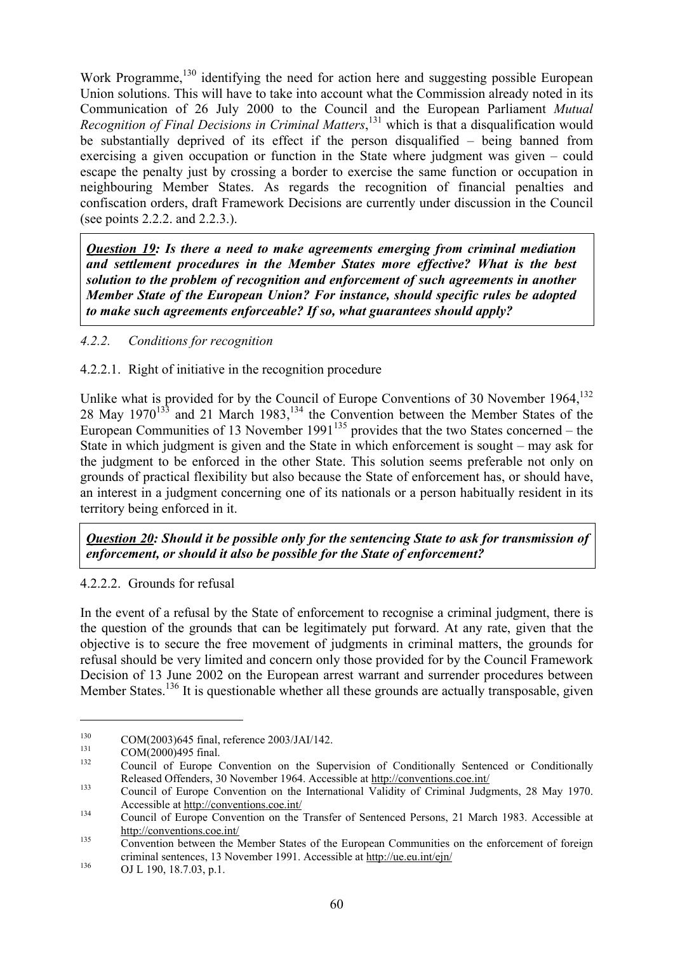Work Programme,<sup>130</sup> identifying the need for action here and suggesting possible European Union solutions. This will have to take into account what the Commission already noted in its Communication of 26 July 2000 to the Council and the European Parliament *Mutual Recognition of Final Decisions in Criminal Matters*, 131 which is that a disqualification would be substantially deprived of its effect if the person disqualified – being banned from exercising a given occupation or function in the State where judgment was given – could escape the penalty just by crossing a border to exercise the same function or occupation in neighbouring Member States. As regards the recognition of financial penalties and confiscation orders, draft Framework Decisions are currently under discussion in the Council (see points 2.2.2. and 2.2.3.).

*Question 19: Is there a need to make agreements emerging from criminal mediation and settlement procedures in the Member States more effective? What is the best solution to the problem of recognition and enforcement of such agreements in another Member State of the European Union? For instance, should specific rules be adopted to make such agreements enforceable? If so, what guarantees should apply?*

# *4.2.2. Conditions for recognition*

### 4.2.2.1. Right of initiative in the recognition procedure

Unlike what is provided for by the Council of Europe Conventions of 30 November 1964,<sup>132</sup> 28 May 1970<sup>133</sup> and 21 March 1983,<sup>134</sup> the Convention between the Member States of the European Communities of 13 November 1991<sup>135</sup> provides that the two States concerned – the State in which judgment is given and the State in which enforcement is sought – may ask for the judgment to be enforced in the other State. This solution seems preferable not only on grounds of practical flexibility but also because the State of enforcement has, or should have, an interest in a judgment concerning one of its nationals or a person habitually resident in its territory being enforced in it.

*Question 20: Should it be possible only for the sentencing State to ask for transmission of enforcement, or should it also be possible for the State of enforcement?* 

### 4.2.2.2. Grounds for refusal

In the event of a refusal by the State of enforcement to recognise a criminal judgment, there is the question of the grounds that can be legitimately put forward. At any rate, given that the objective is to secure the free movement of judgments in criminal matters, the grounds for refusal should be very limited and concern only those provided for by the Council Framework Decision of 13 June 2002 on the European arrest warrant and surrender procedures between Member States.<sup>136</sup> It is questionable whether all these grounds are actually transposable, given

<sup>130</sup> COM(2003)645 final, reference 2003/JAI/142.<br>
131 COM(2000)495 final.<br>
132 Council of Europe Convention on the Supervision of Conditionally Sentenced or Conditionally Released Offenders, 30 November 1964. Accessible at http://conventions.coe.int/<br>Council of Europe Convention on the International Validity of Criminal Judgments, 28 May 1970.

Accessible at <u>http://conventions.coe.int/</u><br>Council of Europe Convention on the Transfer of Sentenced Persons, 21 March 1983. Accessible at

http://conventions.coe.int/<br>Convention between the Member States of the European Communities on the enforcement of foreign criminal sentences, 13 November 1991. Accessible at http://ue.eu.int/ejn/<br>OJ L 190, 18.7.03, p.1.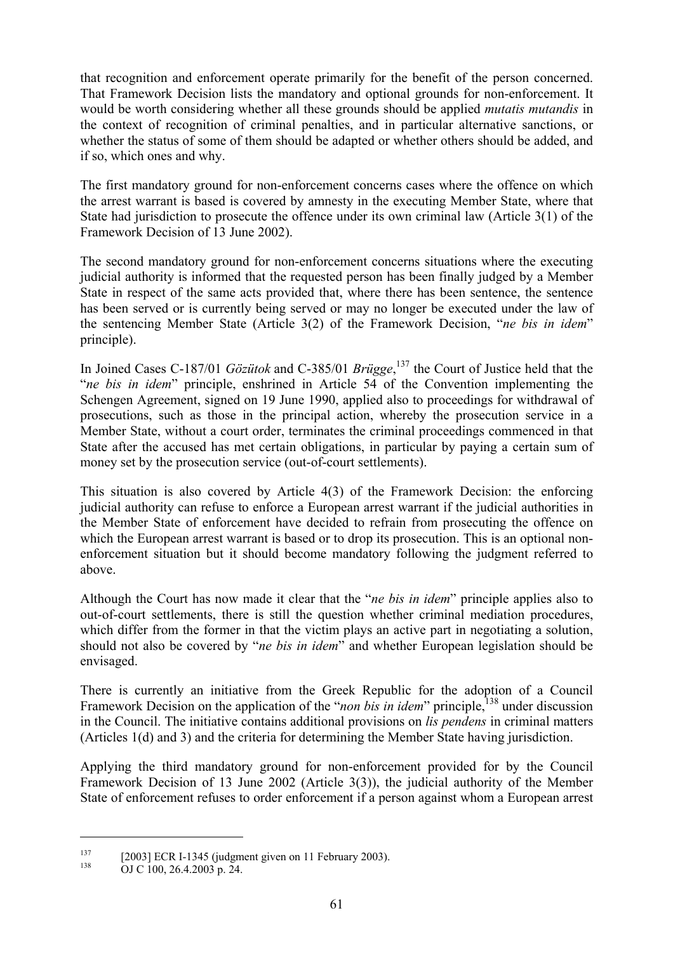that recognition and enforcement operate primarily for the benefit of the person concerned. That Framework Decision lists the mandatory and optional grounds for non-enforcement. It would be worth considering whether all these grounds should be applied *mutatis mutandis* in the context of recognition of criminal penalties, and in particular alternative sanctions, or whether the status of some of them should be adapted or whether others should be added, and if so, which ones and why.

The first mandatory ground for non-enforcement concerns cases where the offence on which the arrest warrant is based is covered by amnesty in the executing Member State, where that State had jurisdiction to prosecute the offence under its own criminal law (Article 3(1) of the Framework Decision of 13 June 2002).

The second mandatory ground for non-enforcement concerns situations where the executing judicial authority is informed that the requested person has been finally judged by a Member State in respect of the same acts provided that, where there has been sentence, the sentence has been served or is currently being served or may no longer be executed under the law of the sentencing Member State (Article 3(2) of the Framework Decision, "*ne bis in idem*" principle).

In Joined Cases C-187/01 *Gözütok* and C-385/01 *Brügge*, 137 the Court of Justice held that the "*ne bis in idem*" principle, enshrined in Article 54 of the Convention implementing the Schengen Agreement, signed on 19 June 1990, applied also to proceedings for withdrawal of prosecutions, such as those in the principal action, whereby the prosecution service in a Member State, without a court order, terminates the criminal proceedings commenced in that State after the accused has met certain obligations, in particular by paying a certain sum of money set by the prosecution service (out-of-court settlements).

This situation is also covered by Article 4(3) of the Framework Decision: the enforcing judicial authority can refuse to enforce a European arrest warrant if the judicial authorities in the Member State of enforcement have decided to refrain from prosecuting the offence on which the European arrest warrant is based or to drop its prosecution. This is an optional nonenforcement situation but it should become mandatory following the judgment referred to above.

Although the Court has now made it clear that the "*ne bis in idem*" principle applies also to out-of-court settlements, there is still the question whether criminal mediation procedures, which differ from the former in that the victim plays an active part in negotiating a solution, should not also be covered by "*ne bis in idem*" and whether European legislation should be envisaged.

There is currently an initiative from the Greek Republic for the adoption of a Council Framework Decision on the application of the "*non bis in idem*" principle,<sup>138</sup> under discussion in the Council. The initiative contains additional provisions on *lis pendens* in criminal matters (Articles 1(d) and 3) and the criteria for determining the Member State having jurisdiction.

Applying the third mandatory ground for non-enforcement provided for by the Council Framework Decision of 13 June 2002 (Article 3(3)), the judicial authority of the Member State of enforcement refuses to order enforcement if a person against whom a European arrest

<sup>&</sup>lt;sup>137</sup> [2003] ECR I-1345 (judgment given on 11 February 2003).<br>OJ C 100, 26.4.2003 p. 24.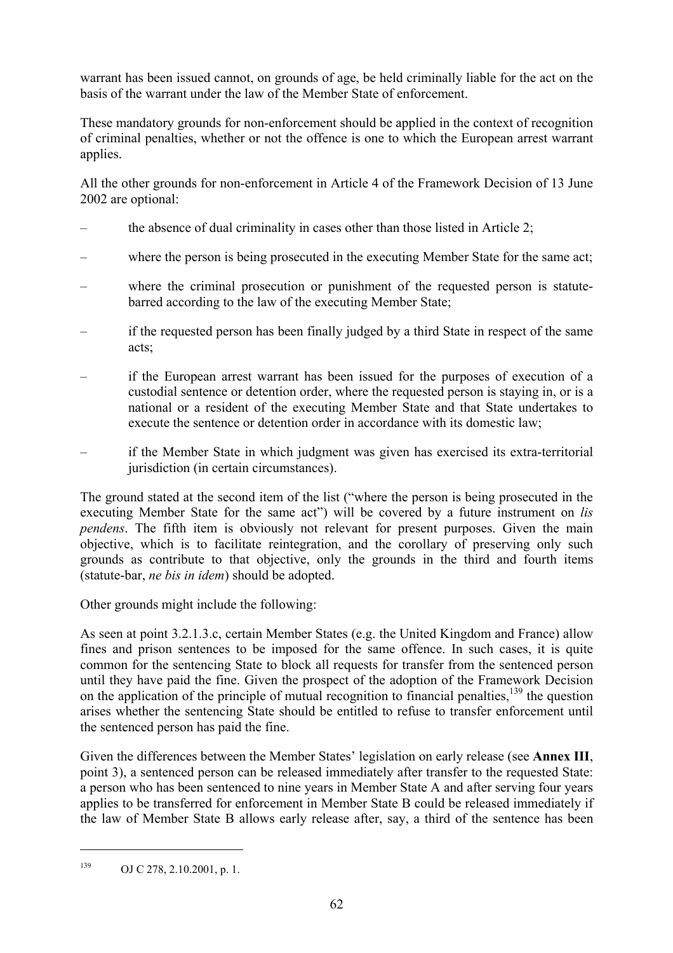warrant has been issued cannot, on grounds of age, be held criminally liable for the act on the basis of the warrant under the law of the Member State of enforcement.

These mandatory grounds for non-enforcement should be applied in the context of recognition of criminal penalties, whether or not the offence is one to which the European arrest warrant applies.

All the other grounds for non-enforcement in Article 4 of the Framework Decision of 13 June 2002 are optional:

- the absence of dual criminality in cases other than those listed in Article 2;
- where the person is being prosecuted in the executing Member State for the same act;
- where the criminal prosecution or punishment of the requested person is statutebarred according to the law of the executing Member State;
- if the requested person has been finally judged by a third State in respect of the same acts;
- if the European arrest warrant has been issued for the purposes of execution of a custodial sentence or detention order, where the requested person is staying in, or is a national or a resident of the executing Member State and that State undertakes to execute the sentence or detention order in accordance with its domestic law;
- if the Member State in which judgment was given has exercised its extra-territorial jurisdiction (in certain circumstances).

The ground stated at the second item of the list ("where the person is being prosecuted in the executing Member State for the same act") will be covered by a future instrument on *lis pendens*. The fifth item is obviously not relevant for present purposes. Given the main objective, which is to facilitate reintegration, and the corollary of preserving only such grounds as contribute to that objective, only the grounds in the third and fourth items (statute-bar, *ne bis in idem*) should be adopted.

Other grounds might include the following:

As seen at point 3.2.1.3.c, certain Member States (e.g. the United Kingdom and France) allow fines and prison sentences to be imposed for the same offence. In such cases, it is quite common for the sentencing State to block all requests for transfer from the sentenced person until they have paid the fine. Given the prospect of the adoption of the Framework Decision on the application of the principle of mutual recognition to financial penalties,  $^{139}$  the question arises whether the sentencing State should be entitled to refuse to transfer enforcement until the sentenced person has paid the fine.

Given the differences between the Member States' legislation on early release (see **Annex III**, point 3), a sentenced person can be released immediately after transfer to the requested State: a person who has been sentenced to nine years in Member State A and after serving four years applies to be transferred for enforcement in Member State B could be released immediately if the law of Member State B allows early release after, say, a third of the sentence has been

<sup>139</sup> OJ C 278, 2.10.2001, p. 1.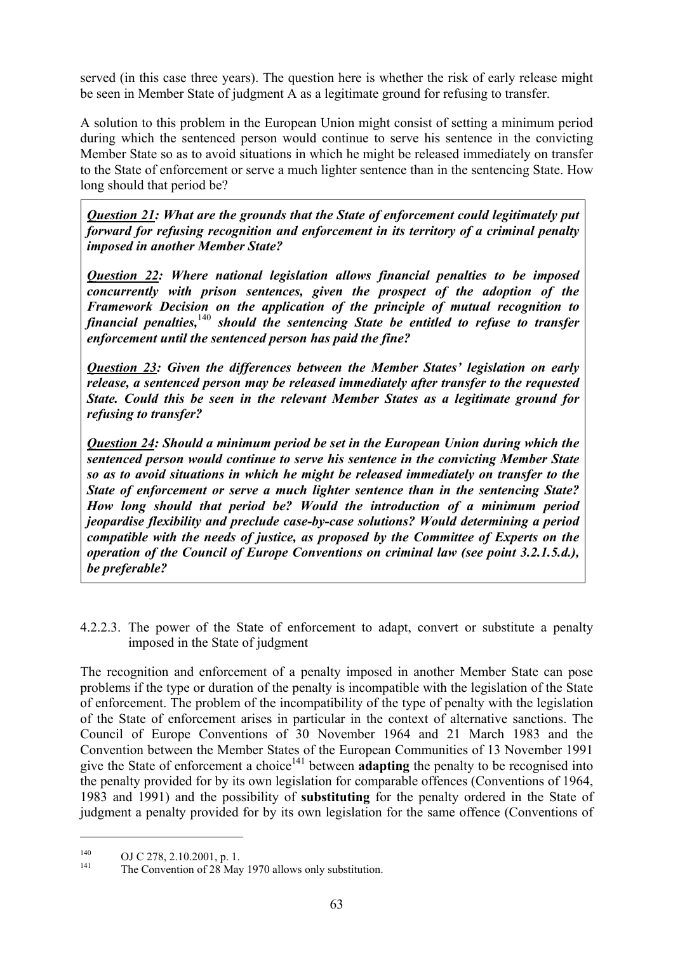served (in this case three years). The question here is whether the risk of early release might be seen in Member State of judgment A as a legitimate ground for refusing to transfer.

A solution to this problem in the European Union might consist of setting a minimum period during which the sentenced person would continue to serve his sentence in the convicting Member State so as to avoid situations in which he might be released immediately on transfer to the State of enforcement or serve a much lighter sentence than in the sentencing State. How long should that period be?

*Question 21: What are the grounds that the State of enforcement could legitimately put forward for refusing recognition and enforcement in its territory of a criminal penalty imposed in another Member State?* 

*Question 22: Where national legislation allows financial penalties to be imposed concurrently with prison sentences, given the prospect of the adoption of the Framework Decision on the application of the principle of mutual recognition to financial penalties,*<sup>140</sup> *should the sentencing State be entitled to refuse to transfer enforcement until the sentenced person has paid the fine?* 

*Question 23: Given the differences between the Member States' legislation on early release, a sentenced person may be released immediately after transfer to the requested State. Could this be seen in the relevant Member States as a legitimate ground for refusing to transfer?* 

*Question 24: Should a minimum period be set in the European Union during which the sentenced person would continue to serve his sentence in the convicting Member State so as to avoid situations in which he might be released immediately on transfer to the State of enforcement or serve a much lighter sentence than in the sentencing State? How long should that period be? Would the introduction of a minimum period jeopardise flexibility and preclude case-by-case solutions? Would determining a period compatible with the needs of justice, as proposed by the Committee of Experts on the operation of the Council of Europe Conventions on criminal law (see point 3.2.1.5.d.), be preferable?*

4.2.2.3. The power of the State of enforcement to adapt, convert or substitute a penalty imposed in the State of judgment

The recognition and enforcement of a penalty imposed in another Member State can pose problems if the type or duration of the penalty is incompatible with the legislation of the State of enforcement. The problem of the incompatibility of the type of penalty with the legislation of the State of enforcement arises in particular in the context of alternative sanctions. The Council of Europe Conventions of 30 November 1964 and 21 March 1983 and the Convention between the Member States of the European Communities of 13 November 1991 give the State of enforcement a choice<sup>141</sup> between **adapting** the penalty to be recognised into the penalty provided for by its own legislation for comparable offences (Conventions of 1964, 1983 and 1991) and the possibility of **substituting** for the penalty ordered in the State of judgment a penalty provided for by its own legislation for the same offence (Conventions of

<sup>&</sup>lt;sup>140</sup> OJ C 278, 2.10.2001, p. 1.<br>
The Convention of 28 May 1970 allows only substitution.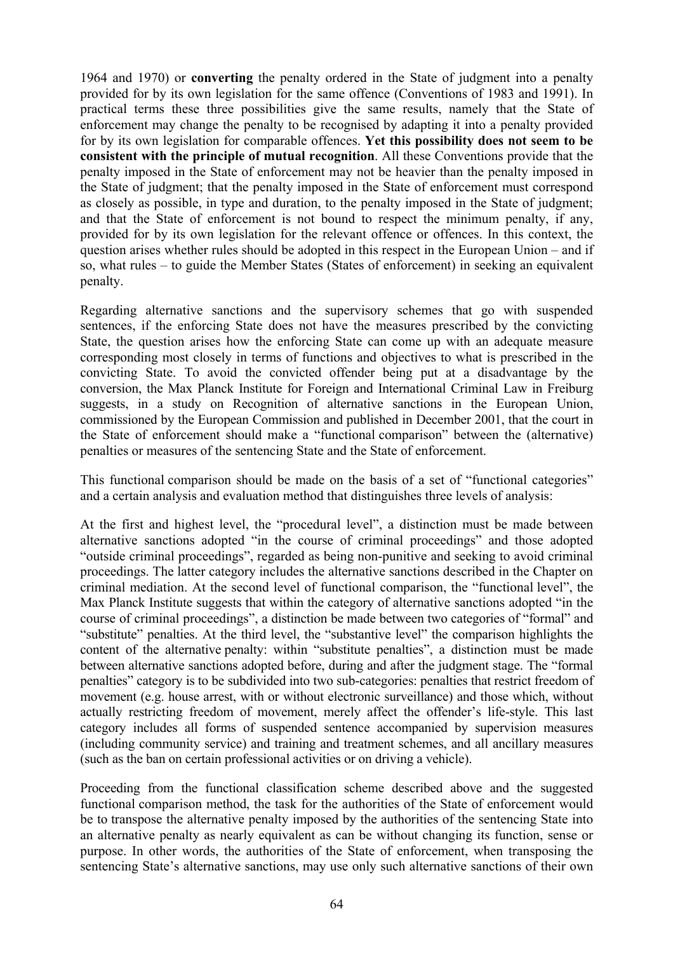1964 and 1970) or **converting** the penalty ordered in the State of judgment into a penalty provided for by its own legislation for the same offence (Conventions of 1983 and 1991). In practical terms these three possibilities give the same results, namely that the State of enforcement may change the penalty to be recognised by adapting it into a penalty provided for by its own legislation for comparable offences. **Yet this possibility does not seem to be consistent with the principle of mutual recognition**. All these Conventions provide that the penalty imposed in the State of enforcement may not be heavier than the penalty imposed in the State of judgment; that the penalty imposed in the State of enforcement must correspond as closely as possible, in type and duration, to the penalty imposed in the State of judgment; and that the State of enforcement is not bound to respect the minimum penalty, if any, provided for by its own legislation for the relevant offence or offences. In this context, the question arises whether rules should be adopted in this respect in the European Union – and if so, what rules – to guide the Member States (States of enforcement) in seeking an equivalent penalty.

Regarding alternative sanctions and the supervisory schemes that go with suspended sentences, if the enforcing State does not have the measures prescribed by the convicting State, the question arises how the enforcing State can come up with an adequate measure corresponding most closely in terms of functions and objectives to what is prescribed in the convicting State. To avoid the convicted offender being put at a disadvantage by the conversion, the Max Planck Institute for Foreign and International Criminal Law in Freiburg suggests, in a study on Recognition of alternative sanctions in the European Union, commissioned by the European Commission and published in December 2001, that the court in the State of enforcement should make a "functional comparison" between the (alternative) penalties or measures of the sentencing State and the State of enforcement.

This functional comparison should be made on the basis of a set of "functional categories" and a certain analysis and evaluation method that distinguishes three levels of analysis:

At the first and highest level, the "procedural level", a distinction must be made between alternative sanctions adopted "in the course of criminal proceedings" and those adopted "outside criminal proceedings", regarded as being non-punitive and seeking to avoid criminal proceedings. The latter category includes the alternative sanctions described in the Chapter on criminal mediation. At the second level of functional comparison, the "functional level", the Max Planck Institute suggests that within the category of alternative sanctions adopted "in the course of criminal proceedings", a distinction be made between two categories of "formal" and "substitute" penalties. At the third level, the "substantive level" the comparison highlights the content of the alternative penalty: within "substitute penalties", a distinction must be made between alternative sanctions adopted before, during and after the judgment stage. The "formal penalties" category is to be subdivided into two sub-categories: penalties that restrict freedom of movement (e.g. house arrest, with or without electronic surveillance) and those which, without actually restricting freedom of movement, merely affect the offender's life-style. This last category includes all forms of suspended sentence accompanied by supervision measures (including community service) and training and treatment schemes, and all ancillary measures (such as the ban on certain professional activities or on driving a vehicle).

Proceeding from the functional classification scheme described above and the suggested functional comparison method, the task for the authorities of the State of enforcement would be to transpose the alternative penalty imposed by the authorities of the sentencing State into an alternative penalty as nearly equivalent as can be without changing its function, sense or purpose. In other words, the authorities of the State of enforcement, when transposing the sentencing State's alternative sanctions, may use only such alternative sanctions of their own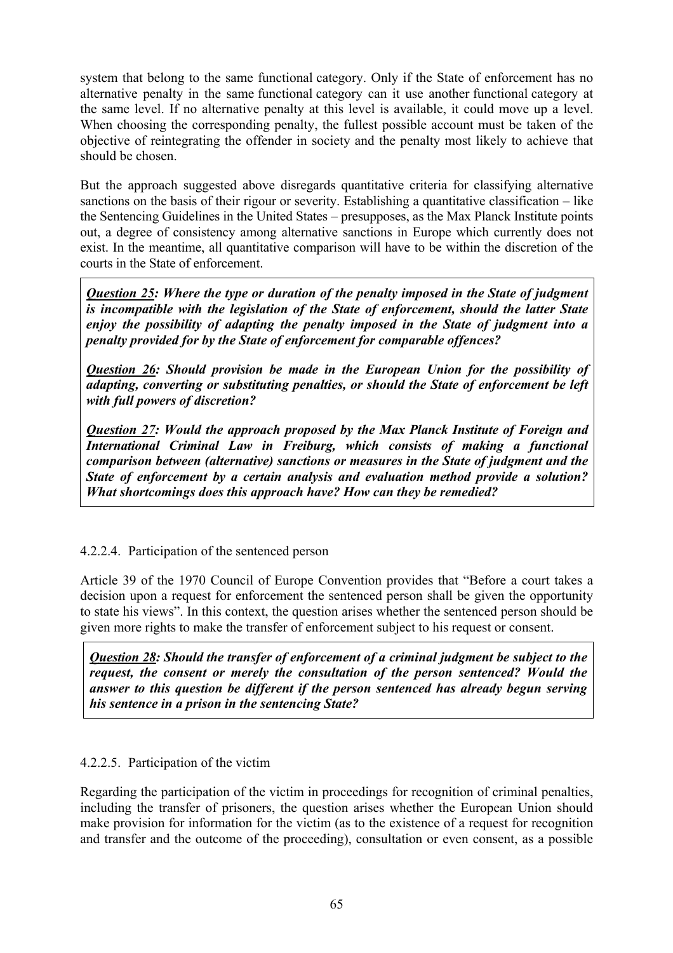system that belong to the same functional category. Only if the State of enforcement has no alternative penalty in the same functional category can it use another functional category at the same level. If no alternative penalty at this level is available, it could move up a level. When choosing the corresponding penalty, the fullest possible account must be taken of the objective of reintegrating the offender in society and the penalty most likely to achieve that should be chosen.

But the approach suggested above disregards quantitative criteria for classifying alternative sanctions on the basis of their rigour or severity. Establishing a quantitative classification – like the Sentencing Guidelines in the United States – presupposes, as the Max Planck Institute points out, a degree of consistency among alternative sanctions in Europe which currently does not exist. In the meantime, all quantitative comparison will have to be within the discretion of the courts in the State of enforcement.

*Question 25: Where the type or duration of the penalty imposed in the State of judgment is incompatible with the legislation of the State of enforcement, should the latter State enjoy the possibility of adapting the penalty imposed in the State of judgment into a penalty provided for by the State of enforcement for comparable offences?* 

*Question 26: Should provision be made in the European Union for the possibility of adapting, converting or substituting penalties, or should the State of enforcement be left with full powers of discretion?* 

*Question 27: Would the approach proposed by the Max Planck Institute of Foreign and International Criminal Law in Freiburg, which consists of making a functional comparison between (alternative) sanctions or measures in the State of judgment and the State of enforcement by a certain analysis and evaluation method provide a solution? What shortcomings does this approach have? How can they be remedied?*

4.2.2.4. Participation of the sentenced person

Article 39 of the 1970 Council of Europe Convention provides that "Before a court takes a decision upon a request for enforcement the sentenced person shall be given the opportunity to state his views". In this context, the question arises whether the sentenced person should be given more rights to make the transfer of enforcement subject to his request or consent.

*Question 28: Should the transfer of enforcement of a criminal judgment be subject to the request, the consent or merely the consultation of the person sentenced? Would the answer to this question be different if the person sentenced has already begun serving his sentence in a prison in the sentencing State?* 

# 4.2.2.5. Participation of the victim

Regarding the participation of the victim in proceedings for recognition of criminal penalties, including the transfer of prisoners, the question arises whether the European Union should make provision for information for the victim (as to the existence of a request for recognition and transfer and the outcome of the proceeding), consultation or even consent, as a possible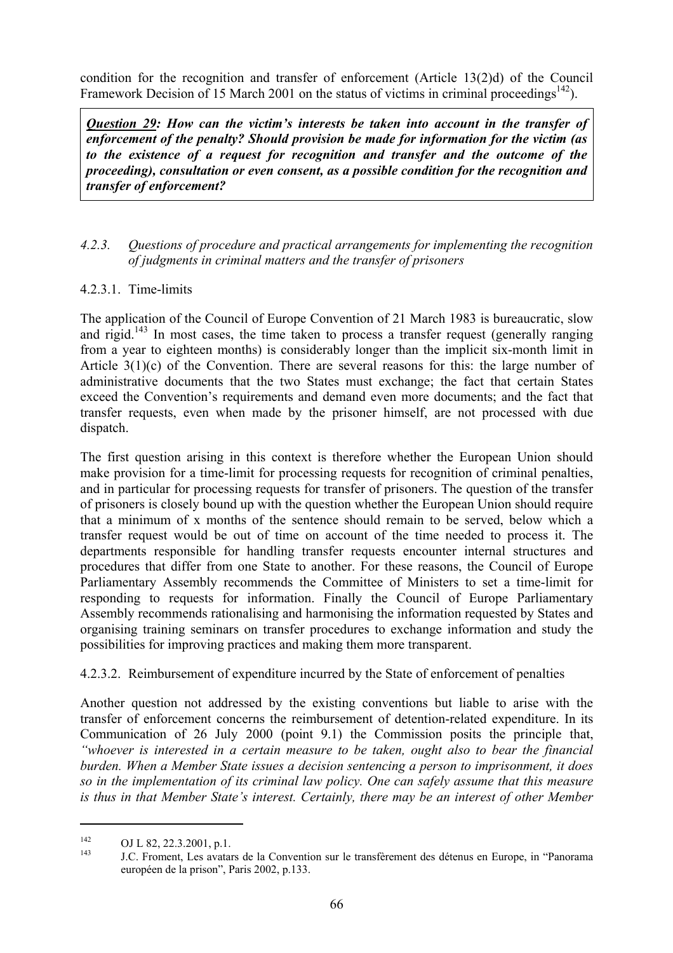condition for the recognition and transfer of enforcement (Article 13(2)d) of the Council Framework Decision of 15 March 2001 on the status of victims in criminal proceedings<sup>142</sup>).

*Question 29: How can the victim's interests be taken into account in the transfer of enforcement of the penalty? Should provision be made for information for the victim (as to the existence of a request for recognition and transfer and the outcome of the proceeding), consultation or even consent, as a possible condition for the recognition and transfer of enforcement?* 

### *4.2.3. Questions of procedure and practical arrangements for implementing the recognition of judgments in criminal matters and the transfer of prisoners*

### 4.2.3.1. Time-limits

The application of the Council of Europe Convention of 21 March 1983 is bureaucratic, slow and rigid.<sup>143</sup> In most cases, the time taken to process a transfer request (generally ranging from a year to eighteen months) is considerably longer than the implicit six-month limit in Article 3(1)(c) of the Convention. There are several reasons for this: the large number of administrative documents that the two States must exchange; the fact that certain States exceed the Convention's requirements and demand even more documents; and the fact that transfer requests, even when made by the prisoner himself, are not processed with due dispatch.

The first question arising in this context is therefore whether the European Union should make provision for a time-limit for processing requests for recognition of criminal penalties, and in particular for processing requests for transfer of prisoners. The question of the transfer of prisoners is closely bound up with the question whether the European Union should require that a minimum of x months of the sentence should remain to be served, below which a transfer request would be out of time on account of the time needed to process it. The departments responsible for handling transfer requests encounter internal structures and procedures that differ from one State to another. For these reasons, the Council of Europe Parliamentary Assembly recommends the Committee of Ministers to set a time-limit for responding to requests for information. Finally the Council of Europe Parliamentary Assembly recommends rationalising and harmonising the information requested by States and organising training seminars on transfer procedures to exchange information and study the possibilities for improving practices and making them more transparent.

4.2.3.2. Reimbursement of expenditure incurred by the State of enforcement of penalties

Another question not addressed by the existing conventions but liable to arise with the transfer of enforcement concerns the reimbursement of detention-related expenditure. In its Communication of 26 July 2000 (point 9.1) the Commission posits the principle that, *"whoever is interested in a certain measure to be taken, ought also to bear the financial burden. When a Member State issues a decision sentencing a person to imprisonment, it does so in the implementation of its criminal law policy. One can safely assume that this measure is thus in that Member State's interest. Certainly, there may be an interest of other Member* 

<sup>&</sup>lt;sup>142</sup> OJ L 82, 22.3.2001, p.1.<br><sup>143</sup> J.C. Froment, Les avatars de la Convention sur le transfèrement des détenus en Europe, in "Panorama" européen de la prison", Paris 2002, p.133.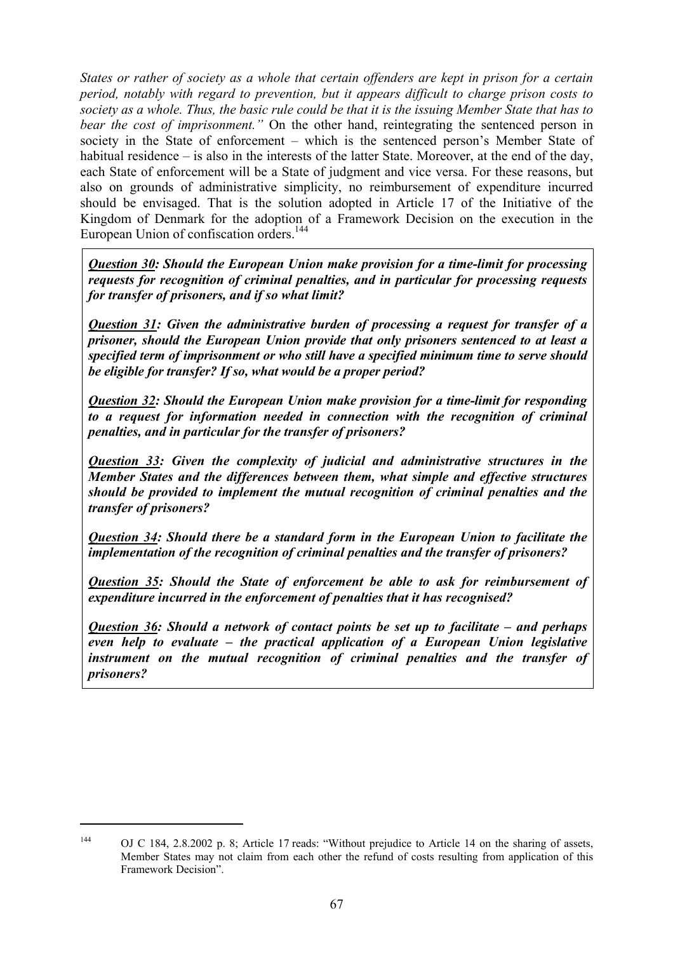*States or rather of society as a whole that certain offenders are kept in prison for a certain period, notably with regard to prevention, but it appears difficult to charge prison costs to society as a whole. Thus, the basic rule could be that it is the issuing Member State that has to bear the cost of imprisonment."* On the other hand, reintegrating the sentenced person in society in the State of enforcement – which is the sentenced person's Member State of habitual residence – is also in the interests of the latter State. Moreover, at the end of the day, each State of enforcement will be a State of judgment and vice versa. For these reasons, but also on grounds of administrative simplicity, no reimbursement of expenditure incurred should be envisaged. That is the solution adopted in Article 17 of the Initiative of the Kingdom of Denmark for the adoption of a Framework Decision on the execution in the European Union of confiscation orders.<sup>144</sup>

*Question 30: Should the European Union make provision for a time-limit for processing requests for recognition of criminal penalties, and in particular for processing requests for transfer of prisoners, and if so what limit?* 

*Question 31: Given the administrative burden of processing a request for transfer of a prisoner, should the European Union provide that only prisoners sentenced to at least a specified term of imprisonment or who still have a specified minimum time to serve should be eligible for transfer? If so, what would be a proper period?* 

*Question 32: Should the European Union make provision for a time-limit for responding to a request for information needed in connection with the recognition of criminal penalties, and in particular for the transfer of prisoners?* 

*Question 33: Given the complexity of judicial and administrative structures in the Member States and the differences between them, what simple and effective structures should be provided to implement the mutual recognition of criminal penalties and the transfer of prisoners?* 

*Question 34: Should there be a standard form in the European Union to facilitate the implementation of the recognition of criminal penalties and the transfer of prisoners?* 

*Question 35: Should the State of enforcement be able to ask for reimbursement of expenditure incurred in the enforcement of penalties that it has recognised?* 

*Question 36: Should a network of contact points be set up to facilitate – and perhaps even help to evaluate – the practical application of a European Union legislative instrument on the mutual recognition of criminal penalties and the transfer of prisoners?*

 $\overline{a}$ 

<sup>144</sup> OJ C 184, 2.8.2002 p. 8; Article 17 reads: "Without prejudice to Article 14 on the sharing of assets, Member States may not claim from each other the refund of costs resulting from application of this Framework Decision".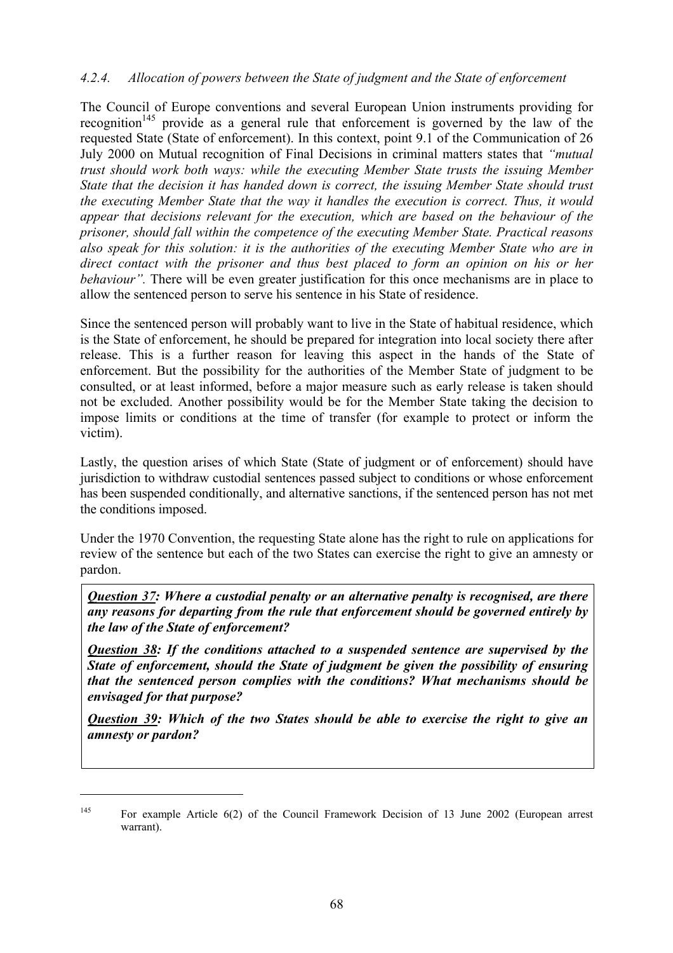#### *4.2.4. Allocation of powers between the State of judgment and the State of enforcement*

The Council of Europe conventions and several European Union instruments providing for recognition<sup>145</sup> provide as a general rule that enforcement is governed by the law of the requested State (State of enforcement). In this context, point 9.1 of the Communication of 26 July 2000 on Mutual recognition of Final Decisions in criminal matters states that *"mutual trust should work both ways: while the executing Member State trusts the issuing Member State that the decision it has handed down is correct, the issuing Member State should trust the executing Member State that the way it handles the execution is correct. Thus, it would appear that decisions relevant for the execution, which are based on the behaviour of the prisoner, should fall within the competence of the executing Member State. Practical reasons also speak for this solution: it is the authorities of the executing Member State who are in direct contact with the prisoner and thus best placed to form an opinion on his or her behaviour*". There will be even greater justification for this once mechanisms are in place to allow the sentenced person to serve his sentence in his State of residence.

Since the sentenced person will probably want to live in the State of habitual residence, which is the State of enforcement, he should be prepared for integration into local society there after release. This is a further reason for leaving this aspect in the hands of the State of enforcement. But the possibility for the authorities of the Member State of judgment to be consulted, or at least informed, before a major measure such as early release is taken should not be excluded. Another possibility would be for the Member State taking the decision to impose limits or conditions at the time of transfer (for example to protect or inform the victim).

Lastly, the question arises of which State (State of judgment or of enforcement) should have jurisdiction to withdraw custodial sentences passed subject to conditions or whose enforcement has been suspended conditionally, and alternative sanctions, if the sentenced person has not met the conditions imposed.

Under the 1970 Convention, the requesting State alone has the right to rule on applications for review of the sentence but each of the two States can exercise the right to give an amnesty or pardon.

*Question 37: Where a custodial penalty or an alternative penalty is recognised, are there any reasons for departing from the rule that enforcement should be governed entirely by the law of the State of enforcement?* 

*Question 38: If the conditions attached to a suspended sentence are supervised by the State of enforcement, should the State of judgment be given the possibility of ensuring that the sentenced person complies with the conditions? What mechanisms should be envisaged for that purpose?* 

*Question 39: Which of the two States should be able to exercise the right to give an amnesty or pardon?* 

<sup>&</sup>lt;sup>145</sup> For example Article 6(2) of the Council Framework Decision of 13 June 2002 (European arrest warrant).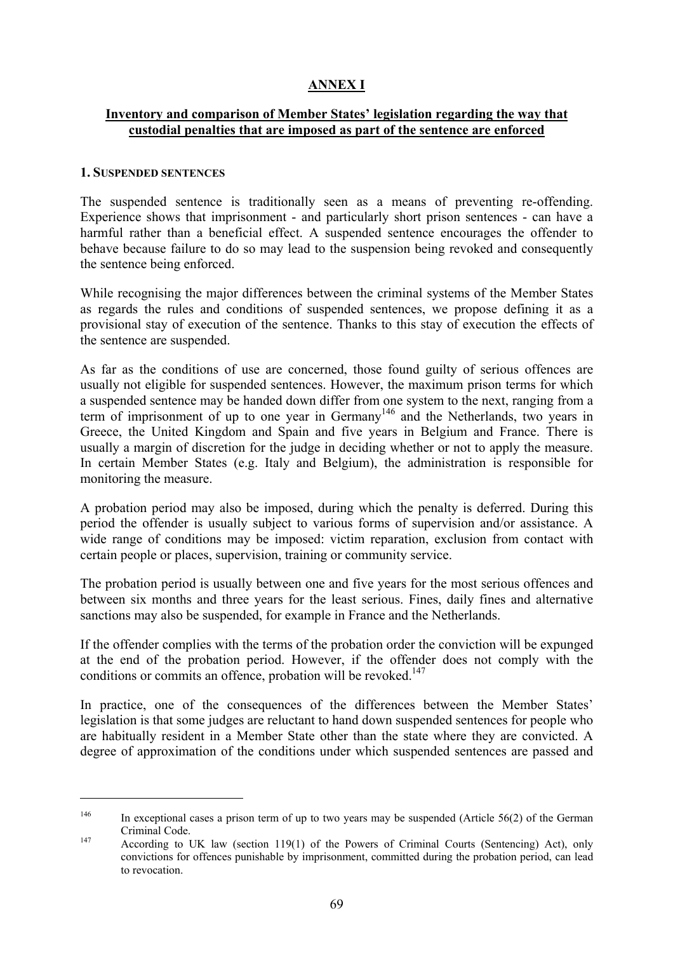# **ANNEX I**

#### **Inventory and comparison of Member States' legislation regarding the way that custodial penalties that are imposed as part of the sentence are enforced**

#### **1. SUSPENDED SENTENCES**

 $\overline{a}$ 

The suspended sentence is traditionally seen as a means of preventing re-offending. Experience shows that imprisonment - and particularly short prison sentences - can have a harmful rather than a beneficial effect. A suspended sentence encourages the offender to behave because failure to do so may lead to the suspension being revoked and consequently the sentence being enforced.

While recognising the major differences between the criminal systems of the Member States as regards the rules and conditions of suspended sentences, we propose defining it as a provisional stay of execution of the sentence. Thanks to this stay of execution the effects of the sentence are suspended.

As far as the conditions of use are concerned, those found guilty of serious offences are usually not eligible for suspended sentences. However, the maximum prison terms for which a suspended sentence may be handed down differ from one system to the next, ranging from a term of imprisonment of up to one year in Germany<sup>146</sup> and the Netherlands, two years in Greece, the United Kingdom and Spain and five years in Belgium and France. There is usually a margin of discretion for the judge in deciding whether or not to apply the measure. In certain Member States (e.g. Italy and Belgium), the administration is responsible for monitoring the measure.

A probation period may also be imposed, during which the penalty is deferred. During this period the offender is usually subject to various forms of supervision and/or assistance. A wide range of conditions may be imposed: victim reparation, exclusion from contact with certain people or places, supervision, training or community service.

The probation period is usually between one and five years for the most serious offences and between six months and three years for the least serious. Fines, daily fines and alternative sanctions may also be suspended, for example in France and the Netherlands.

If the offender complies with the terms of the probation order the conviction will be expunged at the end of the probation period. However, if the offender does not comply with the conditions or commits an offence, probation will be revoked.<sup>147</sup>

In practice, one of the consequences of the differences between the Member States' legislation is that some judges are reluctant to hand down suspended sentences for people who are habitually resident in a Member State other than the state where they are convicted. A degree of approximation of the conditions under which suspended sentences are passed and

<sup>&</sup>lt;sup>146</sup> In exceptional cases a prison term of up to two years may be suspended (Article 56(2) of the German Criminal Code. 147 According to UK law (section 119(1) of the Powers of Criminal Courts (Sentencing) Act), only

convictions for offences punishable by imprisonment, committed during the probation period, can lead to revocation.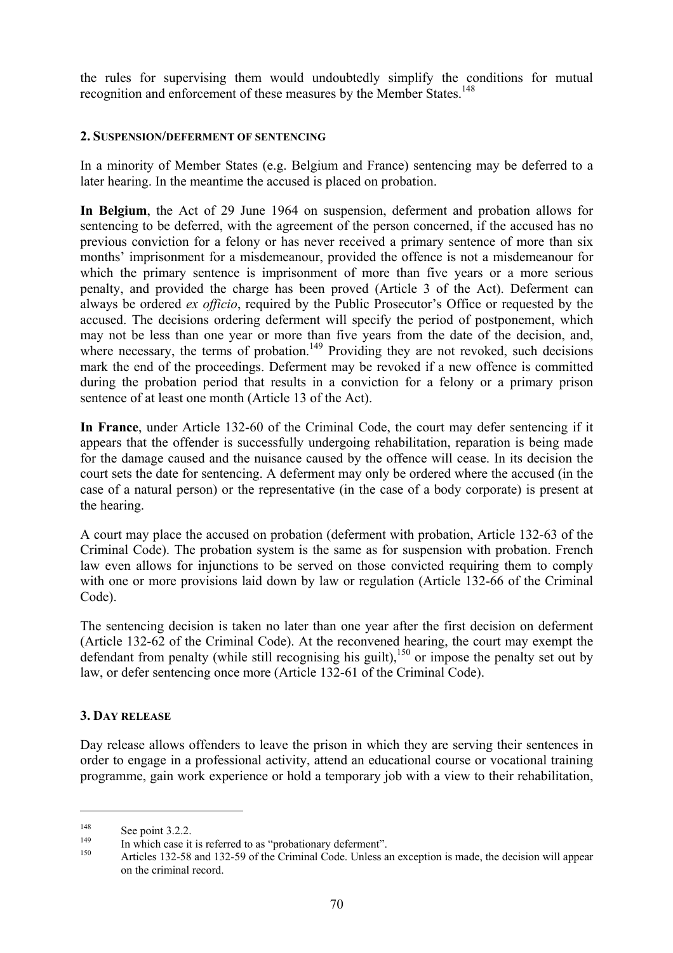the rules for supervising them would undoubtedly simplify the conditions for mutual recognition and enforcement of these measures by the Member States.<sup>148</sup>

#### **2. SUSPENSION/DEFERMENT OF SENTENCING**

In a minority of Member States (e.g. Belgium and France) sentencing may be deferred to a later hearing. In the meantime the accused is placed on probation.

**In Belgium**, the Act of 29 June 1964 on suspension, deferment and probation allows for sentencing to be deferred, with the agreement of the person concerned, if the accused has no previous conviction for a felony or has never received a primary sentence of more than six months' imprisonment for a misdemeanour, provided the offence is not a misdemeanour for which the primary sentence is imprisonment of more than five years or a more serious penalty, and provided the charge has been proved (Article 3 of the Act). Deferment can always be ordered *ex officio*, required by the Public Prosecutor's Office or requested by the accused. The decisions ordering deferment will specify the period of postponement, which may not be less than one year or more than five years from the date of the decision, and, where necessary, the terms of probation.<sup>149</sup> Providing they are not revoked, such decisions mark the end of the proceedings. Deferment may be revoked if a new offence is committed during the probation period that results in a conviction for a felony or a primary prison sentence of at least one month (Article 13 of the Act).

**In France**, under Article 132-60 of the Criminal Code, the court may defer sentencing if it appears that the offender is successfully undergoing rehabilitation, reparation is being made for the damage caused and the nuisance caused by the offence will cease. In its decision the court sets the date for sentencing. A deferment may only be ordered where the accused (in the case of a natural person) or the representative (in the case of a body corporate) is present at the hearing.

A court may place the accused on probation (deferment with probation, Article 132-63 of the Criminal Code). The probation system is the same as for suspension with probation. French law even allows for injunctions to be served on those convicted requiring them to comply with one or more provisions laid down by law or regulation (Article 132-66 of the Criminal Code).

The sentencing decision is taken no later than one year after the first decision on deferment (Article 132-62 of the Criminal Code). At the reconvened hearing, the court may exempt the defendant from penalty (while still recognising his guilt),<sup>150</sup> or impose the penalty set out by law, or defer sentencing once more (Article 132-61 of the Criminal Code).

### **3. DAY RELEASE**

Day release allows offenders to leave the prison in which they are serving their sentences in order to engage in a professional activity, attend an educational course or vocational training programme, gain work experience or hold a temporary job with a view to their rehabilitation,

<sup>148</sup> See point 3.2.2.<br>
149 In which case it is referred to as "probationary deferment".<br>
150 Articles 132-58 and 132-59 of the Criminal Code. Unless an exception is made, the decision will appear on the criminal record.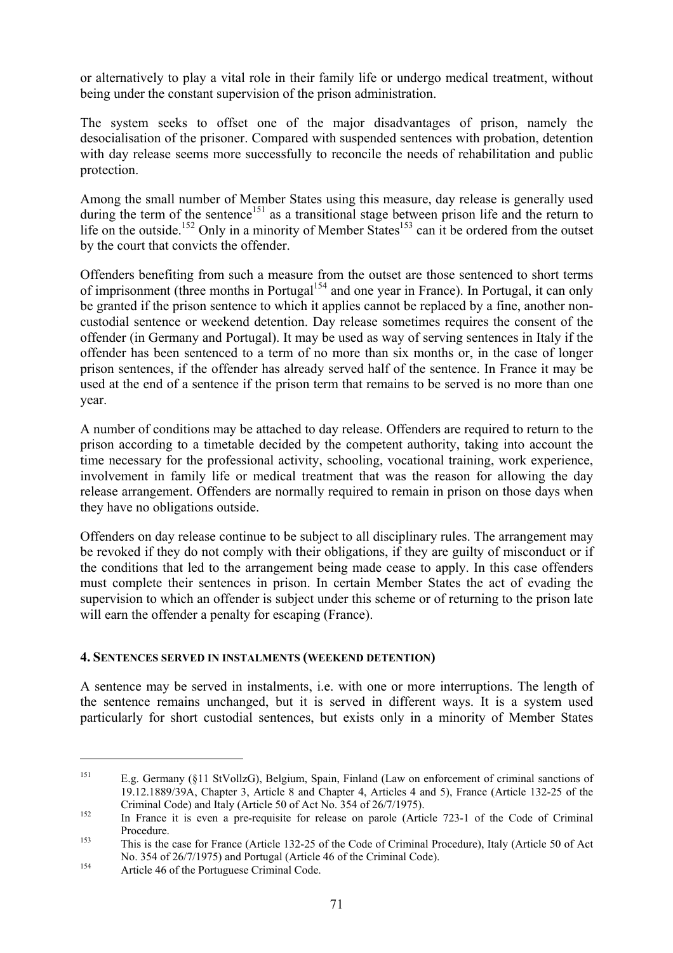or alternatively to play a vital role in their family life or undergo medical treatment, without being under the constant supervision of the prison administration.

The system seeks to offset one of the major disadvantages of prison, namely the desocialisation of the prisoner. Compared with suspended sentences with probation, detention with day release seems more successfully to reconcile the needs of rehabilitation and public protection.

Among the small number of Member States using this measure, day release is generally used during the term of the sentence<sup>151</sup> as a transitional stage between prison life and the return to life on the outside.<sup>152</sup> Only in a minority of Member States<sup>153</sup> can it be ordered from the outset by the court that convicts the offender.

Offenders benefiting from such a measure from the outset are those sentenced to short terms of imprisonment (three months in Portugal<sup>154</sup> and one year in France). In Portugal, it can only be granted if the prison sentence to which it applies cannot be replaced by a fine, another noncustodial sentence or weekend detention. Day release sometimes requires the consent of the offender (in Germany and Portugal). It may be used as way of serving sentences in Italy if the offender has been sentenced to a term of no more than six months or, in the case of longer prison sentences, if the offender has already served half of the sentence. In France it may be used at the end of a sentence if the prison term that remains to be served is no more than one year.

A number of conditions may be attached to day release. Offenders are required to return to the prison according to a timetable decided by the competent authority, taking into account the time necessary for the professional activity, schooling, vocational training, work experience, involvement in family life or medical treatment that was the reason for allowing the day release arrangement. Offenders are normally required to remain in prison on those days when they have no obligations outside.

Offenders on day release continue to be subject to all disciplinary rules. The arrangement may be revoked if they do not comply with their obligations, if they are guilty of misconduct or if the conditions that led to the arrangement being made cease to apply. In this case offenders must complete their sentences in prison. In certain Member States the act of evading the supervision to which an offender is subject under this scheme or of returning to the prison late will earn the offender a penalty for escaping (France).

### **4. SENTENCES SERVED IN INSTALMENTS (WEEKEND DETENTION)**

A sentence may be served in instalments, i.e. with one or more interruptions. The length of the sentence remains unchanged, but it is served in different ways. It is a system used particularly for short custodial sentences, but exists only in a minority of Member States

<sup>151</sup> E.g. Germany (§11 StVollzG), Belgium, Spain, Finland (Law on enforcement of criminal sanctions of 19.12.1889/39A, Chapter 3, Article 8 and Chapter 4, Articles 4 and 5), France (Article 132-25 of the Criminal Code) and Italy (Article 50 of Act No. 354 of 26/7/1975).<br>
In France it is even a pre-requisite for release on parole (Article 723-1 of the Code of Criminal

Procedure.<br>
This is the case for France (Article 132-25 of the Code of Criminal Procedure), Italy (Article 50 of Act No. 354 of 26/7/1975) and Portugal (Article 46 of the Criminal Code).<br>Article 46 of the Portuguese Criminal Code.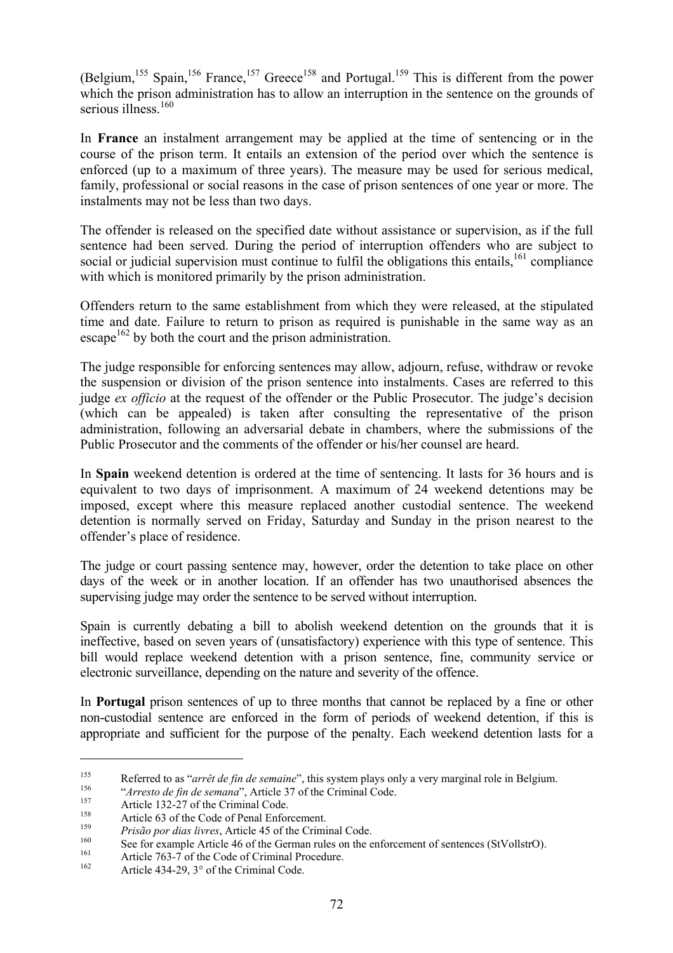(Belgium,<sup>155</sup> Spain,<sup>156</sup> France,<sup>157</sup> Greece<sup>158</sup> and Portugal.<sup>159</sup> This is different from the power which the prison administration has to allow an interruption in the sentence on the grounds of serious illness<sup>160</sup>

In **France** an instalment arrangement may be applied at the time of sentencing or in the course of the prison term. It entails an extension of the period over which the sentence is enforced (up to a maximum of three years). The measure may be used for serious medical, family, professional or social reasons in the case of prison sentences of one year or more. The instalments may not be less than two days.

The offender is released on the specified date without assistance or supervision, as if the full sentence had been served. During the period of interruption offenders who are subject to social or judicial supervision must continue to fulfil the obligations this entails,  $161$  compliance with which is monitored primarily by the prison administration.

Offenders return to the same establishment from which they were released, at the stipulated time and date. Failure to return to prison as required is punishable in the same way as an escape<sup>162</sup> by both the court and the prison administration.

The judge responsible for enforcing sentences may allow, adjourn, refuse, withdraw or revoke the suspension or division of the prison sentence into instalments. Cases are referred to this judge *ex officio* at the request of the offender or the Public Prosecutor. The judge's decision (which can be appealed) is taken after consulting the representative of the prison administration, following an adversarial debate in chambers, where the submissions of the Public Prosecutor and the comments of the offender or his/her counsel are heard.

In **Spain** weekend detention is ordered at the time of sentencing. It lasts for 36 hours and is equivalent to two days of imprisonment. A maximum of 24 weekend detentions may be imposed, except where this measure replaced another custodial sentence. The weekend detention is normally served on Friday, Saturday and Sunday in the prison nearest to the offender's place of residence.

The judge or court passing sentence may, however, order the detention to take place on other days of the week or in another location. If an offender has two unauthorised absences the supervising judge may order the sentence to be served without interruption.

Spain is currently debating a bill to abolish weekend detention on the grounds that it is ineffective, based on seven years of (unsatisfactory) experience with this type of sentence. This bill would replace weekend detention with a prison sentence, fine, community service or electronic surveillance, depending on the nature and severity of the offence.

In **Portugal** prison sentences of up to three months that cannot be replaced by a fine or other non-custodial sentence are enforced in the form of periods of weekend detention, if this is appropriate and sufficient for the purpose of the penalty. Each weekend detention lasts for a

Referred to as "*arrêt de fin de semaine*", this system plays only a very marginal role in Belgium.<br>
"Arresto de fin de semana", Article 37 of the Criminal Code.<br>
Article 132-27 of the Criminal Code.<br>
Article 63 of the Co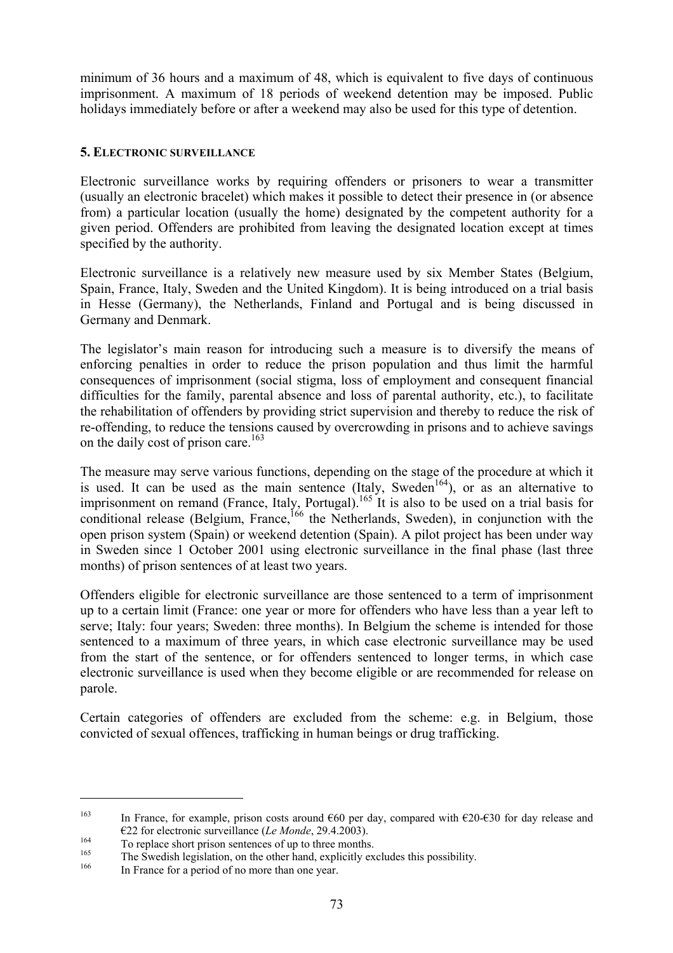minimum of 36 hours and a maximum of 48, which is equivalent to five days of continuous imprisonment. A maximum of 18 periods of weekend detention may be imposed. Public holidays immediately before or after a weekend may also be used for this type of detention.

### **5. ELECTRONIC SURVEILLANCE**

Electronic surveillance works by requiring offenders or prisoners to wear a transmitter (usually an electronic bracelet) which makes it possible to detect their presence in (or absence from) a particular location (usually the home) designated by the competent authority for a given period. Offenders are prohibited from leaving the designated location except at times specified by the authority.

Electronic surveillance is a relatively new measure used by six Member States (Belgium, Spain, France, Italy, Sweden and the United Kingdom). It is being introduced on a trial basis in Hesse (Germany), the Netherlands, Finland and Portugal and is being discussed in Germany and Denmark.

The legislator's main reason for introducing such a measure is to diversify the means of enforcing penalties in order to reduce the prison population and thus limit the harmful consequences of imprisonment (social stigma, loss of employment and consequent financial difficulties for the family, parental absence and loss of parental authority, etc.), to facilitate the rehabilitation of offenders by providing strict supervision and thereby to reduce the risk of re-offending, to reduce the tensions caused by overcrowding in prisons and to achieve savings on the daily cost of prison care.<sup>163</sup>

The measure may serve various functions, depending on the stage of the procedure at which it is used. It can be used as the main sentence (Italy, Sweden<sup>164</sup>), or as an alternative to imprisonment on remand (France, Italy, Portugal).<sup>165</sup> It is also to be used on a trial basis for conditional release (Belgium, France,  $^{166}$  the Netherlands, Sweden), in conjunction with the open prison system (Spain) or weekend detention (Spain). A pilot project has been under way in Sweden since 1 October 2001 using electronic surveillance in the final phase (last three months) of prison sentences of at least two years.

Offenders eligible for electronic surveillance are those sentenced to a term of imprisonment up to a certain limit (France: one year or more for offenders who have less than a year left to serve; Italy: four years; Sweden: three months). In Belgium the scheme is intended for those sentenced to a maximum of three years, in which case electronic surveillance may be used from the start of the sentence, or for offenders sentenced to longer terms, in which case electronic surveillance is used when they become eligible or are recommended for release on parole.

Certain categories of offenders are excluded from the scheme: e.g. in Belgium, those convicted of sexual offences, trafficking in human beings or drug trafficking.

<sup>&</sup>lt;sup>163</sup> In France, for example, prison costs around  $660$  per day, compared with  $620-630$  for day release and

E22 for electronic surveillance (*Le Monde*, 29.4.2003).<br>To replace short prison sentences of up to three months.<br>The Swedish legislation, on the other hand, explicitly excludes this possibility.<br>In France for a period of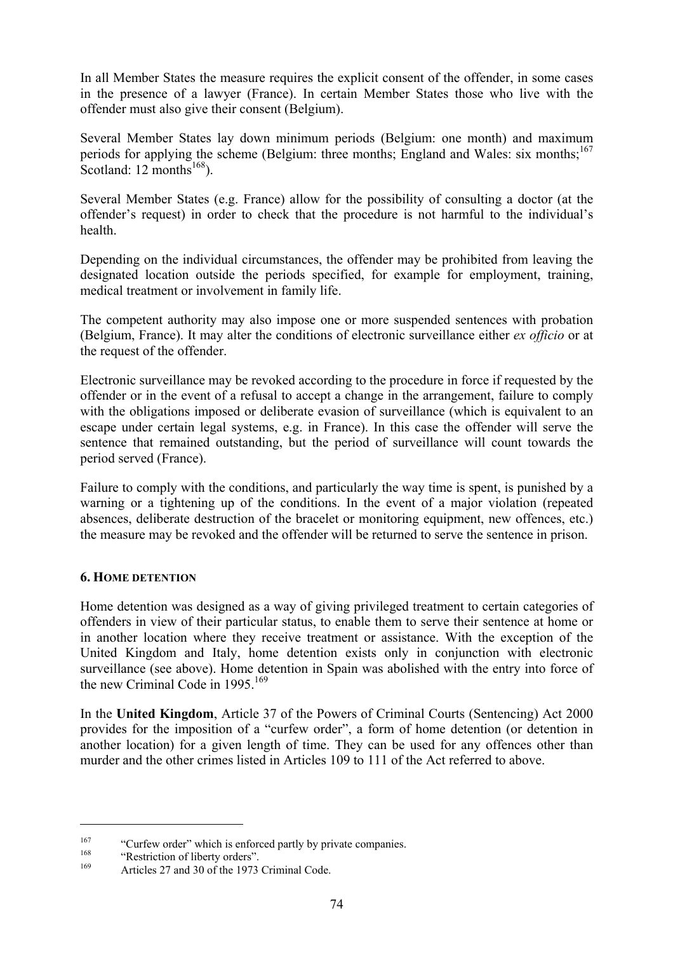In all Member States the measure requires the explicit consent of the offender, in some cases in the presence of a lawyer (France). In certain Member States those who live with the offender must also give their consent (Belgium).

Several Member States lay down minimum periods (Belgium: one month) and maximum periods for applying the scheme (Belgium: three months; England and Wales: six months:<sup>167</sup> Scotland:  $12 \text{ months}^{168}$ ).

Several Member States (e.g. France) allow for the possibility of consulting a doctor (at the offender's request) in order to check that the procedure is not harmful to the individual's health.

Depending on the individual circumstances, the offender may be prohibited from leaving the designated location outside the periods specified, for example for employment, training, medical treatment or involvement in family life.

The competent authority may also impose one or more suspended sentences with probation (Belgium, France). It may alter the conditions of electronic surveillance either *ex officio* or at the request of the offender.

Electronic surveillance may be revoked according to the procedure in force if requested by the offender or in the event of a refusal to accept a change in the arrangement, failure to comply with the obligations imposed or deliberate evasion of surveillance (which is equivalent to an escape under certain legal systems, e.g. in France). In this case the offender will serve the sentence that remained outstanding, but the period of surveillance will count towards the period served (France).

Failure to comply with the conditions, and particularly the way time is spent, is punished by a warning or a tightening up of the conditions. In the event of a major violation (repeated absences, deliberate destruction of the bracelet or monitoring equipment, new offences, etc.) the measure may be revoked and the offender will be returned to serve the sentence in prison.

# **6. HOME DETENTION**

Home detention was designed as a way of giving privileged treatment to certain categories of offenders in view of their particular status, to enable them to serve their sentence at home or in another location where they receive treatment or assistance. With the exception of the United Kingdom and Italy, home detention exists only in conjunction with electronic surveillance (see above). Home detention in Spain was abolished with the entry into force of the new Criminal Code in  $1995$ <sup>169</sup>

In the **United Kingdom**, Article 37 of the Powers of Criminal Courts (Sentencing) Act 2000 provides for the imposition of a "curfew order", a form of home detention (or detention in another location) for a given length of time. They can be used for any offences other than murder and the other crimes listed in Articles 109 to 111 of the Act referred to above.

<sup>&</sup>lt;sup>167</sup> "Curfew order" which is enforced partly by private companies.<br>
"Restriction of liberty orders".<br>
Articles 27 and 30 of the 1973 Criminal Code.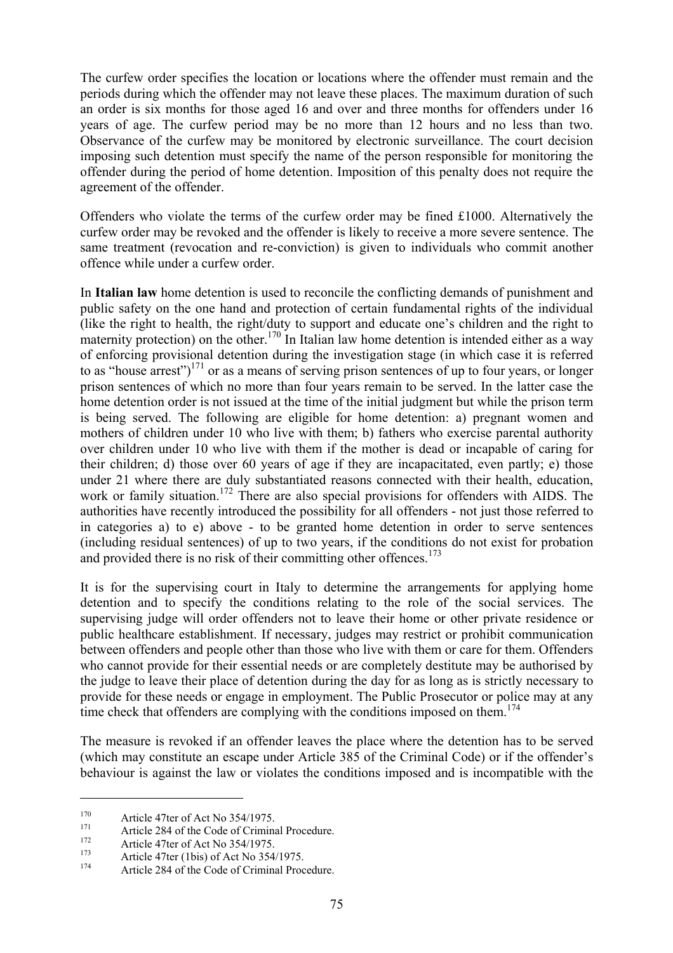The curfew order specifies the location or locations where the offender must remain and the periods during which the offender may not leave these places. The maximum duration of such an order is six months for those aged 16 and over and three months for offenders under 16 years of age. The curfew period may be no more than 12 hours and no less than two. Observance of the curfew may be monitored by electronic surveillance. The court decision imposing such detention must specify the name of the person responsible for monitoring the offender during the period of home detention. Imposition of this penalty does not require the agreement of the offender.

Offenders who violate the terms of the curfew order may be fined £1000. Alternatively the curfew order may be revoked and the offender is likely to receive a more severe sentence. The same treatment (revocation and re-conviction) is given to individuals who commit another offence while under a curfew order.

In **Italian law** home detention is used to reconcile the conflicting demands of punishment and public safety on the one hand and protection of certain fundamental rights of the individual (like the right to health, the right/duty to support and educate one's children and the right to maternity protection) on the other.<sup>170</sup> In Italian law home detention is intended either as a way of enforcing provisional detention during the investigation stage (in which case it is referred to as "house arrest") $^{171}$  or as a means of serving prison sentences of up to four years, or longer prison sentences of which no more than four years remain to be served. In the latter case the home detention order is not issued at the time of the initial judgment but while the prison term is being served. The following are eligible for home detention: a) pregnant women and mothers of children under 10 who live with them; b) fathers who exercise parental authority over children under 10 who live with them if the mother is dead or incapable of caring for their children; d) those over 60 years of age if they are incapacitated, even partly; e) those under 21 where there are duly substantiated reasons connected with their health, education, work or family situation.<sup>172</sup> There are also special provisions for offenders with AIDS. The authorities have recently introduced the possibility for all offenders - not just those referred to in categories a) to e) above - to be granted home detention in order to serve sentences (including residual sentences) of up to two years, if the conditions do not exist for probation and provided there is no risk of their committing other offences.<sup>173</sup>

It is for the supervising court in Italy to determine the arrangements for applying home detention and to specify the conditions relating to the role of the social services. The supervising judge will order offenders not to leave their home or other private residence or public healthcare establishment. If necessary, judges may restrict or prohibit communication between offenders and people other than those who live with them or care for them. Offenders who cannot provide for their essential needs or are completely destitute may be authorised by the judge to leave their place of detention during the day for as long as is strictly necessary to provide for these needs or engage in employment. The Public Prosecutor or police may at any time check that offenders are complying with the conditions imposed on them.<sup>174</sup>

The measure is revoked if an offender leaves the place where the detention has to be served (which may constitute an escape under Article 385 of the Criminal Code) or if the offender's behaviour is against the law or violates the conditions imposed and is incompatible with the

<sup>&</sup>lt;sup>170</sup> Article 47ter of Act No 354/1975.<br>
<sup>171</sup> Article 284 of the Code of Criminal Procedure.<br>
<sup>172</sup> Article 47ter (1bis) of Act No 354/1975.<br>
<sup>174</sup> Article 284 of the Code of Criminal Procedure.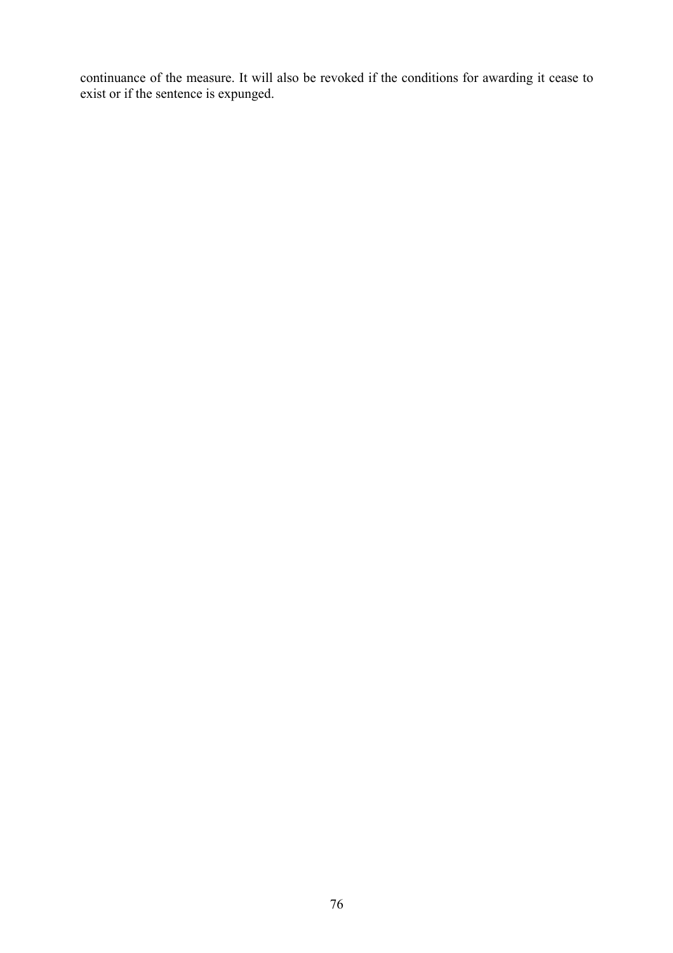continuance of the measure. It will also be revoked if the conditions for awarding it cease to exist or if the sentence is expunged.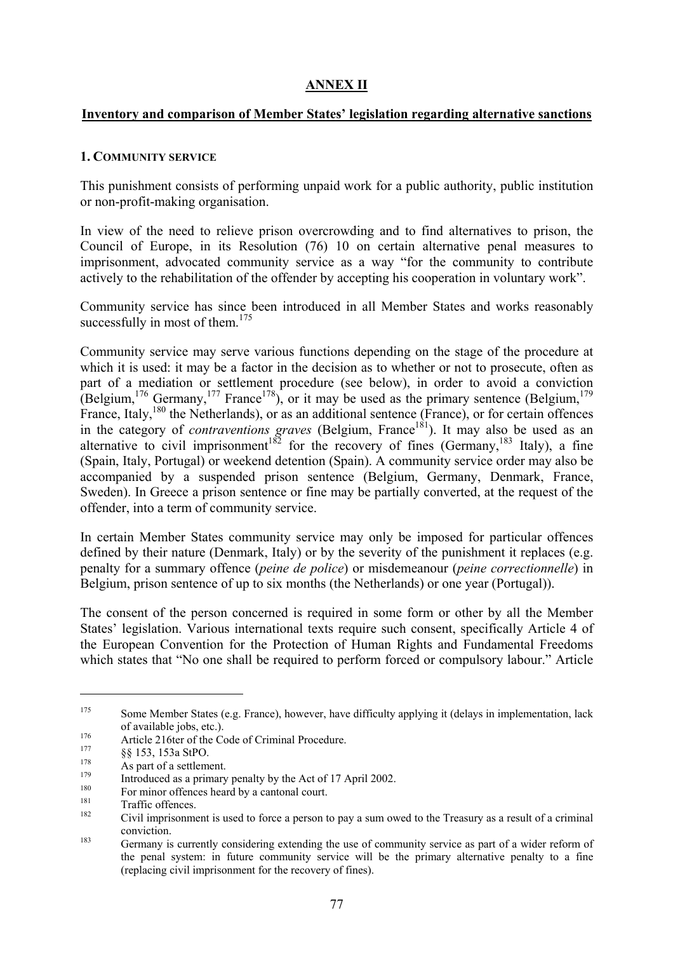# **ANNEX II**

# **Inventory and comparison of Member States' legislation regarding alternative sanctions**

# **1. COMMUNITY SERVICE**

This punishment consists of performing unpaid work for a public authority, public institution or non-profit-making organisation.

In view of the need to relieve prison overcrowding and to find alternatives to prison, the Council of Europe, in its Resolution (76) 10 on certain alternative penal measures to imprisonment, advocated community service as a way "for the community to contribute actively to the rehabilitation of the offender by accepting his cooperation in voluntary work".

Community service has since been introduced in all Member States and works reasonably successfully in most of them.<sup>175</sup>

Community service may serve various functions depending on the stage of the procedure at which it is used: it may be a factor in the decision as to whether or not to prosecute, often as part of a mediation or settlement procedure (see below), in order to avoid a conviction (Belgium,  $176$  Germany,  $177$  France  $178$ ), or it may be used as the primary sentence (Belgium,  $179$ ) France, Italy,<sup>180</sup> the Netherlands), or as an additional sentence (France), or for certain offences in the category of *contraventions graves* (Belgium, France<sup>181</sup>). It may also be used as an alternative to civil imprisonment<sup>182</sup> for the recovery of fines (Germany,<sup>183</sup> Italy), a fine (Spain, Italy, Portugal) or weekend detention (Spain). A community service order may also be accompanied by a suspended prison sentence (Belgium, Germany, Denmark, France, Sweden). In Greece a prison sentence or fine may be partially converted, at the request of the offender, into a term of community service.

In certain Member States community service may only be imposed for particular offences defined by their nature (Denmark, Italy) or by the severity of the punishment it replaces (e.g. penalty for a summary offence (*peine de police*) or misdemeanour (*peine correctionnelle*) in Belgium, prison sentence of up to six months (the Netherlands) or one year (Portugal)).

The consent of the person concerned is required in some form or other by all the Member States' legislation. Various international texts require such consent, specifically Article 4 of the European Convention for the Protection of Human Rights and Fundamental Freedoms which states that "No one shall be required to perform forced or compulsory labour." Article

<sup>&</sup>lt;sup>175</sup> Some Member States (e.g. France), however, have difficulty applying it (delays in implementation, lack

of available jobs, etc.).<br>
<sup>176</sup> Article 216ter of the Code of Criminal Procedure.<br>
<sup>177</sup> §§ 153, 153a StPO.<br>
As part of a settlement.<br>
Introduced as a primary penalty by the Act of 17 April 2002.<br>
For minor offences heard

conviction.<br>Germany is currently considering extending the use of community service as part of a wider reform of the penal system: in future community service will be the primary alternative penalty to a fine (replacing civil imprisonment for the recovery of fines).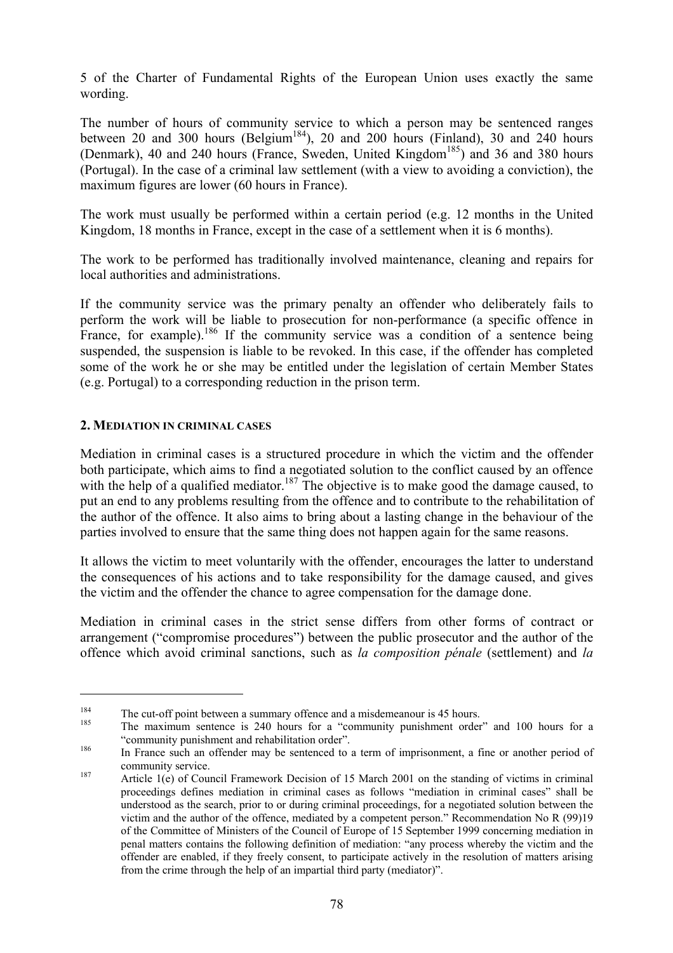5 of the Charter of Fundamental Rights of the European Union uses exactly the same wording.

The number of hours of community service to which a person may be sentenced ranges between 20 and 300 hours (Belgium<sup>184</sup>), 20 and 200 hours (Finland), 30 and 240 hours (Denmark), 40 and 240 hours (France, Sweden, United Kingdom<sup>185</sup>) and 36 and 380 hours (Portugal). In the case of a criminal law settlement (with a view to avoiding a conviction), the maximum figures are lower (60 hours in France).

The work must usually be performed within a certain period (e.g. 12 months in the United Kingdom, 18 months in France, except in the case of a settlement when it is 6 months).

The work to be performed has traditionally involved maintenance, cleaning and repairs for local authorities and administrations.

If the community service was the primary penalty an offender who deliberately fails to perform the work will be liable to prosecution for non-performance (a specific offence in France, for example).<sup>186</sup> If the community service was a condition of a sentence being suspended, the suspension is liable to be revoked. In this case, if the offender has completed some of the work he or she may be entitled under the legislation of certain Member States (e.g. Portugal) to a corresponding reduction in the prison term.

#### **2. MEDIATION IN CRIMINAL CASES**

 $\overline{a}$ 

Mediation in criminal cases is a structured procedure in which the victim and the offender both participate, which aims to find a negotiated solution to the conflict caused by an offence with the help of a qualified mediator.<sup>187</sup> The objective is to make good the damage caused, to put an end to any problems resulting from the offence and to contribute to the rehabilitation of the author of the offence. It also aims to bring about a lasting change in the behaviour of the parties involved to ensure that the same thing does not happen again for the same reasons.

It allows the victim to meet voluntarily with the offender, encourages the latter to understand the consequences of his actions and to take responsibility for the damage caused, and gives the victim and the offender the chance to agree compensation for the damage done.

Mediation in criminal cases in the strict sense differs from other forms of contract or arrangement ("compromise procedures") between the public prosecutor and the author of the offence which avoid criminal sanctions, such as *la composition pénale* (settlement) and *la* 

<sup>&</sup>lt;sup>184</sup> The cut-off point between a summary offence and a misdemeanour is 45 hours.<br><sup>185</sup> The maximum sentence is 240 hours for a "community punishment order" and 100 hours for a "community punishment and rehabilitation order". 186 In France such an offender may be sentenced to a term of imprisonment, a fine or another period of

community service.<br><sup>187</sup> Article 1(e) of Council Framework Decision of 15 March 2001 on the standing of victims in criminal

proceedings defines mediation in criminal cases as follows "mediation in criminal cases" shall be understood as the search, prior to or during criminal proceedings, for a negotiated solution between the victim and the author of the offence, mediated by a competent person." Recommendation No R (99)19 of the Committee of Ministers of the Council of Europe of 15 September 1999 concerning mediation in penal matters contains the following definition of mediation: "any process whereby the victim and the offender are enabled, if they freely consent, to participate actively in the resolution of matters arising from the crime through the help of an impartial third party (mediator)".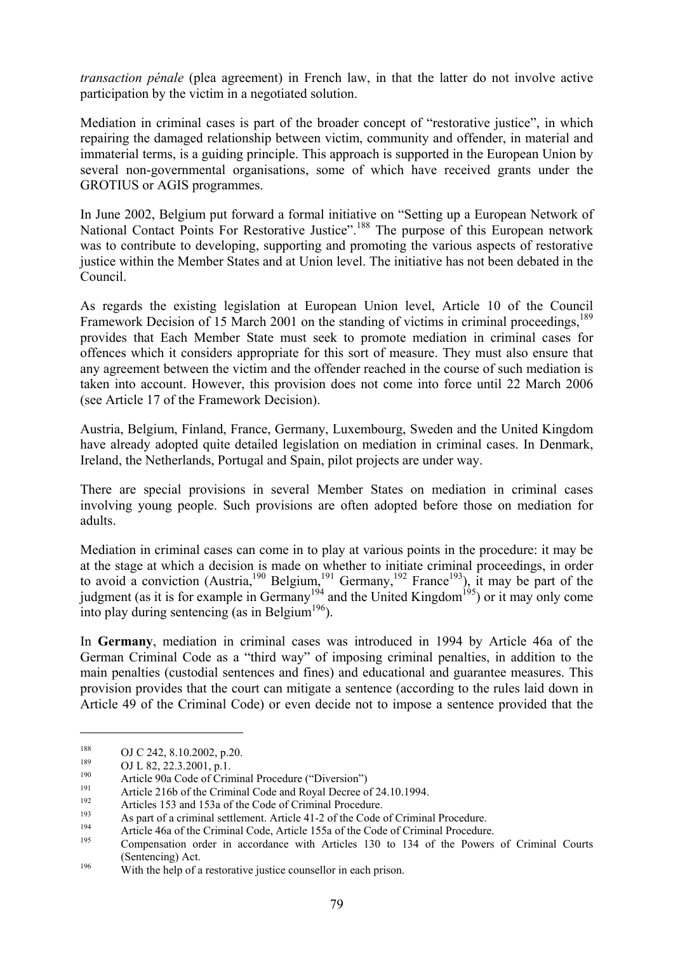*transaction pénale* (plea agreement) in French law, in that the latter do not involve active participation by the victim in a negotiated solution.

Mediation in criminal cases is part of the broader concept of "restorative justice", in which repairing the damaged relationship between victim, community and offender, in material and immaterial terms, is a guiding principle. This approach is supported in the European Union by several non-governmental organisations, some of which have received grants under the GROTIUS or AGIS programmes.

In June 2002, Belgium put forward a formal initiative on "Setting up a European Network of National Contact Points For Restorative Justice".<sup>188</sup> The purpose of this European network was to contribute to developing, supporting and promoting the various aspects of restorative justice within the Member States and at Union level. The initiative has not been debated in the Council.

As regards the existing legislation at European Union level, Article 10 of the Council Framework Decision of 15 March 2001 on the standing of victims in criminal proceedings.<sup>189</sup> provides that Each Member State must seek to promote mediation in criminal cases for offences which it considers appropriate for this sort of measure. They must also ensure that any agreement between the victim and the offender reached in the course of such mediation is taken into account. However, this provision does not come into force until 22 March 2006 (see Article 17 of the Framework Decision).

Austria, Belgium, Finland, France, Germany, Luxembourg, Sweden and the United Kingdom have already adopted quite detailed legislation on mediation in criminal cases. In Denmark, Ireland, the Netherlands, Portugal and Spain, pilot projects are under way.

There are special provisions in several Member States on mediation in criminal cases involving young people. Such provisions are often adopted before those on mediation for adults.

Mediation in criminal cases can come in to play at various points in the procedure: it may be at the stage at which a decision is made on whether to initiate criminal proceedings, in order to avoid a conviction (Austria, <sup>190</sup> Belgium, <sup>191</sup> Germany, <sup>192</sup> France<sup>193</sup>), it may be part of the judgment (as it is for example in Germany<sup>194</sup> and the United Kingdom<sup>195</sup>) or it may only come into play during sentencing (as in Belgium<sup>196</sup>).

In **Germany**, mediation in criminal cases was introduced in 1994 by Article 46a of the German Criminal Code as a "third way" of imposing criminal penalties, in addition to the main penalties (custodial sentences and fines) and educational and guarantee measures. This provision provides that the court can mitigate a sentence (according to the rules laid down in Article 49 of the Criminal Code) or even decide not to impose a sentence provided that the

<sup>&</sup>lt;sup>188</sup><br>
OJ C 242, 8.10.2002, p.20.<br>
OJ L 82, 22.3.2001, p.1.<br>
Article 90a Code of Criminal Procedure ("Diversion")<br>
Article 216b of the Criminal Code and Royal Decree of 24.10.1994.<br>
<sup>192</sup><br>
Articles 153 and 153a of the Cod (Sentencing) Act.<br><sup>196</sup> With the help of a restorative justice counsellor in each prison.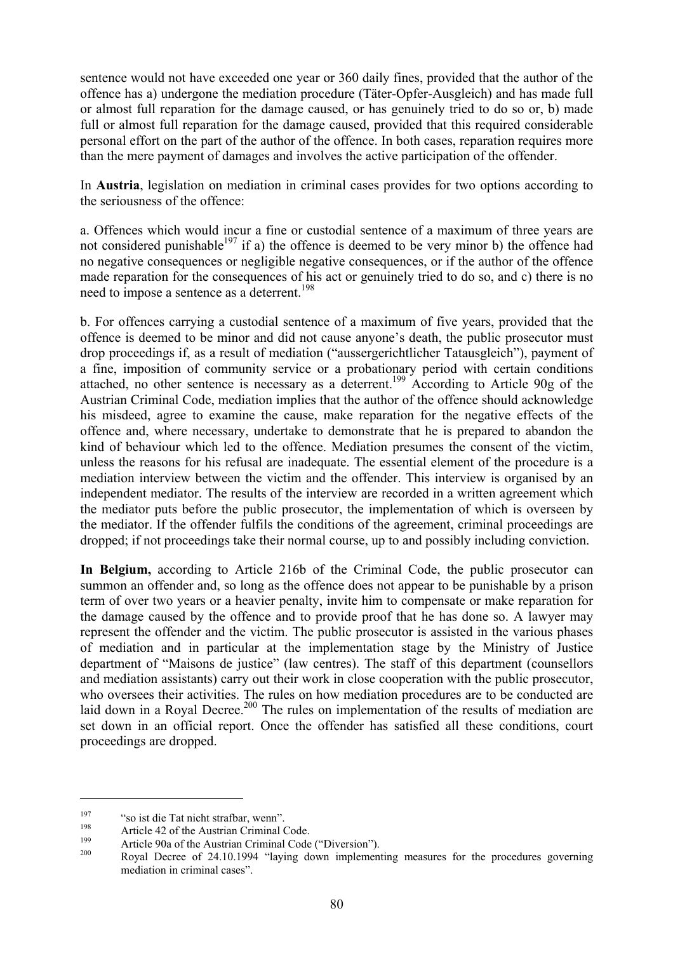sentence would not have exceeded one year or 360 daily fines, provided that the author of the offence has a) undergone the mediation procedure (Täter-Opfer-Ausgleich) and has made full or almost full reparation for the damage caused, or has genuinely tried to do so or, b) made full or almost full reparation for the damage caused, provided that this required considerable personal effort on the part of the author of the offence. In both cases, reparation requires more than the mere payment of damages and involves the active participation of the offender.

In **Austria**, legislation on mediation in criminal cases provides for two options according to the seriousness of the offence:

a. Offences which would incur a fine or custodial sentence of a maximum of three years are not considered punishable<sup>197</sup> if a) the offence is deemed to be very minor b) the offence had no negative consequences or negligible negative consequences, or if the author of the offence made reparation for the consequences of his act or genuinely tried to do so, and c) there is no need to impose a sentence as a deterrent.<sup>198</sup>

b. For offences carrying a custodial sentence of a maximum of five years, provided that the offence is deemed to be minor and did not cause anyone's death, the public prosecutor must drop proceedings if, as a result of mediation ("aussergerichtlicher Tatausgleich"), payment of a fine, imposition of community service or a probationary period with certain conditions attached, no other sentence is necessary as a deterrent.199 According to Article 90g of the Austrian Criminal Code, mediation implies that the author of the offence should acknowledge his misdeed, agree to examine the cause, make reparation for the negative effects of the offence and, where necessary, undertake to demonstrate that he is prepared to abandon the kind of behaviour which led to the offence. Mediation presumes the consent of the victim, unless the reasons for his refusal are inadequate. The essential element of the procedure is a mediation interview between the victim and the offender. This interview is organised by an independent mediator. The results of the interview are recorded in a written agreement which the mediator puts before the public prosecutor, the implementation of which is overseen by the mediator. If the offender fulfils the conditions of the agreement, criminal proceedings are dropped; if not proceedings take their normal course, up to and possibly including conviction.

**In Belgium,** according to Article 216b of the Criminal Code, the public prosecutor can summon an offender and, so long as the offence does not appear to be punishable by a prison term of over two years or a heavier penalty, invite him to compensate or make reparation for the damage caused by the offence and to provide proof that he has done so. A lawyer may represent the offender and the victim. The public prosecutor is assisted in the various phases of mediation and in particular at the implementation stage by the Ministry of Justice department of "Maisons de justice" (law centres). The staff of this department (counsellors and mediation assistants) carry out their work in close cooperation with the public prosecutor, who oversees their activities. The rules on how mediation procedures are to be conducted are laid down in a Royal Decree.<sup>200</sup> The rules on implementation of the results of mediation are set down in an official report. Once the offender has satisfied all these conditions, court proceedings are dropped.

<sup>&</sup>lt;sup>197</sup> "so ist die Tat nicht strafbar, wenn".<br>
Article 42 of the Austrian Criminal Code.<br>
Article 90a of the Austrian Criminal Code ("Diversion").<br>
Royal Decree of 24.10.1994 "laying down implementing measures for the proc mediation in criminal cases".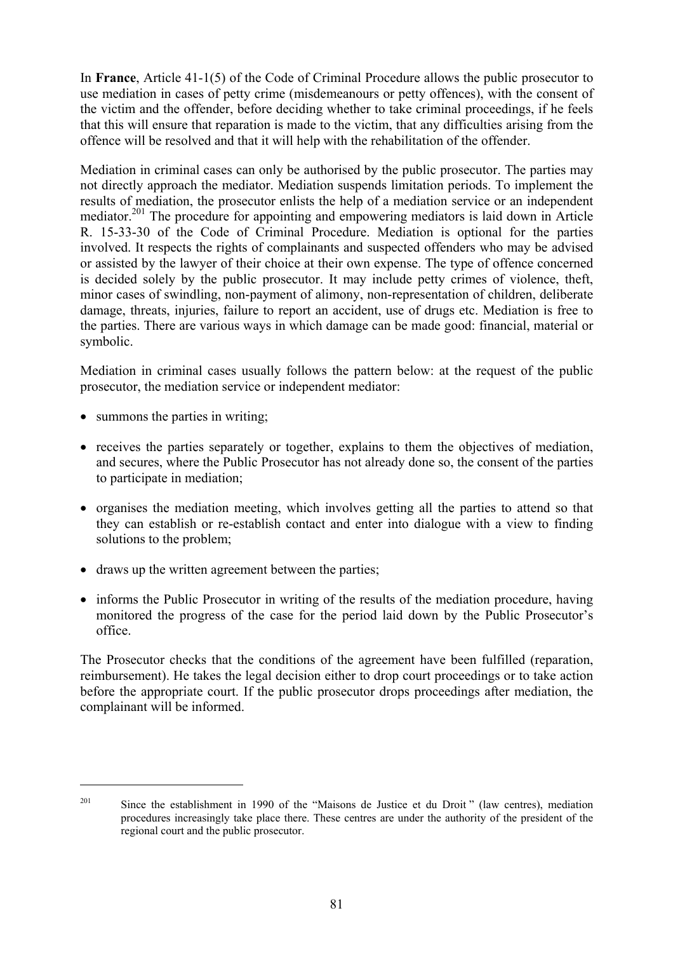In **France**, Article 41-1(5) of the Code of Criminal Procedure allows the public prosecutor to use mediation in cases of petty crime (misdemeanours or petty offences), with the consent of the victim and the offender, before deciding whether to take criminal proceedings, if he feels that this will ensure that reparation is made to the victim, that any difficulties arising from the offence will be resolved and that it will help with the rehabilitation of the offender.

Mediation in criminal cases can only be authorised by the public prosecutor. The parties may not directly approach the mediator. Mediation suspends limitation periods. To implement the results of mediation, the prosecutor enlists the help of a mediation service or an independent mediator.201 The procedure for appointing and empowering mediators is laid down in Article R. 15-33-30 of the Code of Criminal Procedure. Mediation is optional for the parties involved. It respects the rights of complainants and suspected offenders who may be advised or assisted by the lawyer of their choice at their own expense. The type of offence concerned is decided solely by the public prosecutor. It may include petty crimes of violence, theft, minor cases of swindling, non-payment of alimony, non-representation of children, deliberate damage, threats, injuries, failure to report an accident, use of drugs etc. Mediation is free to the parties. There are various ways in which damage can be made good: financial, material or symbolic.

Mediation in criminal cases usually follows the pattern below: at the request of the public prosecutor, the mediation service or independent mediator:

• summons the parties in writing;

 $\overline{a}$ 

- receives the parties separately or together, explains to them the objectives of mediation, and secures, where the Public Prosecutor has not already done so, the consent of the parties to participate in mediation;
- organises the mediation meeting, which involves getting all the parties to attend so that they can establish or re-establish contact and enter into dialogue with a view to finding solutions to the problem;
- draws up the written agreement between the parties:
- informs the Public Prosecutor in writing of the results of the mediation procedure, having monitored the progress of the case for the period laid down by the Public Prosecutor's office.

The Prosecutor checks that the conditions of the agreement have been fulfilled (reparation, reimbursement). He takes the legal decision either to drop court proceedings or to take action before the appropriate court. If the public prosecutor drops proceedings after mediation, the complainant will be informed.

<sup>&</sup>lt;sup>201</sup> Since the establishment in 1990 of the "Maisons de Justice et du Droit" (law centres), mediation procedures increasingly take place there. These centres are under the authority of the president of the regional court and the public prosecutor.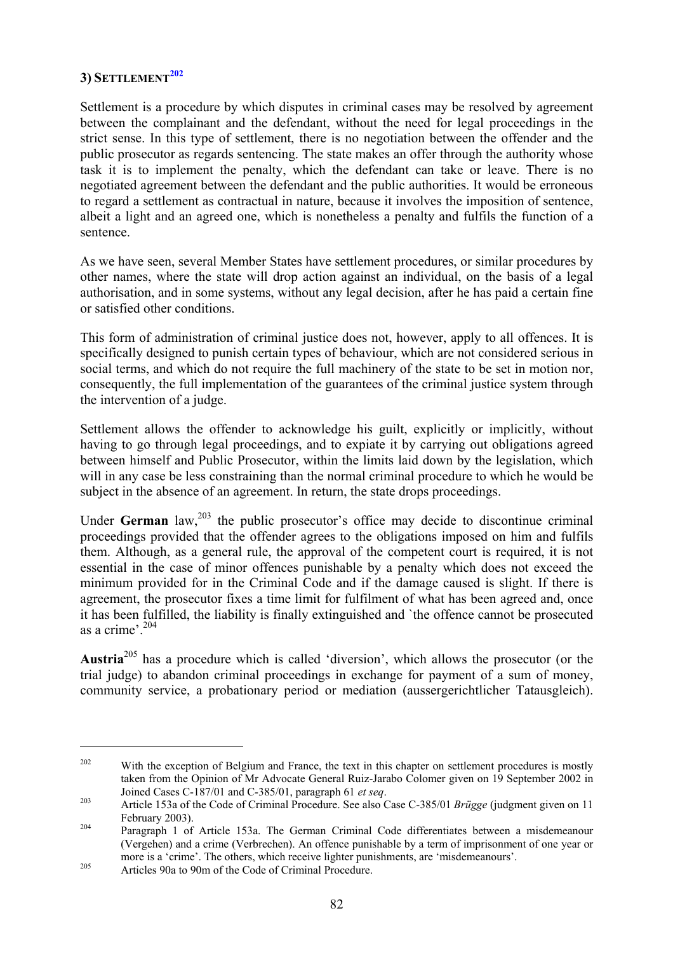# **3) SETTLEMENT<sup>202</sup>**

Settlement is a procedure by which disputes in criminal cases may be resolved by agreement between the complainant and the defendant, without the need for legal proceedings in the strict sense. In this type of settlement, there is no negotiation between the offender and the public prosecutor as regards sentencing. The state makes an offer through the authority whose task it is to implement the penalty, which the defendant can take or leave. There is no negotiated agreement between the defendant and the public authorities. It would be erroneous to regard a settlement as contractual in nature, because it involves the imposition of sentence, albeit a light and an agreed one, which is nonetheless a penalty and fulfils the function of a sentence.

As we have seen, several Member States have settlement procedures, or similar procedures by other names, where the state will drop action against an individual, on the basis of a legal authorisation, and in some systems, without any legal decision, after he has paid a certain fine or satisfied other conditions.

This form of administration of criminal justice does not, however, apply to all offences. It is specifically designed to punish certain types of behaviour, which are not considered serious in social terms, and which do not require the full machinery of the state to be set in motion nor, consequently, the full implementation of the guarantees of the criminal justice system through the intervention of a judge.

Settlement allows the offender to acknowledge his guilt, explicitly or implicitly, without having to go through legal proceedings, and to expiate it by carrying out obligations agreed between himself and Public Prosecutor, within the limits laid down by the legislation, which will in any case be less constraining than the normal criminal procedure to which he would be subject in the absence of an agreement. In return, the state drops proceedings.

Under **German** law,  $203$  the public prosecutor's office may decide to discontinue criminal proceedings provided that the offender agrees to the obligations imposed on him and fulfils them. Although, as a general rule, the approval of the competent court is required, it is not essential in the case of minor offences punishable by a penalty which does not exceed the minimum provided for in the Criminal Code and if the damage caused is slight. If there is agreement, the prosecutor fixes a time limit for fulfilment of what has been agreed and, once it has been fulfilled, the liability is finally extinguished and `the offence cannot be prosecuted as a crime'.<sup>204</sup>

**Austria**205 has a procedure which is called 'diversion', which allows the prosecutor (or the trial judge) to abandon criminal proceedings in exchange for payment of a sum of money, community service, a probationary period or mediation (aussergerichtlicher Tatausgleich).

<sup>&</sup>lt;sup>202</sup> With the exception of Belgium and France, the text in this chapter on settlement procedures is mostly taken from the Opinion of Mr Advocate General Ruiz-Jarabo Colomer given on 19 September 2002 in Joined Cases C-187/01 and C-385/01, paragraph 61 *et seq*. 203 Article 153a of the Code of Criminal Procedure. See also Case C-385/01 *Brügge* (judgment given on 11

February 2003). 204 Paragraph 1 of Article 153a. The German Criminal Code differentiates between a misdemeanour

<sup>(</sup>Vergehen) and a crime (Verbrechen). An offence punishable by a term of imprisonment of one year or more is a 'crime'. The others, which receive lighter punishments, are 'misdemeanours'.<br>Articles 90a to 90m of the Code of Criminal Procedure.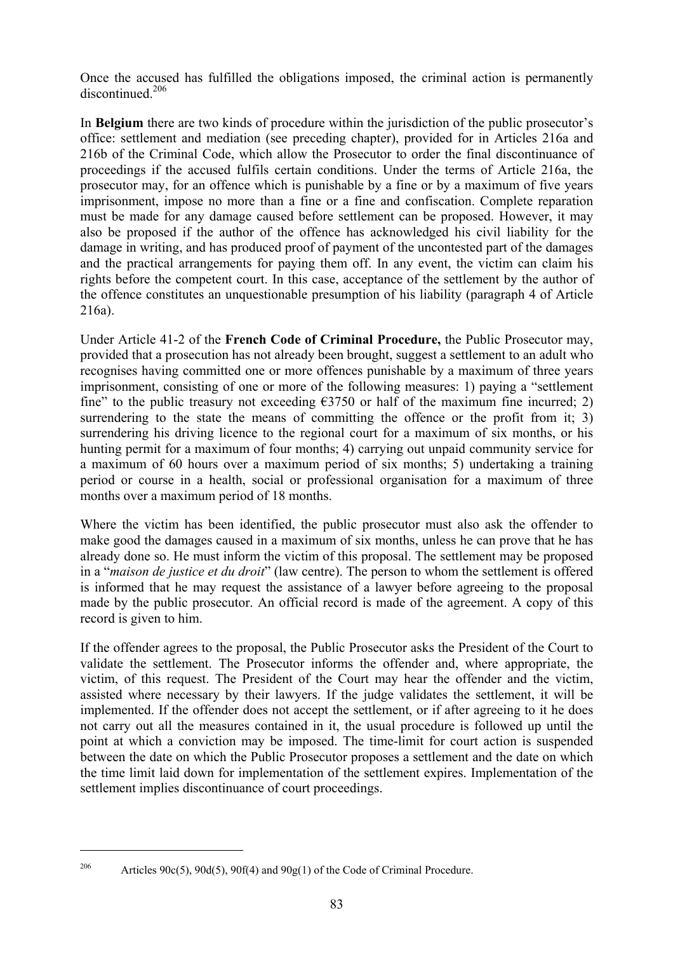Once the accused has fulfilled the obligations imposed, the criminal action is permanently discontinued<sup>206</sup>

In **Belgium** there are two kinds of procedure within the jurisdiction of the public prosecutor's office: settlement and mediation (see preceding chapter), provided for in Articles 216a and 216b of the Criminal Code, which allow the Prosecutor to order the final discontinuance of proceedings if the accused fulfils certain conditions. Under the terms of Article 216a, the prosecutor may, for an offence which is punishable by a fine or by a maximum of five years imprisonment, impose no more than a fine or a fine and confiscation. Complete reparation must be made for any damage caused before settlement can be proposed. However, it may also be proposed if the author of the offence has acknowledged his civil liability for the damage in writing, and has produced proof of payment of the uncontested part of the damages and the practical arrangements for paying them off. In any event, the victim can claim his rights before the competent court. In this case, acceptance of the settlement by the author of the offence constitutes an unquestionable presumption of his liability (paragraph 4 of Article 216a).

Under Article 41-2 of the **French Code of Criminal Procedure,** the Public Prosecutor may, provided that a prosecution has not already been brought, suggest a settlement to an adult who recognises having committed one or more offences punishable by a maximum of three years imprisonment, consisting of one or more of the following measures: 1) paying a "settlement fine" to the public treasury not exceeding  $\epsilon$ 3750 or half of the maximum fine incurred; 2) surrendering to the state the means of committing the offence or the profit from it; 3) surrendering his driving licence to the regional court for a maximum of six months, or his hunting permit for a maximum of four months; 4) carrying out unpaid community service for a maximum of 60 hours over a maximum period of six months; 5) undertaking a training period or course in a health, social or professional organisation for a maximum of three months over a maximum period of 18 months.

Where the victim has been identified, the public prosecutor must also ask the offender to make good the damages caused in a maximum of six months, unless he can prove that he has already done so. He must inform the victim of this proposal. The settlement may be proposed in a "*maison de justice et du droit*" (law centre). The person to whom the settlement is offered is informed that he may request the assistance of a lawyer before agreeing to the proposal made by the public prosecutor. An official record is made of the agreement. A copy of this record is given to him.

If the offender agrees to the proposal, the Public Prosecutor asks the President of the Court to validate the settlement. The Prosecutor informs the offender and, where appropriate, the victim, of this request. The President of the Court may hear the offender and the victim, assisted where necessary by their lawyers. If the judge validates the settlement, it will be implemented. If the offender does not accept the settlement, or if after agreeing to it he does not carry out all the measures contained in it, the usual procedure is followed up until the point at which a conviction may be imposed. The time-limit for court action is suspended between the date on which the Public Prosecutor proposes a settlement and the date on which the time limit laid down for implementation of the settlement expires. Implementation of the settlement implies discontinuance of court proceedings.

<sup>&</sup>lt;sup>206</sup> Articles 90c(5), 90d(5), 90f(4) and 90g(1) of the Code of Criminal Procedure.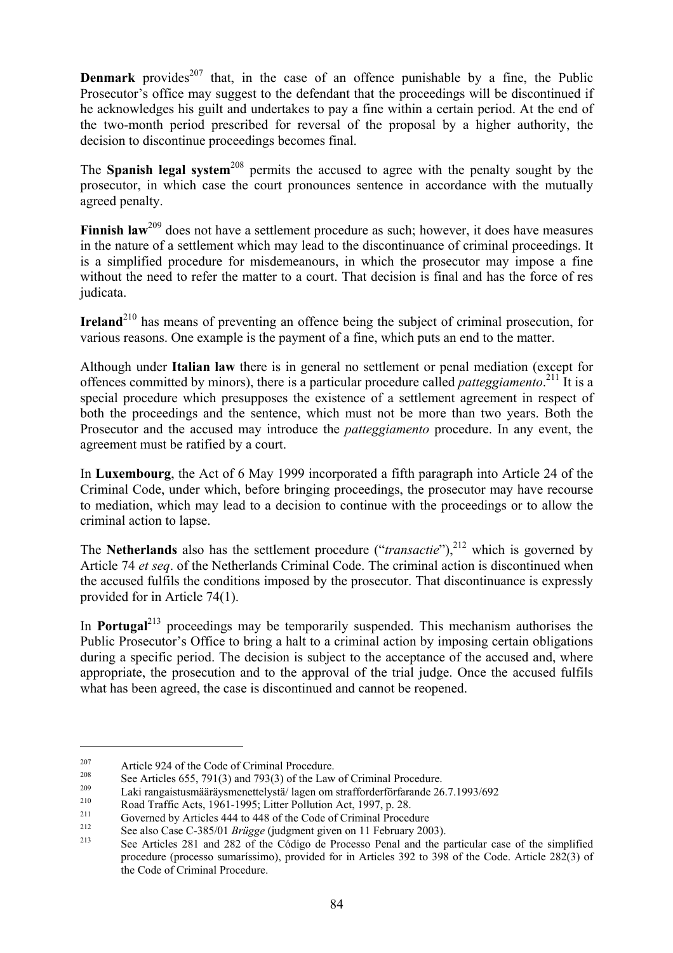**Denmark** provides<sup>207</sup> that, in the case of an offence punishable by a fine, the Public Prosecutor's office may suggest to the defendant that the proceedings will be discontinued if he acknowledges his guilt and undertakes to pay a fine within a certain period. At the end of the two-month period prescribed for reversal of the proposal by a higher authority, the decision to discontinue proceedings becomes final.

The **Spanish legal system**<sup>208</sup> permits the accused to agree with the penalty sought by the prosecutor, in which case the court pronounces sentence in accordance with the mutually agreed penalty.

**Finnish law**<sup>209</sup> does not have a settlement procedure as such; however, it does have measures in the nature of a settlement which may lead to the discontinuance of criminal proceedings. It is a simplified procedure for misdemeanours, in which the prosecutor may impose a fine without the need to refer the matter to a court. That decision is final and has the force of res judicata.

**Ireland**<sup>210</sup> has means of preventing an offence being the subject of criminal prosecution, for various reasons. One example is the payment of a fine, which puts an end to the matter.

Although under **Italian law** there is in general no settlement or penal mediation (except for offences committed by minors), there is a particular procedure called *patteggiamento*. 211 It is a special procedure which presupposes the existence of a settlement agreement in respect of both the proceedings and the sentence, which must not be more than two years. Both the Prosecutor and the accused may introduce the *patteggiamento* procedure. In any event, the agreement must be ratified by a court.

In **Luxembourg**, the Act of 6 May 1999 incorporated a fifth paragraph into Article 24 of the Criminal Code, under which, before bringing proceedings, the prosecutor may have recourse to mediation, which may lead to a decision to continue with the proceedings or to allow the criminal action to lapse.

The **Netherlands** also has the settlement procedure ("*transactie*"),<sup>212</sup> which is governed by Article 74 *et seq*. of the Netherlands Criminal Code. The criminal action is discontinued when the accused fulfils the conditions imposed by the prosecutor. That discontinuance is expressly provided for in Article 74(1).

In **Portugal**<sup>213</sup> proceedings may be temporarily suspended. This mechanism authorises the Public Prosecutor's Office to bring a halt to a criminal action by imposing certain obligations during a specific period. The decision is subject to the acceptance of the accused and, where appropriate, the prosecution and to the approval of the trial judge. Once the accused fulfils what has been agreed, the case is discontinued and cannot be reopened.

<sup>&</sup>lt;sup>207</sup><br>
Article 924 of the Code of Criminal Procedure.<br>
See Articles 655, 791(3) and 793(3) of the Law of Criminal Procedure.<br>
Laki rangaistus määräys menettelystä/ lagen om strafforderförfarande 26.7.1993/692<br>
Road Traffi procedure (processo sumaríssimo), provided for in Articles 392 to 398 of the Code. Article 282(3) of the Code of Criminal Procedure.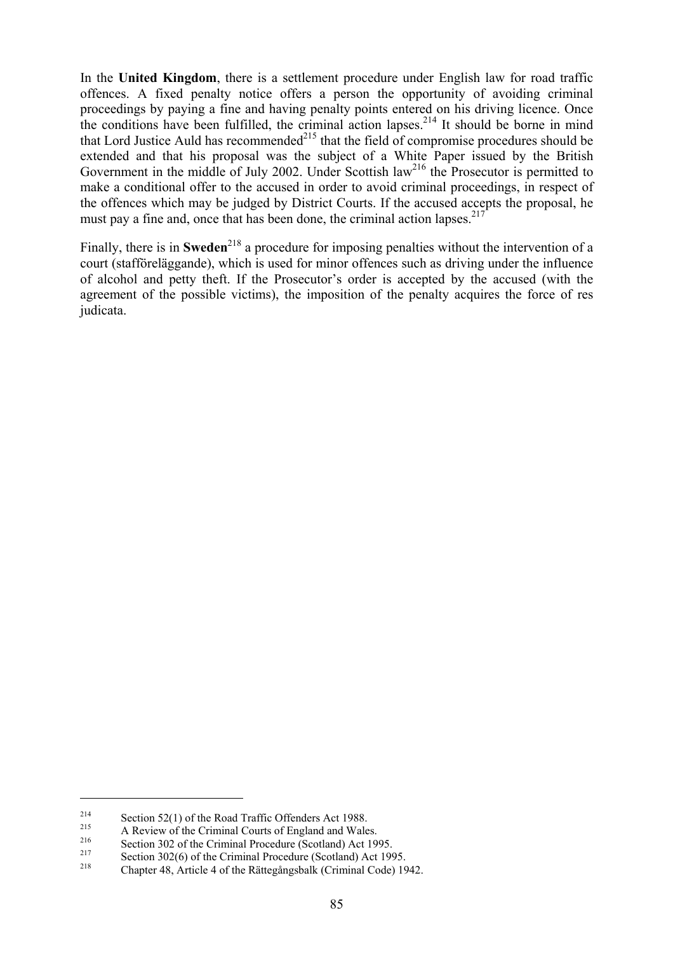In the **United Kingdom**, there is a settlement procedure under English law for road traffic offences. A fixed penalty notice offers a person the opportunity of avoiding criminal proceedings by paying a fine and having penalty points entered on his driving licence. Once the conditions have been fulfilled, the criminal action lapses.<sup>214</sup> It should be borne in mind that Lord Justice Auld has recommended $2^{15}$  that the field of compromise procedures should be extended and that his proposal was the subject of a White Paper issued by the British Government in the middle of July 2002. Under Scottish law<sup>216</sup> the Prosecutor is permitted to make a conditional offer to the accused in order to avoid criminal proceedings, in respect of the offences which may be judged by District Courts. If the accused accepts the proposal, he must pay a fine and, once that has been done, the criminal action lapses.<sup>217</sup>

Finally, there is in **Sweden**<sup>218</sup> a procedure for imposing penalties without the intervention of a court (stafföreläggande), which is used for minor offences such as driving under the influence of alcohol and petty theft. If the Prosecutor's order is accepted by the accused (with the agreement of the possible victims), the imposition of the penalty acquires the force of res judicata.

<sup>&</sup>lt;sup>214</sup><br>
Section 52(1) of the Road Traffic Offenders Act 1988.<br>
A Review of the Criminal Courts of England and Wales.<br>
Section 302 of the Criminal Procedure (Scotland) Act 1995.<br>
Section 302(6) of the Criminal Procedure (Sc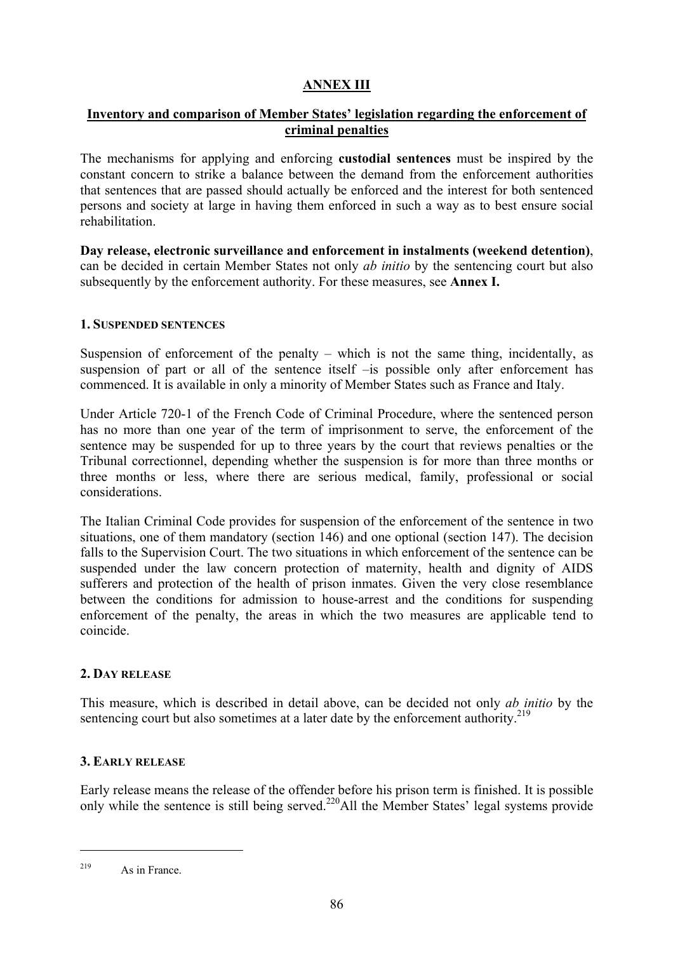# **ANNEX III**

# **Inventory and comparison of Member States' legislation regarding the enforcement of criminal penalties**

The mechanisms for applying and enforcing **custodial sentences** must be inspired by the constant concern to strike a balance between the demand from the enforcement authorities that sentences that are passed should actually be enforced and the interest for both sentenced persons and society at large in having them enforced in such a way as to best ensure social rehabilitation.

**Day release, electronic surveillance and enforcement in instalments (weekend detention)**, can be decided in certain Member States not only *ab initio* by the sentencing court but also subsequently by the enforcement authority. For these measures, see **Annex I.**

#### **1. SUSPENDED SENTENCES**

Suspension of enforcement of the penalty – which is not the same thing, incidentally, as suspension of part or all of the sentence itself –is possible only after enforcement has commenced. It is available in only a minority of Member States such as France and Italy.

Under Article 720-1 of the French Code of Criminal Procedure, where the sentenced person has no more than one year of the term of imprisonment to serve, the enforcement of the sentence may be suspended for up to three years by the court that reviews penalties or the Tribunal correctionnel, depending whether the suspension is for more than three months or three months or less, where there are serious medical, family, professional or social considerations.

The Italian Criminal Code provides for suspension of the enforcement of the sentence in two situations, one of them mandatory (section 146) and one optional (section 147). The decision falls to the Supervision Court. The two situations in which enforcement of the sentence can be suspended under the law concern protection of maternity, health and dignity of AIDS sufferers and protection of the health of prison inmates. Given the very close resemblance between the conditions for admission to house-arrest and the conditions for suspending enforcement of the penalty, the areas in which the two measures are applicable tend to coincide.

# **2. DAY RELEASE**

This measure, which is described in detail above, can be decided not only *ab initio* by the sentencing court but also sometimes at a later date by the enforcement authority.<sup>219</sup>

### **3. EARLY RELEASE**

Early release means the release of the offender before his prison term is finished. It is possible only while the sentence is still being served.<sup>220</sup>All the Member States' legal systems provide

<sup>219</sup> As in France.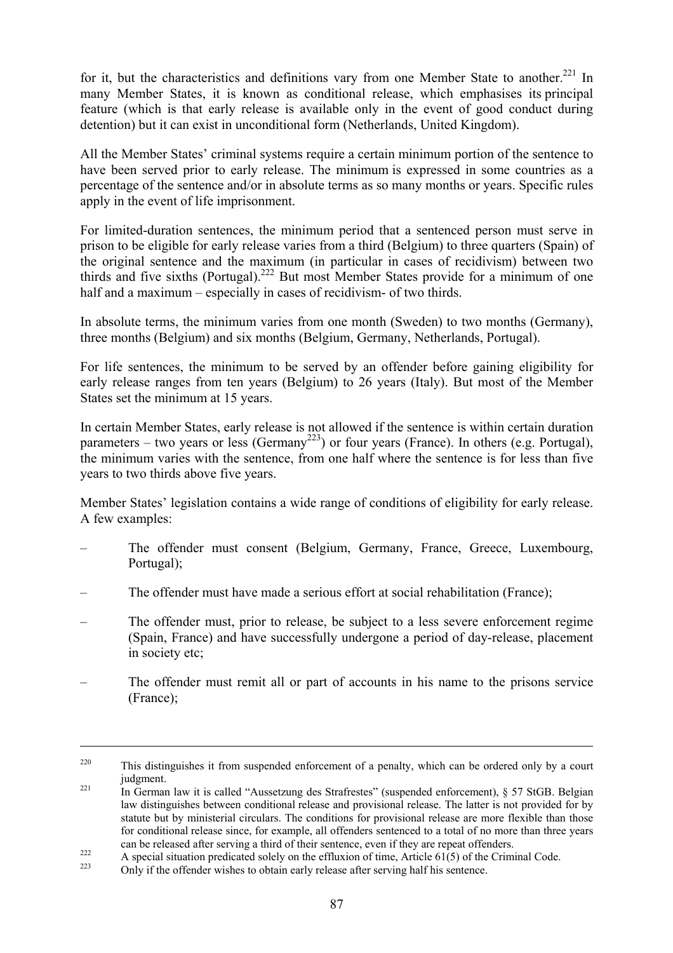for it, but the characteristics and definitions vary from one Member State to another.<sup>221</sup> In many Member States, it is known as conditional release, which emphasises its principal feature (which is that early release is available only in the event of good conduct during detention) but it can exist in unconditional form (Netherlands, United Kingdom).

All the Member States' criminal systems require a certain minimum portion of the sentence to have been served prior to early release. The minimum is expressed in some countries as a percentage of the sentence and/or in absolute terms as so many months or years. Specific rules apply in the event of life imprisonment.

For limited-duration sentences, the minimum period that a sentenced person must serve in prison to be eligible for early release varies from a third (Belgium) to three quarters (Spain) of the original sentence and the maximum (in particular in cases of recidivism) between two thirds and five sixths (Portugal).<sup>222</sup> But most Member States provide for a minimum of one half and a maximum – especially in cases of recidivism- of two thirds.

In absolute terms, the minimum varies from one month (Sweden) to two months (Germany), three months (Belgium) and six months (Belgium, Germany, Netherlands, Portugal).

For life sentences, the minimum to be served by an offender before gaining eligibility for early release ranges from ten years (Belgium) to 26 years (Italy). But most of the Member States set the minimum at 15 years.

In certain Member States, early release is not allowed if the sentence is within certain duration parameters – two years or less (Germany<sup>223</sup>) or four years (France). In others (e.g. Portugal), the minimum varies with the sentence, from one half where the sentence is for less than five years to two thirds above five years.

Member States' legislation contains a wide range of conditions of eligibility for early release. A few examples:

- The offender must consent (Belgium, Germany, France, Greece, Luxembourg, Portugal);
- The offender must have made a serious effort at social rehabilitation (France);
- The offender must, prior to release, be subject to a less severe enforcement regime (Spain, France) and have successfully undergone a period of day-release, placement in society etc;
- The offender must remit all or part of accounts in his name to the prisons service (France);

<sup>&</sup>lt;sup>220</sup> This distinguishes it from suspended enforcement of a penalty, which can be ordered only by a court judgment.<br><sup>221</sup> In German law it is called "Aussetzung des Strafrestes" (suspended enforcement), § 57 StGB. Belgian

law distinguishes between conditional release and provisional release. The latter is not provided for by statute but by ministerial circulars. The conditions for provisional release are more flexible than those for conditional release since, for example, all offenders sentenced to a total of no more than three years

can be released after serving a third of their sentence, even if they are repeat offenders.<br>A special situation predicated solely on the effluxion of time, Article 61(5) of the Criminal Code.<br>Only if the offender wishes to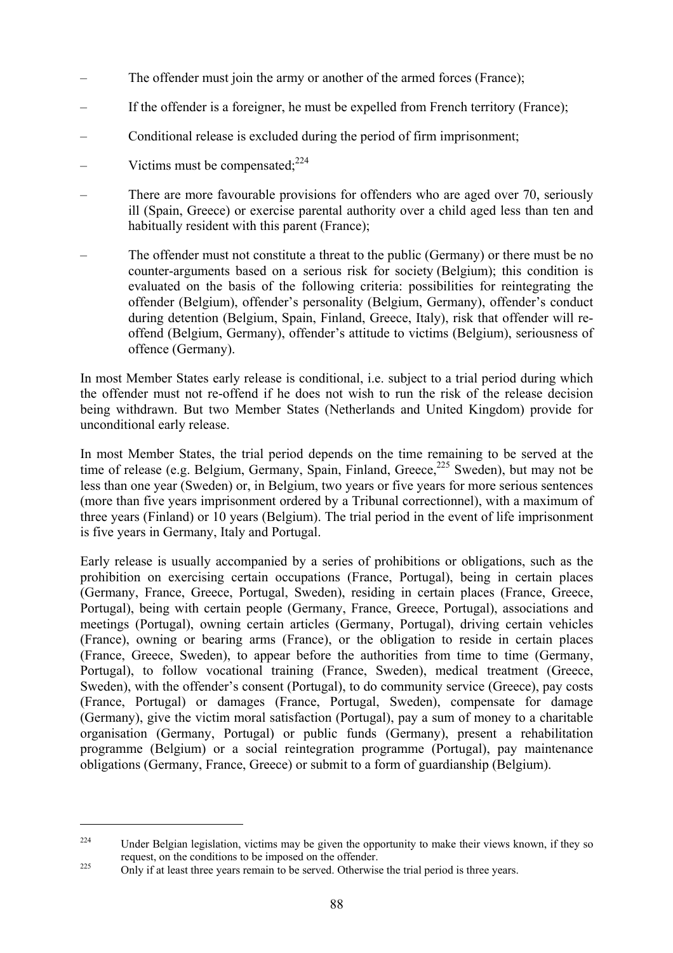- The offender must join the army or another of the armed forces (France);
- If the offender is a foreigner, he must be expelled from French territory (France);
- Conditional release is excluded during the period of firm imprisonment;
- Victims must be compensated $^{224}$
- There are more favourable provisions for offenders who are aged over 70, seriously ill (Spain, Greece) or exercise parental authority over a child aged less than ten and habitually resident with this parent (France);
- The offender must not constitute a threat to the public (Germany) or there must be no counter-arguments based on a serious risk for society (Belgium); this condition is evaluated on the basis of the following criteria: possibilities for reintegrating the offender (Belgium), offender's personality (Belgium, Germany), offender's conduct during detention (Belgium, Spain, Finland, Greece, Italy), risk that offender will reoffend (Belgium, Germany), offender's attitude to victims (Belgium), seriousness of offence (Germany).

In most Member States early release is conditional, i.e. subject to a trial period during which the offender must not re-offend if he does not wish to run the risk of the release decision being withdrawn. But two Member States (Netherlands and United Kingdom) provide for unconditional early release.

In most Member States, the trial period depends on the time remaining to be served at the time of release (e.g. Belgium, Germany, Spain, Finland, Greece,<sup>225</sup> Sweden), but may not be less than one year (Sweden) or, in Belgium, two years or five years for more serious sentences (more than five years imprisonment ordered by a Tribunal correctionnel), with a maximum of three years (Finland) or 10 years (Belgium). The trial period in the event of life imprisonment is five years in Germany, Italy and Portugal.

Early release is usually accompanied by a series of prohibitions or obligations, such as the prohibition on exercising certain occupations (France, Portugal), being in certain places (Germany, France, Greece, Portugal, Sweden), residing in certain places (France, Greece, Portugal), being with certain people (Germany, France, Greece, Portugal), associations and meetings (Portugal), owning certain articles (Germany, Portugal), driving certain vehicles (France), owning or bearing arms (France), or the obligation to reside in certain places (France, Greece, Sweden), to appear before the authorities from time to time (Germany, Portugal), to follow vocational training (France, Sweden), medical treatment (Greece, Sweden), with the offender's consent (Portugal), to do community service (Greece), pay costs (France, Portugal) or damages (France, Portugal, Sweden), compensate for damage (Germany), give the victim moral satisfaction (Portugal), pay a sum of money to a charitable organisation (Germany, Portugal) or public funds (Germany), present a rehabilitation programme (Belgium) or a social reintegration programme (Portugal), pay maintenance obligations (Germany, France, Greece) or submit to a form of guardianship (Belgium).

<sup>&</sup>lt;sup>224</sup> Under Belgian legislation, victims may be given the opportunity to make their views known, if they so request, on the conditions to be imposed on the offender. 225 Only if at least three years remain to be served. Otherwise the trial period is three years.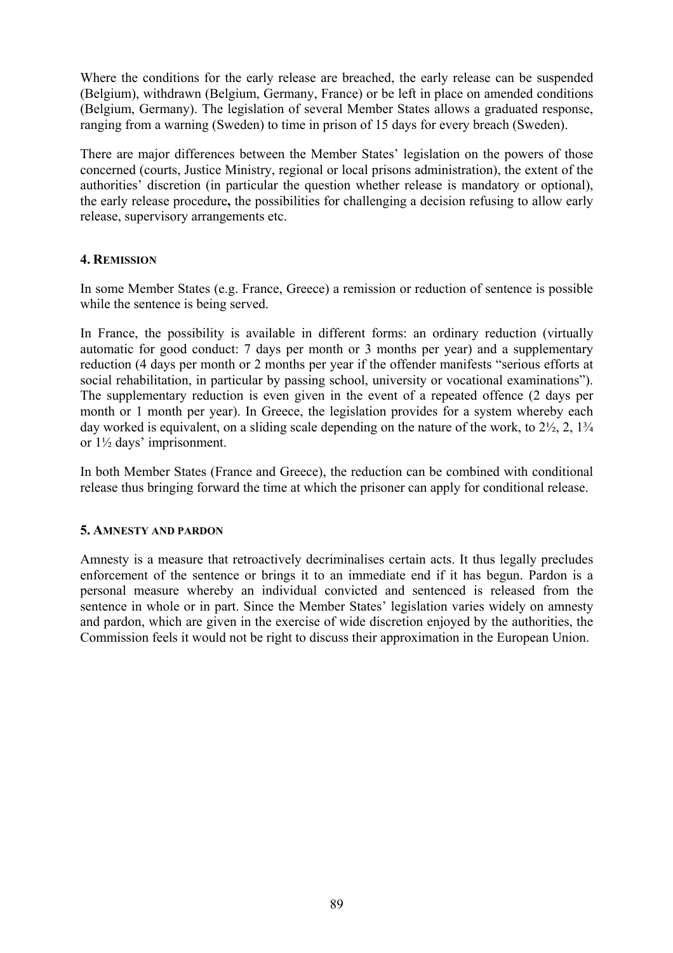Where the conditions for the early release are breached, the early release can be suspended (Belgium), withdrawn (Belgium, Germany, France) or be left in place on amended conditions (Belgium, Germany). The legislation of several Member States allows a graduated response, ranging from a warning (Sweden) to time in prison of 15 days for every breach (Sweden).

There are major differences between the Member States' legislation on the powers of those concerned (courts, Justice Ministry, regional or local prisons administration), the extent of the authorities' discretion (in particular the question whether release is mandatory or optional), the early release procedure**,** the possibilities for challenging a decision refusing to allow early release, supervisory arrangements etc.

# **4. REMISSION**

In some Member States (e.g. France, Greece) a remission or reduction of sentence is possible while the sentence is being served.

In France, the possibility is available in different forms: an ordinary reduction (virtually automatic for good conduct: 7 days per month or 3 months per year) and a supplementary reduction (4 days per month or 2 months per year if the offender manifests "serious efforts at social rehabilitation, in particular by passing school, university or vocational examinations"). The supplementary reduction is even given in the event of a repeated offence (2 days per month or 1 month per year). In Greece, the legislation provides for a system whereby each day worked is equivalent, on a sliding scale depending on the nature of the work, to  $2\frac{1}{2}$ ,  $2$ ,  $1\frac{3}{4}$ or 1½ days' imprisonment.

In both Member States (France and Greece), the reduction can be combined with conditional release thus bringing forward the time at which the prisoner can apply for conditional release.

# **5. AMNESTY AND PARDON**

Amnesty is a measure that retroactively decriminalises certain acts. It thus legally precludes enforcement of the sentence or brings it to an immediate end if it has begun. Pardon is a personal measure whereby an individual convicted and sentenced is released from the sentence in whole or in part. Since the Member States' legislation varies widely on amnesty and pardon, which are given in the exercise of wide discretion enjoyed by the authorities, the Commission feels it would not be right to discuss their approximation in the European Union.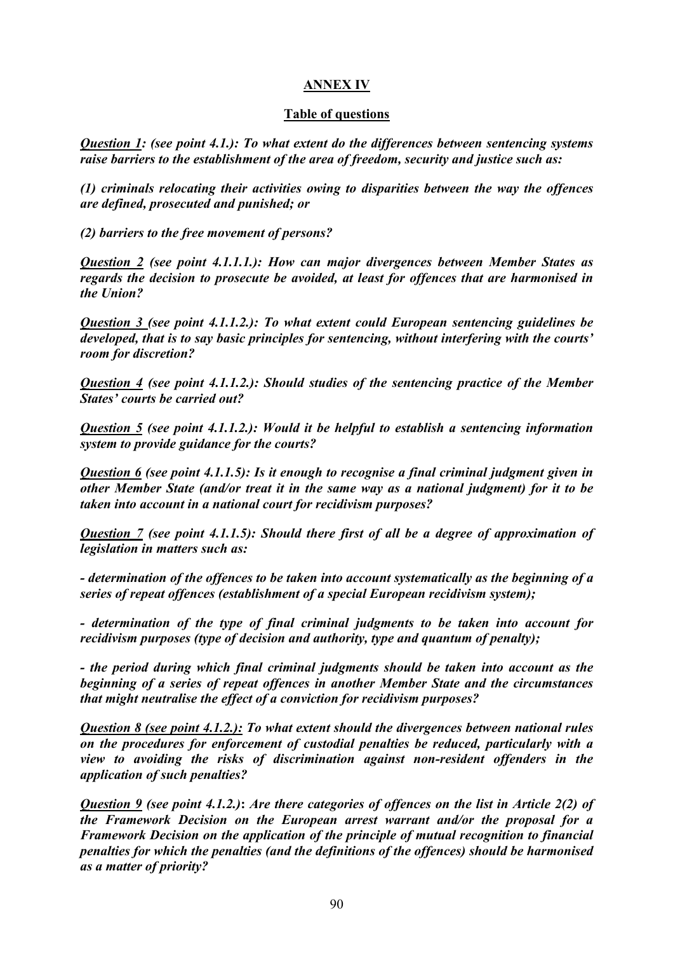# **ANNEX IV**

# **Table of questions**

*Question 1: (see point 4.1.): To what extent do the differences between sentencing systems raise barriers to the establishment of the area of freedom, security and justice such as:* 

*(1) criminals relocating their activities owing to disparities between the way the offences are defined, prosecuted and punished; or* 

*(2) barriers to the free movement of persons?*

*Question 2 (see point 4.1.1.1.): How can major divergences between Member States as regards the decision to prosecute be avoided, at least for offences that are harmonised in the Union?* 

*Question 3 (see point 4.1.1.2.): To what extent could European sentencing guidelines be developed, that is to say basic principles for sentencing, without interfering with the courts' room for discretion?* 

*Question 4 (see point 4.1.1.2.): Should studies of the sentencing practice of the Member States' courts be carried out?* 

*Question 5 (see point 4.1.1.2.): Would it be helpful to establish a sentencing information system to provide guidance for the courts?* 

*Question 6 (see point 4.1.1.5): Is it enough to recognise a final criminal judgment given in other Member State (and/or treat it in the same way as a national judgment) for it to be taken into account in a national court for recidivism purposes?* 

*Question 7 (see point 4.1.1.5): Should there first of all be a degree of approximation of legislation in matters such as:* 

*- determination of the offences to be taken into account systematically as the beginning of a series of repeat offences (establishment of a special European recidivism system);* 

*- determination of the type of final criminal judgments to be taken into account for recidivism purposes (type of decision and authority, type and quantum of penalty);* 

*- the period during which final criminal judgments should be taken into account as the beginning of a series of repeat offences in another Member State and the circumstances that might neutralise the effect of a conviction for recidivism purposes?* 

*Question 8 (see point 4.1.2.): To what extent should the divergences between national rules on the procedures for enforcement of custodial penalties be reduced, particularly with a view to avoiding the risks of discrimination against non-resident offenders in the application of such penalties?* 

*Question 9 (see point 4.1.2.)***:** *Are there categories of offences on the list in Article 2(2) of the Framework Decision on the European arrest warrant and/or the proposal for a Framework Decision on the application of the principle of mutual recognition to financial penalties for which the penalties (and the definitions of the offences) should be harmonised as a matter of priority?*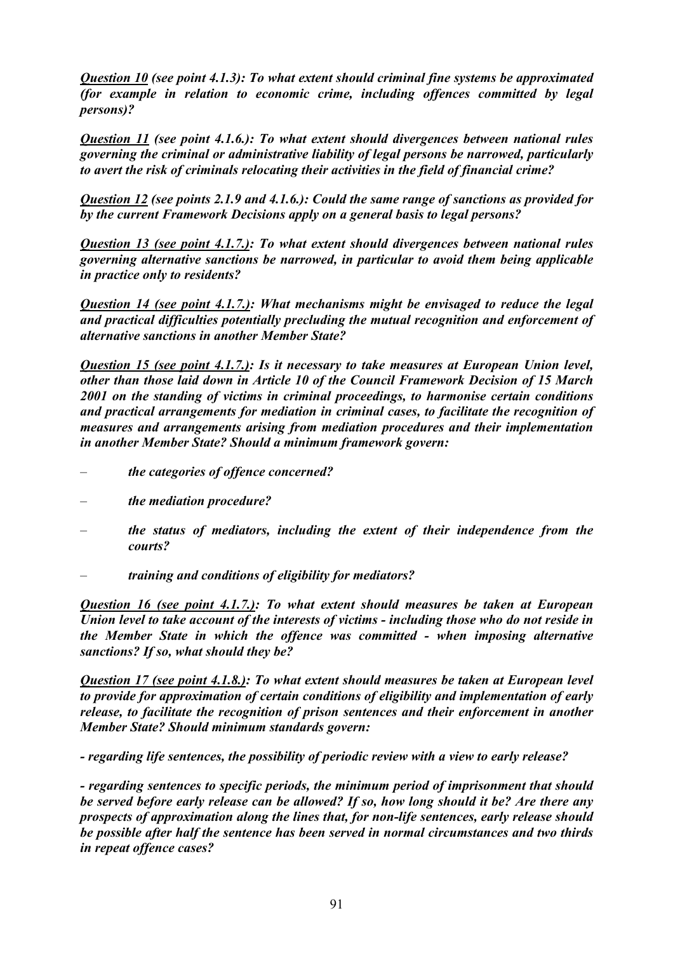*Question 10 (see point 4.1.3): To what extent should criminal fine systems be approximated (for example in relation to economic crime, including offences committed by legal persons)?* 

*Question 11 (see point 4.1.6.): To what extent should divergences between national rules governing the criminal or administrative liability of legal persons be narrowed, particularly to avert the risk of criminals relocating their activities in the field of financial crime?* 

*Question 12 (see points 2.1.9 and 4.1.6.): Could the same range of sanctions as provided for by the current Framework Decisions apply on a general basis to legal persons?* 

*Question 13 (see point 4.1.7.): To what extent should divergences between national rules governing alternative sanctions be narrowed, in particular to avoid them being applicable in practice only to residents?* 

*Question 14 (see point 4.1.7.): What mechanisms might be envisaged to reduce the legal and practical difficulties potentially precluding the mutual recognition and enforcement of alternative sanctions in another Member State?* 

*Question 15 (see point 4.1.7.): Is it necessary to take measures at European Union level, other than those laid down in Article 10 of the Council Framework Decision of 15 March 2001 on the standing of victims in criminal proceedings, to harmonise certain conditions and practical arrangements for mediation in criminal cases, to facilitate the recognition of measures and arrangements arising from mediation procedures and their implementation in another Member State? Should a minimum framework govern:* 

- *the categories of offence concerned?*
- *the mediation procedure?*
- *the status of mediators, including the extent of their independence from the courts?*
- *training and conditions of eligibility for mediators?*

*Question 16 (see point 4.1.7.): To what extent should measures be taken at European Union level to take account of the interests of victims - including those who do not reside in the Member State in which the offence was committed - when imposing alternative sanctions? If so, what should they be?* 

*Question 17 (see point 4.1.8.): To what extent should measures be taken at European level to provide for approximation of certain conditions of eligibility and implementation of early release, to facilitate the recognition of prison sentences and their enforcement in another Member State? Should minimum standards govern:* 

*- regarding life sentences, the possibility of periodic review with a view to early release?* 

*- regarding sentences to specific periods, the minimum period of imprisonment that should be served before early release can be allowed? If so, how long should it be? Are there any prospects of approximation along the lines that, for non-life sentences, early release should be possible after half the sentence has been served in normal circumstances and two thirds in repeat offence cases?*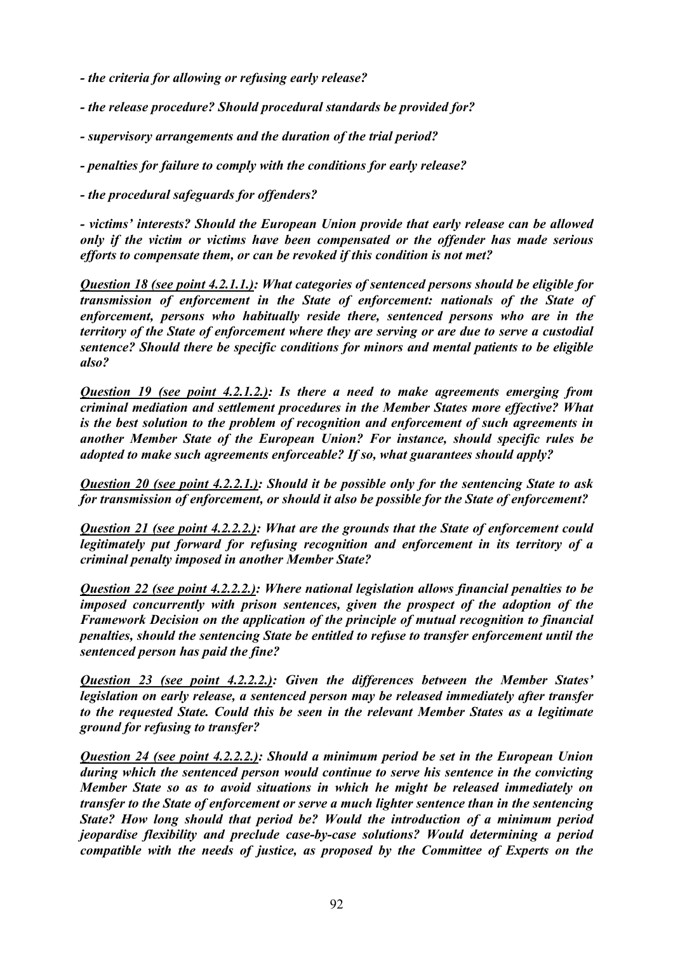- *the criteria for allowing or refusing early release?*
- *the release procedure? Should procedural standards be provided for?*
- *supervisory arrangements and the duration of the trial period?*
- *penalties for failure to comply with the conditions for early release?*
- *the procedural safeguards for offenders?*

*- victims' interests? Should the European Union provide that early release can be allowed only if the victim or victims have been compensated or the offender has made serious efforts to compensate them, or can be revoked if this condition is not met?* 

*Question 18 (see point 4.2.1.1.): What categories of sentenced persons should be eligible for transmission of enforcement in the State of enforcement: nationals of the State of enforcement, persons who habitually reside there, sentenced persons who are in the territory of the State of enforcement where they are serving or are due to serve a custodial sentence? Should there be specific conditions for minors and mental patients to be eligible also?* 

*Question 19 (see point 4.2.1.2.): Is there a need to make agreements emerging from criminal mediation and settlement procedures in the Member States more effective? What is the best solution to the problem of recognition and enforcement of such agreements in another Member State of the European Union? For instance, should specific rules be adopted to make such agreements enforceable? If so, what guarantees should apply?* 

*Question 20 (see point 4.2.2.1.): Should it be possible only for the sentencing State to ask for transmission of enforcement, or should it also be possible for the State of enforcement?* 

*Question 21 (see point 4.2.2.2.): What are the grounds that the State of enforcement could legitimately put forward for refusing recognition and enforcement in its territory of a criminal penalty imposed in another Member State?* 

*Question 22 (see point 4.2.2.2.): Where national legislation allows financial penalties to be imposed concurrently with prison sentences, given the prospect of the adoption of the Framework Decision on the application of the principle of mutual recognition to financial penalties, should the sentencing State be entitled to refuse to transfer enforcement until the sentenced person has paid the fine?* 

*Question 23 (see point 4.2.2.2.): Given the differences between the Member States' legislation on early release, a sentenced person may be released immediately after transfer to the requested State. Could this be seen in the relevant Member States as a legitimate ground for refusing to transfer?* 

*Question 24 (see point 4.2.2.2.): Should a minimum period be set in the European Union during which the sentenced person would continue to serve his sentence in the convicting Member State so as to avoid situations in which he might be released immediately on transfer to the State of enforcement or serve a much lighter sentence than in the sentencing State? How long should that period be? Would the introduction of a minimum period jeopardise flexibility and preclude case-by-case solutions? Would determining a period compatible with the needs of justice, as proposed by the Committee of Experts on the*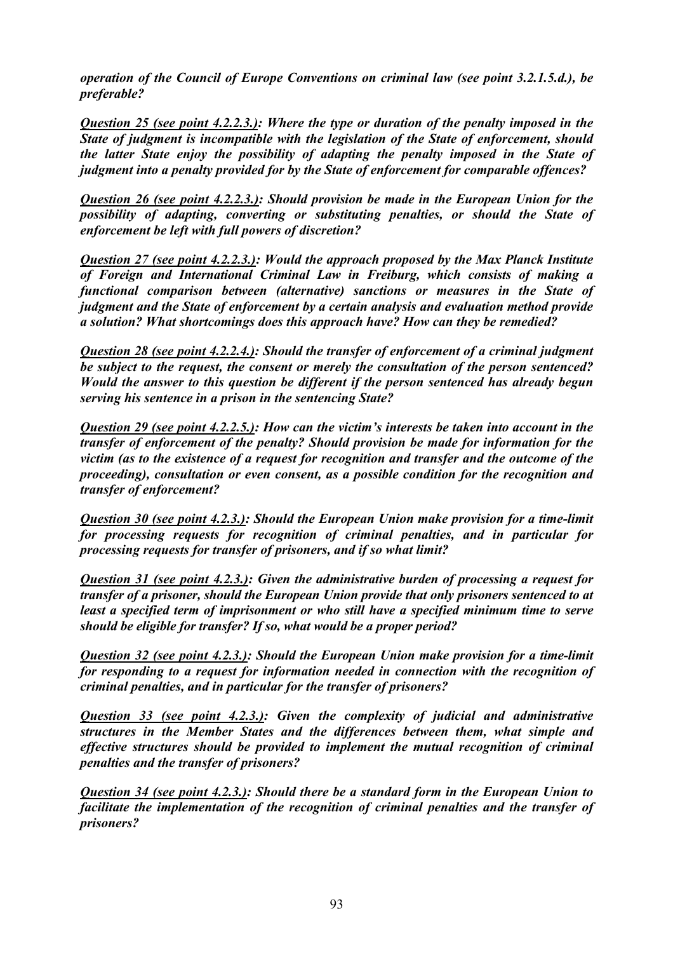*operation of the Council of Europe Conventions on criminal law (see point 3.2.1.5.d.), be preferable?* 

*Question 25 (see point 4.2.2.3.): Where the type or duration of the penalty imposed in the State of judgment is incompatible with the legislation of the State of enforcement, should the latter State enjoy the possibility of adapting the penalty imposed in the State of judgment into a penalty provided for by the State of enforcement for comparable offences?* 

*Question 26 (see point 4.2.2.3.): Should provision be made in the European Union for the possibility of adapting, converting or substituting penalties, or should the State of enforcement be left with full powers of discretion?* 

*Question 27 (see point 4.2.2.3.): Would the approach proposed by the Max Planck Institute of Foreign and International Criminal Law in Freiburg, which consists of making a functional comparison between (alternative) sanctions or measures in the State of judgment and the State of enforcement by a certain analysis and evaluation method provide a solution? What shortcomings does this approach have? How can they be remedied?* 

*Question 28 (see point 4.2.2.4.): Should the transfer of enforcement of a criminal judgment be subject to the request, the consent or merely the consultation of the person sentenced? Would the answer to this question be different if the person sentenced has already begun serving his sentence in a prison in the sentencing State?* 

*Question 29 (see point 4.2.2.5.): How can the victim's interests be taken into account in the transfer of enforcement of the penalty? Should provision be made for information for the victim (as to the existence of a request for recognition and transfer and the outcome of the proceeding), consultation or even consent, as a possible condition for the recognition and transfer of enforcement?* 

*Question 30 (see point 4.2.3.): Should the European Union make provision for a time-limit for processing requests for recognition of criminal penalties, and in particular for processing requests for transfer of prisoners, and if so what limit?* 

*Question 31 (see point 4.2.3.): Given the administrative burden of processing a request for transfer of a prisoner, should the European Union provide that only prisoners sentenced to at least a specified term of imprisonment or who still have a specified minimum time to serve should be eligible for transfer? If so, what would be a proper period?* 

*Question 32 (see point 4.2.3.): Should the European Union make provision for a time-limit for responding to a request for information needed in connection with the recognition of criminal penalties, and in particular for the transfer of prisoners?* 

*Question 33 (see point 4.2.3.): Given the complexity of judicial and administrative structures in the Member States and the differences between them, what simple and effective structures should be provided to implement the mutual recognition of criminal penalties and the transfer of prisoners?* 

*Question 34 (see point 4.2.3.): Should there be a standard form in the European Union to facilitate the implementation of the recognition of criminal penalties and the transfer of prisoners?*